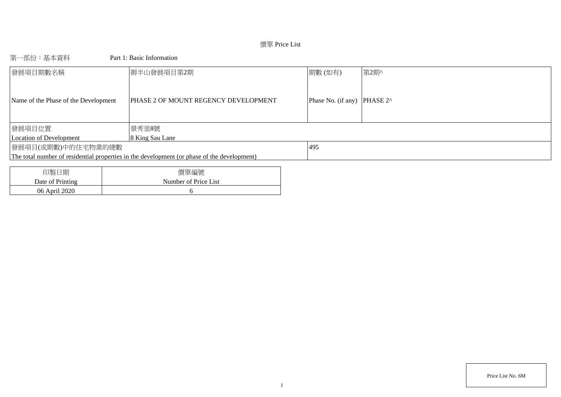# 價單 Price List

# 第一部份:基本資料 Part 1: Basic Information

| 發展項目期數名稱                             | 御半山發展項目第2期                                                                                  | 期數(如有)                      | 第2期^ |
|--------------------------------------|---------------------------------------------------------------------------------------------|-----------------------------|------|
| Name of the Phase of the Development | <b>PHASE 2 OF MOUNT REGENCY DEVELOPMENT</b>                                                 | Phase No. (if any) PHASE 2^ |      |
| 發展項目位置                               | 景秀里8號                                                                                       |                             |      |
| Location of Development              | 8 King Sau Lane                                                                             |                             |      |
| 發展項目(或期數)中的住宅物業的總數                   |                                                                                             | 495                         |      |
|                                      | The total number of residential properties in the development (or phase of the development) |                             |      |
|                                      |                                                                                             |                             |      |
| 印製口期                                 | 價留编號                                                                                        |                             |      |

| 印製日期             | 價單編號                 |
|------------------|----------------------|
| Date of Printing | Number of Price List |
| 06 April 2020    |                      |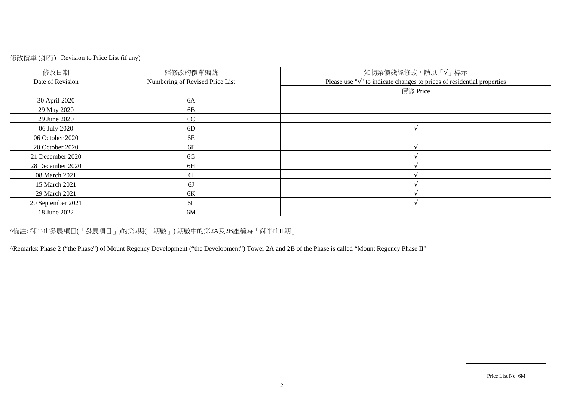# 修改價單 (如有) Revision to Price List (if any)

| 修改日期<br>Date of Revision | 經修改的價單編號<br>Numbering of Revised Price List | 如物業價錢經修改,請以「√」標示<br>Please use " $\sqrt{ }$ " to indicate changes to prices of residential properties |
|--------------------------|---------------------------------------------|-------------------------------------------------------------------------------------------------------|
|                          |                                             | 價錢 Price                                                                                              |
| 30 April 2020            | 6A                                          |                                                                                                       |
| 29 May 2020              | 6B                                          |                                                                                                       |
| 29 June 2020             | 6C                                          |                                                                                                       |
| 06 July 2020             | 6D                                          |                                                                                                       |
| 06 October 2020          | 6E                                          |                                                                                                       |
| 20 October 2020          | 6F                                          |                                                                                                       |
| 21 December 2020         | 6G                                          |                                                                                                       |
| 28 December 2020         | 6H                                          |                                                                                                       |
| 08 March 2021            | 6I                                          |                                                                                                       |
| 15 March 2021            | 6J                                          |                                                                                                       |
| 29 March 2021            | 6K                                          |                                                                                                       |
| 20 September 2021        | 6L                                          |                                                                                                       |
| 18 June 2022             | 6M                                          |                                                                                                       |

^備註: 御半山發展項目(「發展項目」)的第2期(「期數」) 期數中的第2A及2B座稱為「御半山II期」

^Remarks: Phase 2 ("the Phase") of Mount Regency Development ("the Development") Tower 2A and 2B of the Phase is called "Mount Regency Phase II"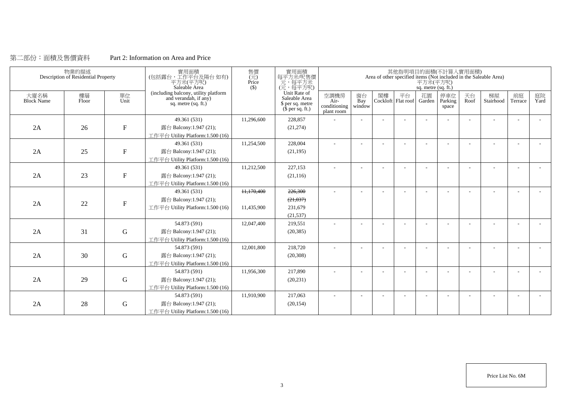### 第二部份:面積及售價資料 Part 2: Information on Area and Price

|                    | 物業的描述<br>Description of Residential Property |              | 實用面積<br>(包括露台,工作平台及陽台如有)<br>平方米(平方呎)<br>Saleable Area                                  | 售價<br>$(\vec{\pi})$<br>Price<br>$($)$ | 實用面積<br>每平方米/呎售價<br>一元, 每平方米<br>(元, 每平方呎)                             |                                            |                          |    |                          | 平方米(平方呎)<br>sq. metre (sq. ft.) | 其他指明項目的面積(不計算入實用面積)     |                          | Area of other specified items (Not included in the Saleable Area) |               |            |
|--------------------|----------------------------------------------|--------------|----------------------------------------------------------------------------------------|---------------------------------------|-----------------------------------------------------------------------|--------------------------------------------|--------------------------|----|--------------------------|---------------------------------|-------------------------|--------------------------|-------------------------------------------------------------------|---------------|------------|
| 大廈名稱<br>Block Name | 樓層<br>Floor                                  | 單位<br>Unit   | (including balcony, utility platform<br>and verandah, if any)<br>sq. metre $(sq. ft.)$ |                                       | Unit Rate of<br>Saleable Area<br>\$ per sq. metre<br>$$$ per sq. ft.) | 空調機房<br>Air-<br>conditioning<br>plant room | 窗台<br>Bay<br>window      | 閣樓 | 平台<br>Cockloft Flat roof | 花園<br>Garden                    | 停車位<br>Parking<br>space | 天台<br>Roof               | 梯屋<br>Stairhood                                                   | 前庭<br>Terrace | 庭院<br>Yard |
|                    |                                              |              | 49.361 (531)                                                                           | 11,296,600                            | 228,857                                                               |                                            |                          |    |                          |                                 |                         | $\overline{\phantom{a}}$ |                                                                   |               |            |
| 2A                 | 26                                           | $\mathbf{F}$ | 露台 Balcony:1.947 (21);                                                                 |                                       | (21, 274)                                                             |                                            |                          |    |                          |                                 |                         |                          |                                                                   |               |            |
|                    |                                              |              | 工作平台 Utility Platform:1.500 (16)                                                       |                                       |                                                                       |                                            |                          |    |                          |                                 |                         |                          |                                                                   |               |            |
|                    |                                              |              | 49.361 (531)                                                                           | 11,254,500                            | 228,004                                                               |                                            |                          |    |                          |                                 |                         |                          |                                                                   |               |            |
| 2A                 | 25                                           | $\mathbf F$  | 露台 Balcony:1.947 (21);                                                                 |                                       | (21, 195)                                                             |                                            |                          |    |                          |                                 |                         |                          |                                                                   |               |            |
|                    |                                              |              | 工作平台 Utility Platform:1.500 (16)                                                       |                                       |                                                                       |                                            |                          |    |                          |                                 |                         |                          |                                                                   |               |            |
|                    |                                              |              | 49.361 (531)                                                                           | 11,212,500                            | 227,153                                                               | $\overline{\phantom{a}}$                   | $\overline{\phantom{a}}$ |    |                          |                                 |                         |                          |                                                                   |               |            |
| 2A                 | 23                                           | $\mathbf F$  | 露台 Balcony:1.947 (21);                                                                 |                                       | (21, 116)                                                             |                                            |                          |    |                          |                                 |                         |                          |                                                                   |               |            |
|                    |                                              |              | 工作平台 Utility Platform:1.500 (16)                                                       |                                       |                                                                       |                                            |                          |    |                          |                                 |                         |                          |                                                                   |               |            |
|                    |                                              |              | 49.361 (531)                                                                           | 11.170.400                            | 226,300                                                               |                                            |                          |    |                          |                                 |                         |                          |                                                                   |               |            |
|                    |                                              | $\mathbf F$  | 露台 Balcony:1.947 (21);                                                                 |                                       | (21, 037)                                                             |                                            |                          |    |                          |                                 |                         |                          |                                                                   |               |            |
| 2A                 | 22                                           |              | 工作平台 Utility Platform:1.500 (16)                                                       | 11,435,900                            | 231,679                                                               |                                            |                          |    |                          |                                 |                         |                          |                                                                   |               |            |
|                    |                                              |              |                                                                                        |                                       | (21, 537)                                                             |                                            |                          |    |                          |                                 |                         |                          |                                                                   |               |            |
|                    |                                              |              | 54.873 (591)                                                                           | 12,047,400                            | 219,551                                                               |                                            |                          |    |                          |                                 |                         |                          |                                                                   |               |            |
| 2A                 | 31                                           | $\mathbf G$  | 露台 Balcony:1.947 (21);                                                                 |                                       | (20, 385)                                                             |                                            |                          |    |                          |                                 |                         |                          |                                                                   |               |            |
|                    |                                              |              | 工作平台 Utility Platform: 1.500 (16)                                                      |                                       |                                                                       |                                            |                          |    |                          |                                 |                         |                          |                                                                   |               |            |
|                    |                                              |              | 54.873 (591)                                                                           | 12,001,800                            | 218,720                                                               | $\sim$                                     | ÷                        |    |                          |                                 |                         |                          |                                                                   |               |            |
| 2A                 | 30                                           | ${\bf G}$    | 露台 Balcony:1.947 (21);                                                                 |                                       | (20, 308)                                                             |                                            |                          |    |                          |                                 |                         |                          |                                                                   |               |            |
|                    |                                              |              | 工作平台 Utility Platform:1.500 (16)                                                       |                                       |                                                                       |                                            |                          |    |                          |                                 |                         |                          |                                                                   |               |            |
|                    |                                              |              | 54.873 (591)                                                                           | 11,956,300                            | 217,890                                                               |                                            |                          |    |                          |                                 |                         |                          |                                                                   |               |            |
| 2A                 | 29                                           | $\mathbf G$  | 露台 Balcony:1.947 (21);                                                                 |                                       | (20, 231)                                                             |                                            |                          |    |                          |                                 |                         |                          |                                                                   |               |            |
|                    |                                              |              | 工作平台 Utility Platform: 1.500 (16)                                                      |                                       |                                                                       |                                            |                          |    |                          |                                 |                         |                          |                                                                   |               |            |
|                    |                                              |              | 54.873 (591)                                                                           | 11,910,900                            | 217,063                                                               |                                            |                          |    |                          |                                 |                         |                          |                                                                   |               |            |
| 2A                 | 28                                           | $\mathbf G$  | 露台 Balcony:1.947 (21);                                                                 |                                       | (20, 154)                                                             |                                            |                          |    |                          |                                 |                         |                          |                                                                   |               |            |
|                    |                                              |              | 工作平台 Utility Platform:1.500 (16)                                                       |                                       |                                                                       |                                            |                          |    |                          |                                 |                         |                          |                                                                   |               |            |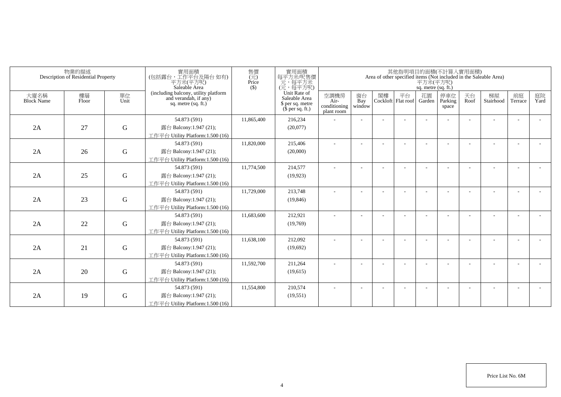|                           | 物業的描述<br>Description of Residential Property |             | 實用面積<br>(包括露台,工作平台及陽台如有)<br>平方米(平方呎)<br>Saleable Area                                  | 售價<br>$(\vec{\pi})$<br>Price<br>$($ \$) | 實用面積<br>每平方米/呎售價<br>一元,每平方米<br>(元,每平方呎)                               |                                            |                          |    | 其他指明項目的面積(不計算入實用面積)      | 平方米(平方呎)<br>sq. metre (sq. ft.) |                         |            | Area of other specified items (Not included in the Saleable Area) |                          |            |
|---------------------------|----------------------------------------------|-------------|----------------------------------------------------------------------------------------|-----------------------------------------|-----------------------------------------------------------------------|--------------------------------------------|--------------------------|----|--------------------------|---------------------------------|-------------------------|------------|-------------------------------------------------------------------|--------------------------|------------|
| 大廈名稱<br><b>Block Name</b> | 樓層<br>Floor                                  | 單位<br>Unit  | (including balcony, utility platform<br>and verandah, if any)<br>sq. metre $(sq, ft.)$ |                                         | Unit Rate of<br>Saleable Area<br>\$ per sq. metre<br>$$$ per sq. ft.) | 空調機房<br>Air-<br>conditioning<br>plant room | 窗台<br>Bay<br>window      | 閣樓 | 平台<br>Cockloft Flat roof | 花園<br>Garden                    | 停車位<br>Parking<br>space | 天台<br>Roof | 梯屋<br>Stairhood                                                   | 前庭<br>Terrace            | 庭院<br>Yard |
|                           |                                              |             | 54.873 (591)                                                                           | 11.865.400                              | 216,234                                                               |                                            |                          |    |                          |                                 |                         |            |                                                                   |                          |            |
| 2A                        | 27                                           | $\mathbf G$ | 露台 Balcony:1.947 (21);                                                                 |                                         | (20,077)                                                              |                                            |                          |    |                          |                                 |                         |            |                                                                   |                          |            |
|                           |                                              |             | 工作平台 Utility Platform: 1.500 (16)                                                      |                                         |                                                                       |                                            |                          |    |                          |                                 |                         |            |                                                                   |                          |            |
|                           |                                              |             | 54.873 (591)                                                                           | 11,820,000                              | 215,406                                                               |                                            |                          |    |                          |                                 |                         |            |                                                                   |                          |            |
| 2A                        | 26                                           | $\mathbf G$ | 露台 Balcony:1.947 (21);                                                                 |                                         | (20,000)                                                              |                                            |                          |    |                          |                                 |                         |            |                                                                   |                          |            |
|                           |                                              |             | 工作平台 Utility Platform: 1.500 (16)                                                      |                                         |                                                                       |                                            |                          |    |                          |                                 |                         |            |                                                                   |                          |            |
|                           |                                              |             | 54.873 (591)                                                                           | 11,774,500                              | 214,577                                                               |                                            |                          |    |                          |                                 |                         |            |                                                                   |                          |            |
| 2A                        | 25                                           | ${\bf G}$   | 露台 Balcony:1.947 (21);                                                                 |                                         | (19, 923)                                                             |                                            |                          |    |                          |                                 |                         |            |                                                                   |                          |            |
|                           |                                              |             | 工作平台 Utility Platform: 1.500 (16)                                                      |                                         |                                                                       |                                            |                          |    |                          |                                 |                         |            |                                                                   |                          |            |
|                           |                                              |             | 54.873 (591)                                                                           | 11,729,000                              | 213,748                                                               |                                            |                          |    |                          |                                 |                         |            |                                                                   |                          |            |
| 2A                        | 23                                           | $\mathbf G$ | 露台 Balcony:1.947 (21);                                                                 |                                         | (19, 846)                                                             |                                            |                          |    |                          |                                 |                         |            |                                                                   |                          |            |
|                           |                                              |             | 工作平台 Utility Platform:1.500 (16)                                                       |                                         |                                                                       |                                            |                          |    |                          |                                 |                         |            |                                                                   |                          |            |
|                           |                                              |             | 54.873 (591)                                                                           | 11,683,600                              | 212,921                                                               | ٠                                          |                          |    |                          |                                 |                         |            |                                                                   | $\overline{\phantom{a}}$ |            |
| 2A                        | 22                                           | $\mathbf G$ | 露台 Balcony:1.947 (21);                                                                 |                                         | (19,769)                                                              |                                            |                          |    |                          |                                 |                         |            |                                                                   |                          |            |
|                           |                                              |             | 工作平台 Utility Platform:1.500 (16)                                                       |                                         |                                                                       |                                            |                          |    |                          |                                 |                         |            |                                                                   |                          |            |
|                           |                                              |             | 54.873 (591)                                                                           | 11,638,100                              | 212,092                                                               |                                            |                          |    |                          |                                 |                         |            |                                                                   |                          |            |
| 2A                        | 21                                           | $\mathbf G$ | 露台 Balcony:1.947 (21);                                                                 |                                         | (19,692)                                                              |                                            |                          |    |                          |                                 |                         |            |                                                                   |                          |            |
|                           |                                              |             | 工作平台 Utility Platform: 1.500 (16)                                                      |                                         |                                                                       |                                            |                          |    |                          |                                 |                         |            |                                                                   |                          |            |
|                           |                                              |             | 54.873 (591)                                                                           | 11,592,700                              | 211,264                                                               | ÷                                          | $\overline{\phantom{a}}$ |    |                          |                                 |                         |            |                                                                   | $\overline{\phantom{a}}$ |            |
| 2A                        | 20                                           | $\mathbf G$ | 露台 Balcony:1.947 (21);                                                                 |                                         | (19,615)                                                              |                                            |                          |    |                          |                                 |                         |            |                                                                   |                          |            |
|                           |                                              |             | 工作平台 Utility Platform:1.500 (16)                                                       |                                         |                                                                       |                                            |                          |    |                          |                                 |                         |            |                                                                   |                          |            |
|                           |                                              |             | 54.873 (591)                                                                           | 11,554,800                              | 210,574                                                               |                                            |                          |    |                          |                                 |                         |            |                                                                   |                          |            |
| 2A                        | 19                                           | G           | 露台 Balcony:1.947 (21);                                                                 |                                         | (19, 551)                                                             |                                            |                          |    |                          |                                 |                         |            |                                                                   |                          |            |
|                           |                                              |             | 工作平台 Utility Platform: 1.500 (16)                                                      |                                         |                                                                       |                                            |                          |    |                          |                                 |                         |            |                                                                   |                          |            |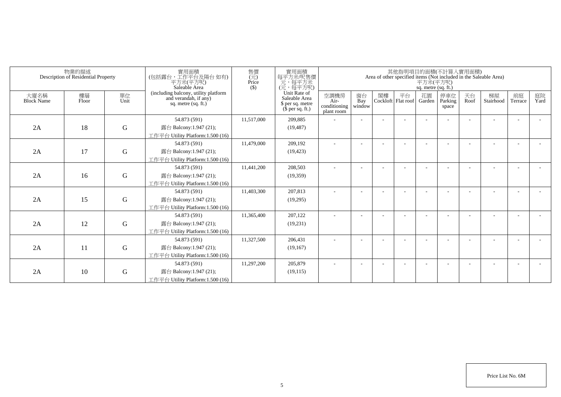|                           | 物業的描述<br>Description of Residential Property |             | 寶用面積<br>(包括露台 · 工作平台及陽台 如有)<br>平方米(平方呎)<br>Saleable Area                             | 售價<br>(元)<br>Price<br>(S) | 實用面積<br>每平方米/呎售價<br>元,每平方米<br>(元,每平方呎)                                |                                            |                     |                          |                          | 平方米(平方呎)<br>sq. metre (sq. ft.) |                          |            | 其他指明項目的面積(不計算人實用面積)<br>Area of other specified items (Not included in the Saleable Area) |               |            |
|---------------------------|----------------------------------------------|-------------|--------------------------------------------------------------------------------------|---------------------------|-----------------------------------------------------------------------|--------------------------------------------|---------------------|--------------------------|--------------------------|---------------------------------|--------------------------|------------|------------------------------------------------------------------------------------------|---------------|------------|
| 大廈名稱<br><b>Block Name</b> | 樓層<br>Floor                                  | 單位<br>Unit  | (including balcony, utility platform<br>and verandah, if any)<br>sq. metre (sq. ft.) |                           | Unit Rate of<br>Saleable Area<br>\$ per sq. metre<br>$$$ per sq. ft.) | 空調機房<br>Air-<br>conditioning<br>plant room | 窗台<br>Bay<br>window | 閣樓                       | 平台<br>Cockloft Flat roof | 花園<br>Garden                    | 停車位<br>Parking<br>space  | 天台<br>Roof | 梯屋<br>Stairhood                                                                          | 前庭<br>Terrace | 庭院<br>Yard |
| 2A                        | 18                                           | $\mathbf G$ | 54.873 (591)<br>露台 Balcony:1.947 (21);<br>工作平台 Utility Platform:1.500 (16)           | 11.517.000                | 209.885<br>(19, 487)                                                  |                                            |                     | $\overline{\phantom{a}}$ | ۰                        |                                 | $\overline{\phantom{a}}$ |            |                                                                                          |               |            |
| 2A                        | 17                                           | $\mathbf G$ | 54.873 (591)<br>露台 Balcony:1.947 (21);<br>工作平台 Utility Platform:1.500 (16)           | 11,479,000                | 209.192<br>(19, 423)                                                  | $\overline{\phantom{a}}$                   |                     |                          |                          |                                 | $\overline{\phantom{a}}$ |            |                                                                                          | $\sim$        |            |
| 2A                        | 16                                           | $\mathbf G$ | 54.873 (591)<br>露台 Balcony:1.947 (21);<br>工作平台 Utility Platform:1.500 (16)           | 11,441,200                | 208,503<br>(19,359)                                                   |                                            |                     |                          |                          |                                 |                          |            |                                                                                          |               |            |
| 2A                        | 15                                           | G           | 54.873 (591)<br>露台 Balcony:1.947 (21);<br>工作平台 Utility Platform:1.500 (16)           | 11,403,300                | 207,813<br>(19,295)                                                   |                                            |                     |                          |                          |                                 |                          |            |                                                                                          |               |            |
| 2A                        | 12                                           | G           | 54.873 (591)<br>露台 Balcony:1.947 (21);<br>工作平台 Utility Platform:1.500 (16)           | 11,365,400                | 207,122<br>(19,231)                                                   |                                            |                     |                          |                          |                                 |                          |            |                                                                                          |               |            |
| 2A                        | 11                                           | $\mathbf G$ | 54.873 (591)<br>露台 Balcony:1.947 (21);<br>工作平台 Utility Platform:1.500 (16)           | 11,327,500                | 206,431<br>(19,167)                                                   |                                            |                     |                          |                          |                                 |                          |            |                                                                                          |               |            |
| 2A                        | 10                                           | $\mathbf G$ | 54.873 (591)<br>露台 Balcony:1.947 (21);<br>工作平台 Utility Platform:1.500 (16)           | 11,297,200                | 205,879<br>(19, 115)                                                  |                                            |                     |                          |                          |                                 |                          |            |                                                                                          |               |            |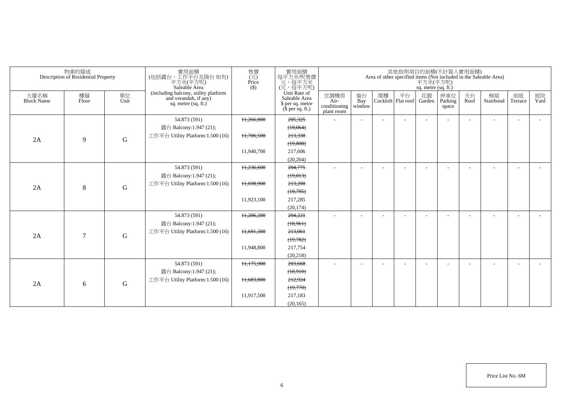|                           | 物業的描述<br>Description of Residential Property |             | 實用面積<br>(包括露台,工作平台及陽台如有)<br>平方米(平方呎)<br>Saleable Area                                  | 售價<br>$(\vec{\pi})$<br>Price<br>$($ \$) | 實用面積<br>每平方米吧售價<br>元,每平方米<br>(元,每平方呎)                                 |                                            |                          |    |                          | 平方米(平方呎)<br>sq. metre (sq. ft.) | 其他指明項目的面積(不計算入實用面積)      |            | Area of other specified items (Not included in the Saleable Area) |                          |            |
|---------------------------|----------------------------------------------|-------------|----------------------------------------------------------------------------------------|-----------------------------------------|-----------------------------------------------------------------------|--------------------------------------------|--------------------------|----|--------------------------|---------------------------------|--------------------------|------------|-------------------------------------------------------------------|--------------------------|------------|
| 大廈名稱<br><b>Block Name</b> | 樓層<br>Floor                                  | 單位<br>Unit  | (including balcony, utility platform<br>and verandah, if any)<br>sq. metre $(sq, ft.)$ |                                         | Unit Rate of<br>Saleable Area<br>\$ per sq. metre<br>$$$ per sq. ft.) | 空調機房<br>Air-<br>conditioning<br>plant room | 窗台<br>Bay<br>window      | 閣樓 | 平台<br>Cockloft Flat roof | 花園<br>Garden                    | 停車位<br>Parking<br>space  | 天台<br>Roof | 梯屋<br>Stairhood                                                   | 前庭<br>Terrace            | 庭院<br>Yard |
|                           |                                              |             | 54.873 (591)                                                                           | 11,266,800                              | 205,325                                                               |                                            | $\overline{\phantom{a}}$ |    |                          |                                 |                          |            |                                                                   |                          |            |
|                           |                                              |             | 露台 Balcony:1.947 (21);                                                                 |                                         | (19,064)                                                              |                                            |                          |    |                          |                                 |                          |            |                                                                   |                          |            |
| 2A                        | 9                                            | ${\bf G}$   | 工作平台 Utility Platform: 1.500 (16)                                                      | 11,706,500                              | 213,338                                                               |                                            |                          |    |                          |                                 |                          |            |                                                                   |                          |            |
|                           |                                              |             |                                                                                        |                                         | (19,808)                                                              |                                            |                          |    |                          |                                 |                          |            |                                                                   |                          |            |
|                           |                                              |             |                                                                                        | 11,940,700                              | 217,606                                                               |                                            |                          |    |                          |                                 |                          |            |                                                                   |                          |            |
|                           |                                              |             |                                                                                        |                                         | (20, 204)                                                             |                                            |                          |    |                          |                                 |                          |            |                                                                   |                          |            |
|                           |                                              |             | 54.873 (591)                                                                           | 11,236,600                              | 204,775                                                               | ٠                                          | $\overline{\phantom{a}}$ |    | $\overline{\phantom{a}}$ |                                 | $\overline{\phantom{a}}$ |            |                                                                   | $\overline{\phantom{a}}$ |            |
|                           |                                              |             | 露台 Balcony:1.947 (21);                                                                 |                                         | (19,013)                                                              |                                            |                          |    |                          |                                 |                          |            |                                                                   |                          |            |
| 2A                        | 8                                            | ${\bf G}$   | 工作平台 Utility Platform: 1.500 (16)                                                      | 11,698,900                              | 213,200                                                               |                                            |                          |    |                          |                                 |                          |            |                                                                   |                          |            |
|                           |                                              |             |                                                                                        |                                         | (19,795)                                                              |                                            |                          |    |                          |                                 |                          |            |                                                                   |                          |            |
|                           |                                              |             |                                                                                        | 11,923,100                              | 217,285                                                               |                                            |                          |    |                          |                                 |                          |            |                                                                   |                          |            |
|                           |                                              |             |                                                                                        |                                         | (20, 174)                                                             |                                            |                          |    |                          |                                 |                          |            |                                                                   |                          |            |
|                           |                                              |             | 54.873 (591)                                                                           | 11,206,200                              | 204,221                                                               | ٠                                          |                          |    |                          |                                 |                          |            |                                                                   |                          |            |
|                           |                                              |             | 露台 Balcony:1.947 (21);                                                                 |                                         | (18,961)                                                              |                                            |                          |    |                          |                                 |                          |            |                                                                   |                          |            |
| 2A                        | $\overline{7}$                               | $\mathbf G$ | 工作平台 Utility Platform: 1.500 (16)                                                      | 11,691,300                              | 213,061                                                               |                                            |                          |    |                          |                                 |                          |            |                                                                   |                          |            |
|                           |                                              |             |                                                                                        |                                         | (19,782)                                                              |                                            |                          |    |                          |                                 |                          |            |                                                                   |                          |            |
|                           |                                              |             |                                                                                        | 11,948,800                              | 217,754                                                               |                                            |                          |    |                          |                                 |                          |            |                                                                   |                          |            |
|                           |                                              |             |                                                                                        |                                         | (20, 218)                                                             |                                            |                          |    |                          |                                 |                          |            |                                                                   |                          |            |
|                           |                                              |             | 54.873 (591)                                                                           | 11,175,900                              | 203,668                                                               | ٠                                          | $\overline{\phantom{a}}$ |    |                          |                                 | $\overline{\phantom{a}}$ |            |                                                                   | $\overline{\phantom{a}}$ |            |
|                           |                                              |             | 露台 Balcony:1.947 (21);                                                                 |                                         | (18,910)                                                              |                                            |                          |    |                          |                                 |                          |            |                                                                   |                          |            |
| 2A                        | 6                                            | $\mathbf G$ | 工作平台 Utility Platform:1.500 (16)                                                       | 11,683,800                              | 212,924                                                               |                                            |                          |    |                          |                                 |                          |            |                                                                   |                          |            |
|                           |                                              |             |                                                                                        |                                         | (19,770)                                                              |                                            |                          |    |                          |                                 |                          |            |                                                                   |                          |            |
|                           |                                              |             |                                                                                        | 11,917,500                              | 217,183                                                               |                                            |                          |    |                          |                                 |                          |            |                                                                   |                          |            |
|                           |                                              |             |                                                                                        |                                         | (20, 165)                                                             |                                            |                          |    |                          |                                 |                          |            |                                                                   |                          |            |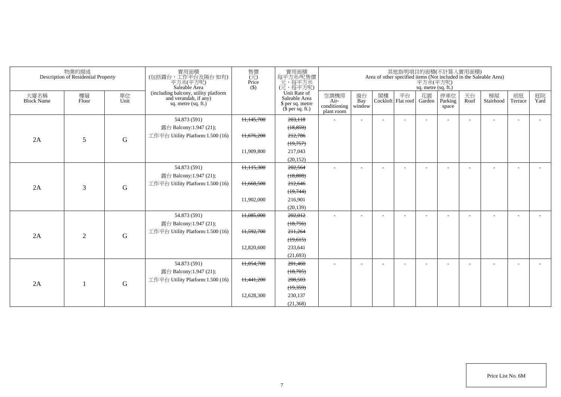|                           | 物業的描述<br>Description of Residential Property |             | 實用面積<br>(包括露台,工作平台及陽台如有)<br>平方米(平方呎)<br>Saleable Area                                | 售價<br>$\overline{(\overline{\pi})}$<br>Price<br>$($ \$) | 實用面積<br>每平方米呎售價<br>一元<br>(元,每平方米)<br>(元,每平方呎)                         |                                            |                          |    |                          | 平方米(平方呎)<br>sq. metre (sq. ft.) | 其他指明項目的面積(不計算入實用面積)      |            | Area of other specified items (Not included in the Saleable Area) |                          |            |
|---------------------------|----------------------------------------------|-------------|--------------------------------------------------------------------------------------|---------------------------------------------------------|-----------------------------------------------------------------------|--------------------------------------------|--------------------------|----|--------------------------|---------------------------------|--------------------------|------------|-------------------------------------------------------------------|--------------------------|------------|
| 大廈名稱<br><b>Block Name</b> | 樓層<br>Floor                                  | 單位<br>Unit  | (including balcony, utility platform<br>and verandah, if any)<br>sq. metre (sq. ft.) |                                                         | Unit Rate of<br>Saleable Area<br>\$ per sq. metre<br>$$$ per sq. ft.) | 空調機房<br>Air-<br>conditioning<br>plant room | 窗台<br>Bay<br>window      | 閣樓 | 平台<br>Cockloft Flat roof | 花園<br>Garden                    | 停車位<br>Parking<br>space  | 天台<br>Roof | 梯屋<br>Stairhood                                                   | 前庭<br>Terrace            | 庭院<br>Yard |
|                           |                                              |             | 54.873 (591)                                                                         | 11,145,700                                              | 203,118                                                               |                                            | $\sim$                   |    |                          |                                 | $\overline{\phantom{a}}$ |            |                                                                   | ٠                        |            |
|                           |                                              |             | 露台 Balcony:1.947 (21);                                                               |                                                         | (18, 859)                                                             |                                            |                          |    |                          |                                 |                          |            |                                                                   |                          |            |
| 2A                        | 5                                            | G           | 工作平台 Utility Platform: 1.500 (16)                                                    | 11,676,200                                              | 212,786                                                               |                                            |                          |    |                          |                                 |                          |            |                                                                   |                          |            |
|                           |                                              |             |                                                                                      |                                                         | (19,757)                                                              |                                            |                          |    |                          |                                 |                          |            |                                                                   |                          |            |
|                           |                                              |             |                                                                                      | 11,909,800                                              | 217,043                                                               |                                            |                          |    |                          |                                 |                          |            |                                                                   |                          |            |
|                           |                                              |             |                                                                                      |                                                         | (20, 152)                                                             |                                            |                          |    |                          |                                 |                          |            |                                                                   |                          |            |
|                           |                                              |             | 54.873 (591)                                                                         | 11,115,300                                              | 202,564                                                               |                                            | $\overline{\phantom{a}}$ |    |                          |                                 |                          |            |                                                                   |                          |            |
|                           |                                              |             | 露台 Balcony:1.947 (21);                                                               |                                                         | (18, 808)                                                             |                                            |                          |    |                          |                                 |                          |            |                                                                   |                          |            |
| 2A                        | 3                                            | ${\bf G}$   | 工作平台 Utility Platform:1.500 (16)                                                     | 11,668,500                                              | 212,646                                                               |                                            |                          |    |                          |                                 |                          |            |                                                                   |                          |            |
|                           |                                              |             |                                                                                      |                                                         | (19,744)                                                              |                                            |                          |    |                          |                                 |                          |            |                                                                   |                          |            |
|                           |                                              |             |                                                                                      | 11,902,000                                              | 216,901                                                               |                                            |                          |    |                          |                                 |                          |            |                                                                   |                          |            |
|                           |                                              |             |                                                                                      |                                                         | (20, 139)                                                             |                                            |                          |    |                          |                                 |                          |            |                                                                   |                          |            |
|                           |                                              |             | 54.873 (591)                                                                         | 11,085,000                                              | 202,012                                                               | $\sim$                                     |                          |    |                          |                                 |                          |            |                                                                   | ٠                        |            |
|                           |                                              |             | 露台 Balcony:1.947 (21);                                                               |                                                         | (18,756)                                                              |                                            |                          |    |                          |                                 |                          |            |                                                                   |                          |            |
| 2A                        | 2                                            | $\mathbf G$ | 工作平台 Utility Platform:1.500 (16)                                                     | 11,592,700                                              | 211,264                                                               |                                            |                          |    |                          |                                 |                          |            |                                                                   |                          |            |
|                           |                                              |             |                                                                                      |                                                         | (19,615)                                                              |                                            |                          |    |                          |                                 |                          |            |                                                                   |                          |            |
|                           |                                              |             |                                                                                      | 12,820,600                                              | 233,641                                                               |                                            |                          |    |                          |                                 |                          |            |                                                                   |                          |            |
|                           |                                              |             |                                                                                      |                                                         | (21,693)                                                              |                                            |                          |    |                          |                                 |                          |            |                                                                   |                          |            |
|                           |                                              |             | 54.873 (591)                                                                         | 11,054,700                                              | 201,460                                                               |                                            |                          |    |                          |                                 |                          |            |                                                                   | $\overline{\phantom{a}}$ |            |
|                           |                                              |             | 露台 Balcony:1.947 (21);                                                               |                                                         | (18,705)                                                              |                                            |                          |    |                          |                                 |                          |            |                                                                   |                          |            |
| 2A                        |                                              | $\mathbf G$ | 工作平台 Utility Platform:1.500 (16)                                                     | 11,441,200                                              | 208,503                                                               |                                            |                          |    |                          |                                 |                          |            |                                                                   |                          |            |
|                           |                                              |             |                                                                                      |                                                         | (19,359)                                                              |                                            |                          |    |                          |                                 |                          |            |                                                                   |                          |            |
|                           |                                              |             |                                                                                      | 12,628,300                                              | 230,137                                                               |                                            |                          |    |                          |                                 |                          |            |                                                                   |                          |            |
|                           |                                              |             |                                                                                      |                                                         | (21, 368)                                                             |                                            |                          |    |                          |                                 |                          |            |                                                                   |                          |            |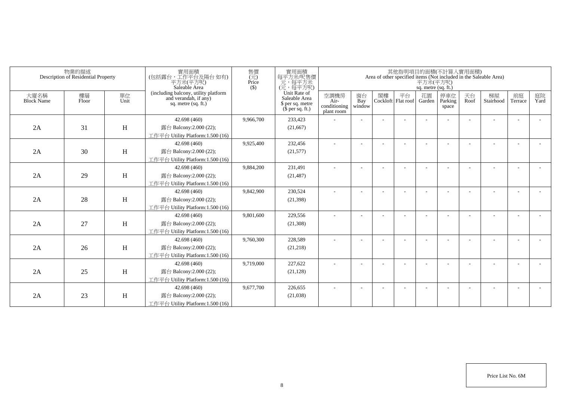|                           | 物業的描述<br>Description of Residential Property |                           | 實用面積<br>(包括露台,工作平台及陽台如有)<br>平方米(平方呎)<br>Saleable Area                                  | 售價<br>$(\vec{\pi})$<br>Price<br>$($ \$) | 實用面積<br>每平方米/呎售價<br>一元,每平方米<br>(元,每平方呎)                               |                                            |                          |    |                          | 平方米(平方呎)<br>sq. metre (sq. ft.) | 其他指明項目的面積(不計算入實用面積)     |            | Area of other specified items (Not included in the Saleable Area) |                          |            |
|---------------------------|----------------------------------------------|---------------------------|----------------------------------------------------------------------------------------|-----------------------------------------|-----------------------------------------------------------------------|--------------------------------------------|--------------------------|----|--------------------------|---------------------------------|-------------------------|------------|-------------------------------------------------------------------|--------------------------|------------|
| 大廈名稱<br><b>Block Name</b> | 樓層<br>Floor                                  | 單位<br>Unit                | (including balcony, utility platform<br>and verandah, if any)<br>sq. metre $(sq, ft.)$ |                                         | Unit Rate of<br>Saleable Area<br>\$ per sq. metre<br>$$$ per sq. ft.) | 空調機房<br>Air-<br>conditioning<br>plant room | 窗台<br>Bay<br>window      | 閣樓 | 平台<br>Cockloft Flat roof | 花園<br>Garden                    | 停車位<br>Parking<br>space | 天台<br>Roof | 梯屋<br>Stairhood                                                   | 前庭<br>Terrace            | 庭院<br>Yard |
|                           |                                              |                           | 42.698 (460)                                                                           | 9,966,700                               | 233,423                                                               |                                            |                          |    |                          |                                 |                         |            |                                                                   |                          |            |
| 2A                        | 31                                           | H                         | 露台 Balcony:2.000 (22);                                                                 |                                         | (21,667)                                                              |                                            |                          |    |                          |                                 |                         |            |                                                                   |                          |            |
|                           |                                              |                           | 工作平台 Utility Platform:1.500 (16)                                                       |                                         |                                                                       |                                            |                          |    |                          |                                 |                         |            |                                                                   |                          |            |
|                           |                                              |                           | 42.698 (460)                                                                           | 9,925,400                               | 232,456                                                               |                                            |                          |    |                          |                                 |                         |            |                                                                   |                          |            |
| 2A                        | 30                                           | H                         | 露台 Balcony:2.000 (22);                                                                 |                                         | (21, 577)                                                             |                                            |                          |    |                          |                                 |                         |            |                                                                   |                          |            |
|                           |                                              |                           | 工作平台 Utility Platform:1.500 (16)                                                       |                                         |                                                                       |                                            |                          |    |                          |                                 |                         |            |                                                                   |                          |            |
|                           |                                              |                           | 42.698 (460)                                                                           | 9,884,200                               | 231,491                                                               | ٠                                          | $\overline{\phantom{a}}$ |    |                          |                                 |                         |            |                                                                   |                          |            |
| 2A                        | 29                                           | $\boldsymbol{\mathrm{H}}$ | 露台 Balcony:2.000 (22);                                                                 |                                         | (21, 487)                                                             |                                            |                          |    |                          |                                 |                         |            |                                                                   |                          |            |
|                           |                                              |                           | 工作平台 Utility Platform: 1.500 (16)                                                      |                                         |                                                                       |                                            |                          |    |                          |                                 |                         |            |                                                                   |                          |            |
|                           |                                              |                           | 42.698 (460)                                                                           | 9,842,900                               | 230,524                                                               |                                            |                          |    |                          |                                 |                         |            |                                                                   |                          |            |
| 2A                        | 28                                           | H                         | 露台 Balcony: 2.000 (22);                                                                |                                         | (21, 398)                                                             |                                            |                          |    |                          |                                 |                         |            |                                                                   |                          |            |
|                           |                                              |                           | 工作平台 Utility Platform: 1.500 (16)                                                      |                                         |                                                                       |                                            |                          |    |                          |                                 |                         |            |                                                                   |                          |            |
|                           |                                              |                           | 42.698 (460)                                                                           | 9,801,600                               | 229,556                                                               |                                            |                          |    |                          |                                 |                         |            |                                                                   |                          |            |
| 2A                        | 27                                           | H                         | 露台 Balcony: 2.000 (22);                                                                |                                         | (21,308)                                                              |                                            |                          |    |                          |                                 |                         |            |                                                                   |                          |            |
|                           |                                              |                           | 工作平台 Utility Platform: 1.500 (16)                                                      |                                         |                                                                       |                                            |                          |    |                          |                                 |                         |            |                                                                   |                          |            |
|                           |                                              |                           | 42.698 (460)                                                                           | 9,760,300                               | 228,589                                                               |                                            |                          |    |                          |                                 |                         |            |                                                                   |                          |            |
| 2A                        | 26                                           | H                         | 露台 Balcony: 2.000 (22);                                                                |                                         | (21, 218)                                                             |                                            |                          |    |                          |                                 |                         |            |                                                                   |                          |            |
|                           |                                              |                           | 工作平台 Utility Platform: 1.500 (16)                                                      |                                         |                                                                       |                                            |                          |    |                          |                                 |                         |            |                                                                   |                          |            |
|                           |                                              |                           | 42.698 (460)                                                                           | 9,719,000                               | 227,622                                                               |                                            |                          |    |                          |                                 |                         |            |                                                                   | $\overline{\phantom{a}}$ |            |
| 2A                        | 25                                           | H                         | 露台 Balcony: 2.000 (22);                                                                |                                         | (21, 128)                                                             |                                            |                          |    |                          |                                 |                         |            |                                                                   |                          |            |
|                           |                                              |                           | 工作平台 Utility Platform: 1.500 (16)                                                      |                                         |                                                                       |                                            |                          |    |                          |                                 |                         |            |                                                                   |                          |            |
|                           |                                              |                           | 42.698 (460)                                                                           | 9,677,700                               | 226,655                                                               |                                            |                          |    |                          |                                 |                         |            |                                                                   |                          |            |
| 2A                        | 23                                           | H                         | 露台 Balcony: 2.000 (22);                                                                |                                         | (21,038)                                                              |                                            |                          |    |                          |                                 |                         |            |                                                                   |                          |            |
|                           |                                              |                           | 工作平台 Utility Platform:1.500 (16)                                                       |                                         |                                                                       |                                            |                          |    |                          |                                 |                         |            |                                                                   |                          |            |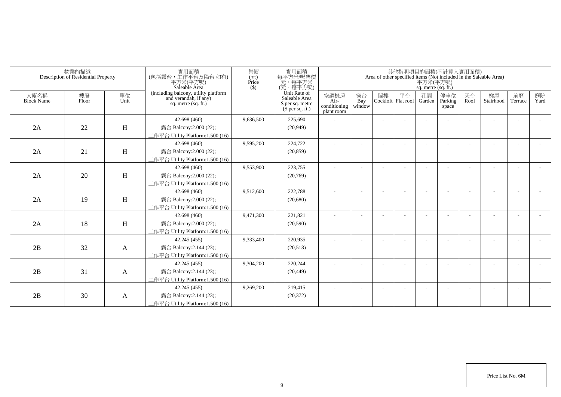|                           | 物業的描述<br>Description of Residential Property |                           | 實用面積<br>(包括露台,工作平台及陽台如有)<br>平方米(平方呎)<br>Saleable Area                                  | 售價<br>$(\vec{\pi})$<br>Price<br>$($ \$) | 實用面積<br>每平方米/呎售價<br>一元,每平方米<br>(元,每平方呎)                               |                                            |                          |    |                          | 平方米(平方呎)<br>sq. metre (sq. ft.) | 其他指明項目的面積(不計算入實用面積)     |            | Area of other specified items (Not included in the Saleable Area) |                          |            |
|---------------------------|----------------------------------------------|---------------------------|----------------------------------------------------------------------------------------|-----------------------------------------|-----------------------------------------------------------------------|--------------------------------------------|--------------------------|----|--------------------------|---------------------------------|-------------------------|------------|-------------------------------------------------------------------|--------------------------|------------|
| 大廈名稱<br><b>Block Name</b> | 樓層<br>Floor                                  | 單位<br>Unit                | (including balcony, utility platform<br>and verandah, if any)<br>sq. metre $(sq, ft.)$ |                                         | Unit Rate of<br>Saleable Area<br>\$ per sq. metre<br>$$$ per sq. ft.) | 空調機房<br>Air-<br>conditioning<br>plant room | 窗台<br>Bay<br>window      | 閣樓 | 平台<br>Cockloft Flat roof | 花園<br>Garden                    | 停車位<br>Parking<br>space | 天台<br>Roof | 梯屋<br>Stairhood                                                   | 前庭<br>Terrace            | 庭院<br>Yard |
|                           |                                              |                           | 42.698 (460)                                                                           | 9,636,500                               | 225,690                                                               |                                            |                          |    |                          |                                 |                         |            |                                                                   |                          |            |
| 2A                        | 22                                           | H                         | 露台 Balcony:2.000 (22);                                                                 |                                         | (20, 949)                                                             |                                            |                          |    |                          |                                 |                         |            |                                                                   |                          |            |
|                           |                                              |                           | 工作平台 Utility Platform:1.500 (16)                                                       |                                         |                                                                       |                                            |                          |    |                          |                                 |                         |            |                                                                   |                          |            |
|                           |                                              |                           | 42.698 (460)                                                                           | 9,595,200                               | 224,722                                                               |                                            |                          |    |                          |                                 |                         |            |                                                                   |                          |            |
| 2A                        | 21                                           | H                         | 露台 Balcony:2.000 (22);                                                                 |                                         | (20, 859)                                                             |                                            |                          |    |                          |                                 |                         |            |                                                                   |                          |            |
|                           |                                              |                           | 工作平台 Utility Platform:1.500 (16)                                                       |                                         |                                                                       |                                            |                          |    |                          |                                 |                         |            |                                                                   |                          |            |
|                           |                                              |                           | 42.698 (460)                                                                           | 9,553,900                               | 223,755                                                               | ٠                                          | $\overline{\phantom{a}}$ |    |                          |                                 |                         |            |                                                                   |                          |            |
| 2A                        | 20                                           | $\boldsymbol{\mathrm{H}}$ | 露台 Balcony:2.000 (22);                                                                 |                                         | (20,769)                                                              |                                            |                          |    |                          |                                 |                         |            |                                                                   |                          |            |
|                           |                                              |                           | 工作平台 Utility Platform:1.500 (16)                                                       |                                         |                                                                       |                                            |                          |    |                          |                                 |                         |            |                                                                   |                          |            |
|                           |                                              |                           | 42.698 (460)                                                                           | 9,512,600                               | 222,788                                                               |                                            |                          |    |                          |                                 |                         |            |                                                                   |                          |            |
| 2A                        | 19                                           | H                         | 露台 Balcony: 2.000 (22);                                                                |                                         | (20,680)                                                              |                                            |                          |    |                          |                                 |                         |            |                                                                   |                          |            |
|                           |                                              |                           | 工作平台 Utility Platform:1.500 (16)                                                       |                                         |                                                                       |                                            |                          |    |                          |                                 |                         |            |                                                                   |                          |            |
|                           |                                              |                           | 42.698 (460)                                                                           | 9,471,300                               | 221,821                                                               |                                            |                          |    |                          |                                 |                         |            |                                                                   |                          |            |
| 2A                        | 18                                           | H                         | 露台 Balcony: 2.000 (22);                                                                |                                         | (20, 590)                                                             |                                            |                          |    |                          |                                 |                         |            |                                                                   |                          |            |
|                           |                                              |                           | 工作平台 Utility Platform: 1.500 (16)                                                      |                                         |                                                                       |                                            |                          |    |                          |                                 |                         |            |                                                                   |                          |            |
|                           |                                              |                           | 42.245 (455)                                                                           | 9,333,400                               | 220,935                                                               |                                            |                          |    |                          |                                 |                         |            |                                                                   |                          |            |
| 2B                        | 32                                           | A                         | 露台 Balcony:2.144 (23);                                                                 |                                         | (20,513)                                                              |                                            |                          |    |                          |                                 |                         |            |                                                                   |                          |            |
|                           |                                              |                           | 工作平台 Utility Platform:1.500 (16)                                                       |                                         |                                                                       |                                            |                          |    |                          |                                 |                         |            |                                                                   |                          |            |
|                           |                                              |                           | 42.245 (455)                                                                           | 9,304,200                               | 220,244                                                               |                                            |                          |    |                          |                                 |                         |            |                                                                   | $\overline{\phantom{a}}$ |            |
| 2B                        | 31                                           | A                         | 露台 Balcony:2.144 (23);                                                                 |                                         | (20, 449)                                                             |                                            |                          |    |                          |                                 |                         |            |                                                                   |                          |            |
|                           |                                              |                           | 工作平台 Utility Platform: 1.500 (16)                                                      |                                         |                                                                       |                                            |                          |    |                          |                                 |                         |            |                                                                   |                          |            |
|                           |                                              |                           | 42.245 (455)                                                                           | 9,269,200                               | 219,415                                                               |                                            |                          |    |                          |                                 |                         |            |                                                                   | <b>.</b>                 |            |
| 2B                        | 30                                           | A                         | 露台 Balcony:2.144 (23);                                                                 |                                         | (20, 372)                                                             |                                            |                          |    |                          |                                 |                         |            |                                                                   |                          |            |
|                           |                                              |                           | 工作平台 Utility Platform:1.500 (16)                                                       |                                         |                                                                       |                                            |                          |    |                          |                                 |                         |            |                                                                   |                          |            |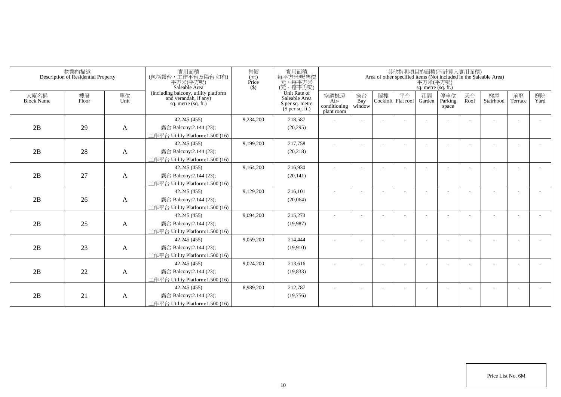|                           | 物業的描述<br>Description of Residential Property |              | 實用面積<br>(包括露台,工作平台及陽台如有)<br>平方米(平方呎)<br>Saleable Area                                | 售價<br>(元)<br>Price<br>$($ \$) | 實用面積<br>每平方米/呎售價<br>一元, 每平方米<br>(元, 每平方呎)                                     |                                            |                     |    |                          | 平方米(平方呎)<br>sq. metre (sq. ft.) | 其他指明項目的面積(不計算入實用面積)     |            | Area of other specified items (Not included in the Saleable Area) |               |            |
|---------------------------|----------------------------------------------|--------------|--------------------------------------------------------------------------------------|-------------------------------|-------------------------------------------------------------------------------|--------------------------------------------|---------------------|----|--------------------------|---------------------------------|-------------------------|------------|-------------------------------------------------------------------|---------------|------------|
| 大廈名稱<br><b>Block Name</b> | 樓層<br>Floor                                  | 單位<br>Unit   | (including balcony, utility platform<br>and verandah, if any)<br>sq. metre (sq. ft.) |                               | Unit Rate of<br>Saleable Area<br>\$ per sq. metre<br>$(\bar{\S}$ per sq. ft.) | 空調機房<br>Air-<br>conditioning<br>plant room | 窗台<br>Bay<br>window | 閣樓 | 平台<br>Cockloft Flat roof | 花園<br>Garden                    | 停車位<br>Parking<br>space | 天台<br>Roof | 梯屋<br>Stairhood                                                   | 前庭<br>Terrace | 庭院<br>Yard |
|                           |                                              |              | 42.245 (455)                                                                         | 9,234,200                     | 218,587                                                                       |                                            |                     |    |                          |                                 |                         |            |                                                                   |               |            |
| 2B                        | 29                                           | A            | 露台 Balcony:2.144 (23);                                                               |                               | (20, 295)                                                                     |                                            |                     |    |                          |                                 |                         |            |                                                                   |               |            |
|                           |                                              |              | 工作平台 Utility Platform:1.500 (16)                                                     |                               |                                                                               |                                            |                     |    |                          |                                 |                         |            |                                                                   |               |            |
|                           |                                              |              | 42.245 (455)                                                                         | 9,199,200                     | 217,758                                                                       |                                            |                     |    |                          |                                 |                         |            |                                                                   |               |            |
| 2B                        | 28                                           | A            | 露台 Balcony:2.144 (23);                                                               |                               | (20, 218)                                                                     |                                            |                     |    |                          |                                 |                         |            |                                                                   |               |            |
|                           |                                              |              | 工作平台 Utility Platform:1.500 (16)                                                     |                               |                                                                               |                                            |                     |    |                          |                                 |                         |            |                                                                   |               |            |
|                           |                                              |              | 42.245 (455)                                                                         | 9,164,200                     | 216,930                                                                       | $\overline{\phantom{a}}$                   |                     |    |                          |                                 |                         |            |                                                                   |               |            |
| 2B                        | 27                                           | A            | 露台 Balcony:2.144 (23);                                                               |                               | (20, 141)                                                                     |                                            |                     |    |                          |                                 |                         |            |                                                                   |               |            |
|                           |                                              |              | 工作平台 Utility Platform: 1.500 (16)                                                    |                               |                                                                               |                                            |                     |    |                          |                                 |                         |            |                                                                   |               |            |
|                           |                                              |              | 42.245 (455)                                                                         | 9,129,200                     | 216,101                                                                       |                                            |                     |    |                          |                                 |                         |            |                                                                   |               |            |
| 2B                        | 26                                           | A            | 露台 Balcony:2.144 (23);                                                               |                               | (20,064)                                                                      |                                            |                     |    |                          |                                 |                         |            |                                                                   |               |            |
|                           |                                              |              | 工作平台 Utility Platform:1.500 (16)                                                     |                               |                                                                               |                                            |                     |    |                          |                                 |                         |            |                                                                   |               |            |
|                           |                                              |              | 42.245 (455)                                                                         | 9,094,200                     | 215,273                                                                       |                                            |                     |    |                          |                                 |                         |            |                                                                   |               |            |
| 2B                        | 25                                           | $\mathbf{A}$ | 露台 Balcony:2.144 (23);                                                               |                               | (19,987)                                                                      |                                            |                     |    |                          |                                 |                         |            |                                                                   |               |            |
|                           |                                              |              | 工作平台 Utility Platform: 1.500 (16)                                                    |                               |                                                                               |                                            |                     |    |                          |                                 |                         |            |                                                                   |               |            |
|                           |                                              |              | 42.245 (455)                                                                         | 9,059,200                     | 214,444                                                                       |                                            |                     |    |                          |                                 |                         |            |                                                                   |               |            |
| 2B                        | 23                                           | A            | 露台 Balcony:2.144 (23);                                                               |                               | (19,910)                                                                      |                                            |                     |    |                          |                                 |                         |            |                                                                   |               |            |
|                           |                                              |              | 工作平台 Utility Platform:1.500 (16)                                                     |                               |                                                                               |                                            |                     |    |                          |                                 |                         |            |                                                                   |               |            |
|                           |                                              |              | 42.245 (455)                                                                         | 9,024,200                     | 213,616                                                                       |                                            |                     |    |                          |                                 |                         |            |                                                                   |               |            |
| 2B                        | 22                                           | $\mathbf{A}$ | 露台 Balcony:2.144 (23);                                                               |                               | (19, 833)                                                                     |                                            |                     |    |                          |                                 |                         |            |                                                                   |               |            |
|                           |                                              |              | 工作平台 Utility Platform: 1.500 (16)                                                    |                               |                                                                               |                                            |                     |    |                          |                                 |                         |            |                                                                   |               |            |
|                           |                                              |              | 42.245 (455)                                                                         | 8,989,200                     | 212,787                                                                       |                                            |                     |    |                          |                                 |                         |            |                                                                   |               |            |
| 2B                        | 21                                           | A            | 露台 Balcony:2.144 (23);                                                               |                               | (19,756)                                                                      |                                            |                     |    |                          |                                 |                         |            |                                                                   |               |            |
|                           |                                              |              | 工作平台 Utility Platform:1.500 (16)                                                     |                               |                                                                               |                                            |                     |    |                          |                                 |                         |            |                                                                   |               |            |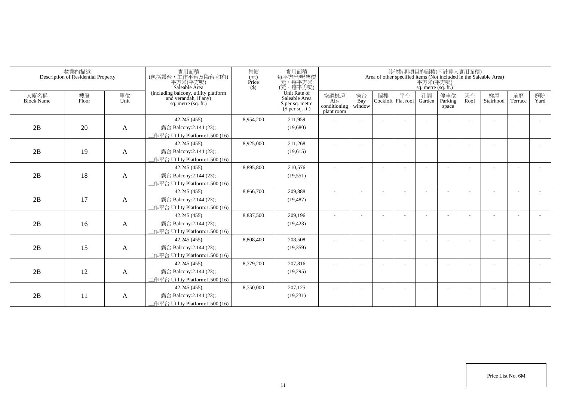|                           | 物業的描述<br>Description of Residential Property |              | 實用面積<br>(包括露台,工作平台及陽台如有)<br>平方米(平方呎)<br>Saleable Area                                | 售價<br>(元)<br>Price<br>$($ \$ | 實用面積<br>每平方米/呎售價<br>一元,每平方米<br>(元,每平方呎)                                       |                                            |                     |    |                          | 平方米(平方呎)<br>sq. metre (sq. ft.) | 其他指明項目的面積(不計算入實用面積)     |            | Area of other specified items (Not included in the Saleable Area) |               |            |
|---------------------------|----------------------------------------------|--------------|--------------------------------------------------------------------------------------|------------------------------|-------------------------------------------------------------------------------|--------------------------------------------|---------------------|----|--------------------------|---------------------------------|-------------------------|------------|-------------------------------------------------------------------|---------------|------------|
| 大廈名稱<br><b>Block Name</b> | 樓層<br>Floor                                  | 單位<br>Unit   | (including balcony, utility platform<br>and verandah, if any)<br>sq. metre (sq. ft.) |                              | Unit Rate of<br>Saleable Area<br>\$ per sq. metre<br>$(\bar{\S}$ per sq. ft.) | 空調機房<br>Air-<br>conditioning<br>plant room | 窗台<br>Bay<br>window | 閣樓 | 平台<br>Cockloft Flat roof | 花園<br>Garden                    | 停車位<br>Parking<br>space | 天台<br>Roof | 梯屋<br>Stairhood                                                   | 前庭<br>Terrace | 庭院<br>Yard |
|                           |                                              |              | 42.245 (455)                                                                         | 8,954,200                    | 211,959                                                                       |                                            |                     |    |                          |                                 |                         |            |                                                                   |               |            |
| 2B                        | 20                                           | A            | 露台 Balcony:2.144 (23);                                                               |                              | (19,680)                                                                      |                                            |                     |    |                          |                                 |                         |            |                                                                   |               |            |
|                           |                                              |              | 工作平台 Utility Platform:1.500 (16)                                                     |                              |                                                                               |                                            |                     |    |                          |                                 |                         |            |                                                                   |               |            |
|                           |                                              |              | 42.245 (455)                                                                         | 8,925,000                    | 211,268                                                                       |                                            |                     |    |                          |                                 |                         |            |                                                                   |               |            |
| 2B                        | 19                                           | A            | 露台 Balcony:2.144 (23);                                                               |                              | (19,615)                                                                      |                                            |                     |    |                          |                                 |                         |            |                                                                   |               |            |
|                           |                                              |              | 工作平台 Utility Platform:1.500 (16)                                                     |                              |                                                                               |                                            |                     |    |                          |                                 |                         |            |                                                                   |               |            |
|                           |                                              |              | 42.245 (455)                                                                         | 8,895,800                    | 210,576                                                                       | $\overline{\phantom{a}}$                   |                     |    |                          |                                 |                         |            |                                                                   |               |            |
| 2B                        | 18                                           | A            | 露台 Balcony:2.144 (23);                                                               |                              | (19, 551)                                                                     |                                            |                     |    |                          |                                 |                         |            |                                                                   |               |            |
|                           |                                              |              | 工作平台 Utility Platform:1.500 (16)                                                     |                              |                                                                               |                                            |                     |    |                          |                                 |                         |            |                                                                   |               |            |
|                           |                                              |              | 42.245 (455)                                                                         | 8,866,700                    | 209,888                                                                       |                                            |                     |    |                          |                                 |                         |            |                                                                   |               |            |
| 2B                        | 17                                           | A            | 露台 Balcony:2.144 (23);                                                               |                              | (19, 487)                                                                     |                                            |                     |    |                          |                                 |                         |            |                                                                   |               |            |
|                           |                                              |              | 工作平台 Utility Platform:1.500 (16)                                                     |                              |                                                                               |                                            |                     |    |                          |                                 |                         |            |                                                                   |               |            |
|                           |                                              |              | 42.245 (455)                                                                         | 8,837,500                    | 209,196                                                                       |                                            |                     |    |                          |                                 |                         |            |                                                                   |               |            |
| 2B                        | 16                                           | $\mathbf{A}$ | 露台 Balcony:2.144 (23);                                                               |                              | (19, 423)                                                                     |                                            |                     |    |                          |                                 |                         |            |                                                                   |               |            |
|                           |                                              |              | 工作平台 Utility Platform: 1.500 (16)                                                    |                              |                                                                               |                                            |                     |    |                          |                                 |                         |            |                                                                   |               |            |
|                           |                                              |              | 42.245 (455)                                                                         | 8,808,400                    | 208,508                                                                       |                                            |                     |    |                          |                                 |                         |            |                                                                   |               |            |
| 2B                        | 15                                           | A            | 露台 Balcony:2.144 (23);                                                               |                              | (19,359)                                                                      |                                            |                     |    |                          |                                 |                         |            |                                                                   |               |            |
|                           |                                              |              | 工作平台 Utility Platform:1.500 (16)                                                     |                              |                                                                               |                                            |                     |    |                          |                                 |                         |            |                                                                   |               |            |
|                           |                                              |              | 42.245 (455)                                                                         | 8,779,200                    | 207,816                                                                       |                                            |                     |    |                          |                                 |                         |            |                                                                   |               |            |
| 2B                        | 12                                           | A            | 露台 Balcony:2.144 (23);                                                               |                              | (19,295)                                                                      |                                            |                     |    |                          |                                 |                         |            |                                                                   |               |            |
|                           |                                              |              | 工作平台 Utility Platform: 1.500 (16)                                                    |                              |                                                                               |                                            |                     |    |                          |                                 |                         |            |                                                                   |               |            |
|                           |                                              |              | 42.245 (455)                                                                         | 8,750,000                    | 207,125                                                                       |                                            |                     |    |                          |                                 |                         |            |                                                                   |               |            |
| 2B                        | 11                                           | A            | 露台 Balcony:2.144 (23);                                                               |                              | (19,231)                                                                      |                                            |                     |    |                          |                                 |                         |            |                                                                   |               |            |
|                           |                                              |              | 工作平台 Utility Platform:1.500 (16)                                                     |                              |                                                                               |                                            |                     |    |                          |                                 |                         |            |                                                                   |               |            |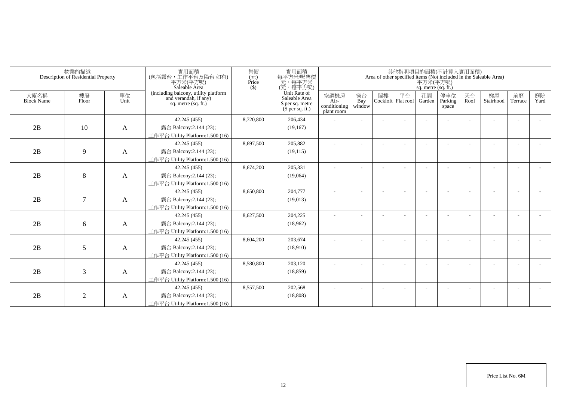| 物業的描述<br>Description of Residential Property |                | 實用面積<br>(包括露台,工作平台及陽台 如有)<br>平方米(平方呎)<br>Saleable Area | 售價<br>$\overline{\text{Price}}$<br>Price<br>$($ \$)                                  |           | 實用面積<br>其他指明項目的面積(不計算入實用面積)<br>每平方米/呎售價<br>Area of other specified items (Not included in the Saleable Area)<br>元,每平方米<br>平方米(平方呎)<br>(元,每平方呎)<br>sq. metre (sq. ft.) |                                            |                     |    |                            |              |                         |            |                 |                          |            |
|----------------------------------------------|----------------|--------------------------------------------------------|--------------------------------------------------------------------------------------|-----------|-----------------------------------------------------------------------------------------------------------------------------------------------------------------------|--------------------------------------------|---------------------|----|----------------------------|--------------|-------------------------|------------|-----------------|--------------------------|------------|
| 大廈名稱<br><b>Block Name</b>                    | 樓層<br>Floor    | 單位<br>Unit                                             | (including balcony, utility platform<br>and verandah, if any)<br>sq. metre (sq. ft.) |           | Unit Rate of<br>Saleable Area<br>\$ per sq. metre<br>$(\bar{\S}$ per sq. ft.)                                                                                         | 空調機房<br>Air-<br>conditioning<br>plant room | 窗台<br>Bay<br>window | 閣樓 | 平台<br>Cockloft   Flat roof | 花園<br>Garden | 停車位<br>Parking<br>space | 天台<br>Roof | 梯屋<br>Stairhood | 前庭<br>Terrace            | 庭院<br>Yard |
|                                              |                |                                                        | 42.245 (455)                                                                         | 8,720,800 | 206,434                                                                                                                                                               |                                            |                     |    |                            |              |                         |            |                 |                          |            |
| 2B                                           | 10             | A                                                      | 露台 Balcony:2.144 (23);                                                               |           | (19,167)                                                                                                                                                              |                                            |                     |    |                            |              |                         |            |                 |                          |            |
|                                              |                |                                                        | 工作平台 Utility Platform:1.500 (16)                                                     |           |                                                                                                                                                                       |                                            |                     |    |                            |              |                         |            |                 |                          |            |
|                                              |                |                                                        | 42.245 (455)                                                                         | 8,697,500 | 205,882                                                                                                                                                               | $\sim$                                     | ٠                   | ٠  |                            |              |                         |            |                 | $\overline{\phantom{a}}$ |            |
| 2B                                           | $\overline{9}$ | A                                                      | 露台 Balcony:2.144 (23);                                                               |           | (19, 115)                                                                                                                                                             |                                            |                     |    |                            |              |                         |            |                 |                          |            |
|                                              |                |                                                        | 工作平台 Utility Platform:1.500 (16)                                                     |           |                                                                                                                                                                       |                                            |                     |    |                            |              |                         |            |                 |                          |            |
|                                              |                |                                                        | 42.245 (455)                                                                         | 8.674.200 | 205.331                                                                                                                                                               | $\sim$                                     |                     |    |                            |              |                         |            |                 |                          |            |
| 2B                                           | 8              | A                                                      | 露台 Balcony:2.144 (23);                                                               |           | (19,064)                                                                                                                                                              |                                            |                     |    |                            |              |                         |            |                 |                          |            |
|                                              |                |                                                        | 工作平台 Utility Platform:1.500 (16)                                                     |           |                                                                                                                                                                       |                                            |                     |    |                            |              |                         |            |                 |                          |            |
|                                              |                |                                                        | 42.245 (455)                                                                         | 8,650,800 | 204,777                                                                                                                                                               |                                            |                     |    |                            |              |                         |            |                 |                          |            |
| 2B                                           | $\overline{7}$ | A                                                      | 露台 Balcony:2.144 (23);                                                               |           | (19,013)                                                                                                                                                              |                                            |                     |    |                            |              |                         |            |                 |                          |            |
|                                              |                |                                                        | 工作平台 Utility Platform:1.500 (16)                                                     |           |                                                                                                                                                                       |                                            |                     |    |                            |              |                         |            |                 |                          |            |
|                                              |                |                                                        | 42.245 (455)                                                                         | 8,627,500 | 204,225                                                                                                                                                               |                                            |                     |    |                            |              |                         |            |                 |                          |            |
| 2B                                           | 6              | A                                                      | 露台 Balcony:2.144 (23);                                                               |           | (18,962)                                                                                                                                                              |                                            |                     |    |                            |              |                         |            |                 |                          |            |
|                                              |                |                                                        | 工作平台 Utility Platform:1.500 (16)                                                     |           |                                                                                                                                                                       |                                            |                     |    |                            |              |                         |            |                 |                          |            |
|                                              |                |                                                        | 42.245(455)                                                                          | 8,604,200 | 203,674                                                                                                                                                               |                                            |                     |    |                            |              |                         |            |                 |                          |            |
| 2B                                           | 5              | A                                                      | 露台 Balcony:2.144 (23);                                                               |           | (18,910)                                                                                                                                                              |                                            |                     |    |                            |              |                         |            |                 |                          |            |
|                                              |                |                                                        | 工作平台 Utility Platform:1.500 (16)                                                     |           |                                                                                                                                                                       |                                            |                     |    |                            |              |                         |            |                 |                          |            |
|                                              |                |                                                        | 42.245 (455)                                                                         | 8,580,800 | 203.120                                                                                                                                                               | $\overline{\phantom{a}}$                   |                     |    |                            |              |                         |            |                 | $\overline{\phantom{a}}$ |            |
| 2B                                           | 3              | A                                                      | 露台 Balcony:2.144 (23);                                                               |           | (18, 859)                                                                                                                                                             |                                            |                     |    |                            |              |                         |            |                 |                          |            |
|                                              |                |                                                        | 工作平台 Utility Platform:1.500 (16)                                                     |           |                                                                                                                                                                       |                                            |                     |    |                            |              |                         |            |                 |                          |            |
|                                              |                |                                                        | 42.245 (455)                                                                         | 8,557,500 | 202,568                                                                                                                                                               |                                            |                     |    |                            |              |                         |            |                 |                          |            |
| 2B                                           | 2              | A                                                      | 露台 Balcony:2.144 (23);                                                               |           | (18, 808)                                                                                                                                                             |                                            |                     |    |                            |              |                         |            |                 |                          |            |
|                                              |                |                                                        | 工作平台 Utility Platform:1.500 (16)                                                     |           |                                                                                                                                                                       |                                            |                     |    |                            |              |                         |            |                 |                          |            |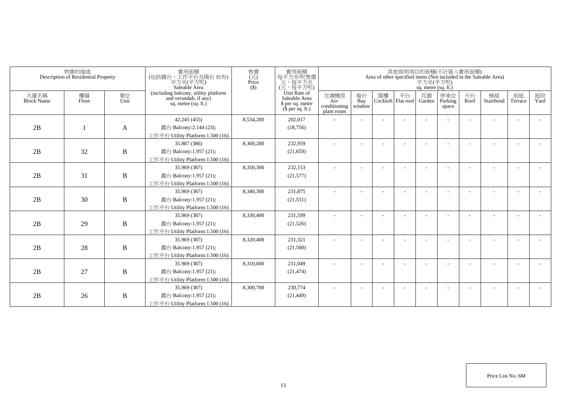| 物業的描述<br>Description of Residential Property |             | 實用面積<br>(包括露台,工作平台及陽台如有)<br>平方米(平方呎)<br>Saleable Area | 售價<br>$\overline{(\overline{\tau}\overline{\tau})}$<br>Price<br>$($ \$                 | 實用面積<br>每平方米/呎售價<br>元,每平方米<br>(元,每平方呎) |                                                                       |                                            |                          |    | 平方米(平方呎)<br>sq. metre (sq. ft.) | 其他指明項目的面積(不計算入實用面積) |                          | Area of other specified items (Not included in the Saleable Area) |                 |                          |            |
|----------------------------------------------|-------------|-------------------------------------------------------|----------------------------------------------------------------------------------------|----------------------------------------|-----------------------------------------------------------------------|--------------------------------------------|--------------------------|----|---------------------------------|---------------------|--------------------------|-------------------------------------------------------------------|-----------------|--------------------------|------------|
| 大廈名稱<br><b>Block Name</b>                    | 樓層<br>Floor | 單位<br>Unit                                            | (including balcony, utility platform<br>and verandah, if any)<br>sq. metre $(sq, ft.)$ |                                        | Unit Rate of<br>Saleable Area<br>\$ per sq. metre<br>$$$ per sq. ft.) | 空調機房<br>Air-<br>conditioning<br>plant room | 窗台<br>Bay<br>window      | 閣樓 | 平台<br>Cockloft Flat roof Garden | 花園                  | 停車位<br>Parking<br>space  | 天台<br>Roof                                                        | 梯屋<br>Stairhood | 前庭<br>Terrace            | 庭院<br>Yard |
|                                              |             |                                                       | 42.245 (455)                                                                           | 8,534,200                              | 202,017                                                               |                                            |                          |    |                                 |                     |                          |                                                                   |                 | ÷                        |            |
| 2B                                           |             | A                                                     | 露台 Balcony:2.144 (23);                                                                 |                                        | (18, 756)                                                             |                                            |                          |    |                                 |                     |                          |                                                                   |                 |                          |            |
|                                              |             |                                                       | 工作平台 Utility Platform: 1.500 (16)                                                      |                                        |                                                                       |                                            |                          |    |                                 |                     |                          |                                                                   |                 |                          |            |
|                                              |             |                                                       | 35.887 (386)                                                                           | 8,360,200                              | 232,959                                                               | $\sim$                                     | $\overline{\phantom{a}}$ |    |                                 |                     | $\overline{\phantom{a}}$ |                                                                   |                 | $\overline{\phantom{a}}$ |            |
| 2B                                           | 32          | $\, {\bf B}$                                          | 露台 Balcony:1.957 (21);                                                                 |                                        | (21,659)                                                              |                                            |                          |    |                                 |                     |                          |                                                                   |                 |                          |            |
|                                              |             |                                                       | 工作平台 Utility Platform: 1.500 (16)                                                      |                                        |                                                                       |                                            |                          |    |                                 |                     |                          |                                                                   |                 |                          |            |
|                                              |             |                                                       | 35.969 (387)                                                                           | 8,350,300                              | 232,153                                                               | ٠                                          |                          |    |                                 |                     |                          |                                                                   |                 |                          |            |
| 2B                                           | 31          | $\, {\bf B}$                                          | 露台 Balcony:1.957 (21);                                                                 |                                        | (21, 577)                                                             |                                            |                          |    |                                 |                     |                          |                                                                   |                 |                          |            |
|                                              |             |                                                       | 工作平台 Utility Platform: 1.500 (16)                                                      |                                        |                                                                       |                                            |                          |    |                                 |                     |                          |                                                                   |                 |                          |            |
|                                              |             |                                                       | 35.969 (387)                                                                           | 8,340,300                              | 231,875                                                               |                                            |                          |    |                                 |                     |                          |                                                                   |                 |                          |            |
| 2B                                           | 30          | B                                                     | 露台 Balcony:1.957 (21);                                                                 |                                        | (21, 551)                                                             |                                            |                          |    |                                 |                     |                          |                                                                   |                 |                          |            |
|                                              |             |                                                       | 工作平台 Utility Platform:1.500 (16)                                                       |                                        |                                                                       |                                            |                          |    |                                 |                     |                          |                                                                   |                 |                          |            |
|                                              |             |                                                       | 35.969 (387)                                                                           | 8,330,400                              | 231,599                                                               | ÷                                          |                          |    |                                 |                     |                          |                                                                   |                 | $\overline{\phantom{a}}$ |            |
| 2B                                           | 29          | $\bf{B}$                                              | 露台 Balcony:1.957 (21);                                                                 |                                        | (21, 526)                                                             |                                            |                          |    |                                 |                     |                          |                                                                   |                 |                          |            |
|                                              |             |                                                       | 工作平台 Utility Platform: 1.500 (16)                                                      |                                        |                                                                       |                                            |                          |    |                                 |                     |                          |                                                                   |                 |                          |            |
|                                              |             |                                                       | 35.969 (387)                                                                           | 8,320,400                              | 231,321                                                               |                                            |                          |    |                                 |                     |                          |                                                                   |                 |                          |            |
| 2B                                           | 28          | B                                                     | 露台 Balcony:1.957 (21);                                                                 |                                        | (21,500)                                                              |                                            |                          |    |                                 |                     |                          |                                                                   |                 |                          |            |
|                                              |             |                                                       | 工作平台 Utility Platform:1.500 (16)                                                       |                                        |                                                                       |                                            |                          |    |                                 |                     |                          |                                                                   |                 |                          |            |
|                                              |             |                                                       | 35.969 (387)                                                                           | 8,310,600                              | 231,049                                                               |                                            |                          |    |                                 |                     |                          |                                                                   |                 |                          |            |
| 2B                                           | 27          | $\bf{B}$                                              | 露台 Balcony:1.957 (21);                                                                 |                                        | (21, 474)                                                             |                                            |                          |    |                                 |                     |                          |                                                                   |                 |                          |            |
|                                              |             |                                                       | 工作平台 Utility Platform: 1.500 (16)                                                      |                                        |                                                                       |                                            |                          |    |                                 |                     |                          |                                                                   |                 |                          |            |
|                                              |             |                                                       | 35.969 (387)                                                                           | 8,300,700                              | 230,774                                                               |                                            |                          |    |                                 |                     |                          |                                                                   |                 | ٠                        |            |
| 2B                                           | 26          | $\, {\bf B}$                                          | 露台 Balcony:1.957 (21);                                                                 |                                        | (21, 449)                                                             |                                            |                          |    |                                 |                     |                          |                                                                   |                 |                          |            |
|                                              |             |                                                       | 工作平台 Utility Platform:1.500 (16)                                                       |                                        |                                                                       |                                            |                          |    |                                 |                     |                          |                                                                   |                 |                          |            |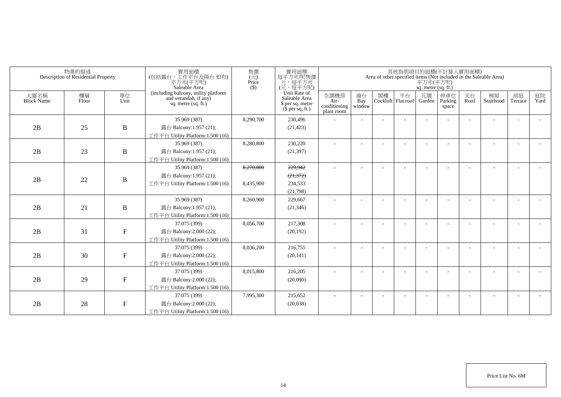| 物業的描述<br>Description of Residential Property |             | 售價<br>(元)<br>實用面積<br>(包括露台,工作平台及陽台 如有)<br>Price<br>平方米(平方呎)<br>Saleable Area<br>$($ \$) |                                                                                        | 實用面積<br>每平方米呎售價<br>元,每平方呎)<br>(元,每平方呎)<br>其他指明項目的面積(不計算入實用面積)<br>Area of other specified items (Not included in the Saleable Area)<br>平方米(平方呎)<br>sq. metre (sq. ft.) |                                                                       |                                            |                     |    |                                 |    |                         |            |                 |                          |            |
|----------------------------------------------|-------------|-----------------------------------------------------------------------------------------|----------------------------------------------------------------------------------------|-----------------------------------------------------------------------------------------------------------------------------------------------------------------------|-----------------------------------------------------------------------|--------------------------------------------|---------------------|----|---------------------------------|----|-------------------------|------------|-----------------|--------------------------|------------|
| 大廈名稱<br><b>Block Name</b>                    | 樓層<br>Floor | 單位<br>Unit                                                                              | (including balcony, utility platform<br>and verandah, if any)<br>sq. metre $(sq, ft.)$ |                                                                                                                                                                       | Unit Rate of<br>Saleable Area<br>\$ per sq. metre<br>$$$ per sq. ft.) | 空調機房<br>Air-<br>conditioning<br>plant room | 窗台<br>Bay<br>window | 閣樓 | 平台<br>Cockloft Flat roof Garden | 花園 | 停車位<br>Parking<br>space | 天台<br>Roof | 梯屋<br>Stairhood | 前庭<br>Terrace            | 庭院<br>Yard |
|                                              |             |                                                                                         | 35.969 (387)                                                                           | 8,290,700                                                                                                                                                             | 230,496                                                               |                                            |                     |    |                                 |    |                         |            |                 |                          |            |
| 2B                                           | 25          | $\, {\bf B}$                                                                            | 露台 Balcony:1.957 (21);                                                                 |                                                                                                                                                                       | (21, 423)                                                             |                                            |                     |    |                                 |    |                         |            |                 |                          |            |
|                                              |             |                                                                                         | 工作平台 Utility Platform: 1.500 (16)                                                      |                                                                                                                                                                       |                                                                       |                                            |                     |    |                                 |    |                         |            |                 |                          |            |
|                                              |             |                                                                                         | 35.969 (387)                                                                           | 8,280,800                                                                                                                                                             | 230,220                                                               |                                            | $\sim$              |    |                                 |    |                         |            |                 | $\overline{\phantom{a}}$ |            |
| 2B                                           | 23          | $\, {\bf B}$                                                                            | 露台 Balcony:1.957 (21);                                                                 |                                                                                                                                                                       | (21, 397)                                                             |                                            |                     |    |                                 |    |                         |            |                 |                          |            |
|                                              |             |                                                                                         | 工作平台 Utility Platform:1.500 (16)                                                       |                                                                                                                                                                       |                                                                       |                                            |                     |    |                                 |    |                         |            |                 |                          |            |
|                                              |             |                                                                                         | 35.969 (387)                                                                           | 8,270,800                                                                                                                                                             | 229,942                                                               | ä,                                         |                     |    |                                 |    |                         |            |                 | $\overline{a}$           |            |
| 2B                                           | 22          | $\boldsymbol{B}$                                                                        | 露台 Balcony:1.957 (21);                                                                 |                                                                                                                                                                       | (21, 372)                                                             |                                            |                     |    |                                 |    |                         |            |                 |                          |            |
|                                              |             |                                                                                         | 工作平台 Utility Platform: 1.500 (16)                                                      | 8,435,900                                                                                                                                                             | 234,533                                                               |                                            |                     |    |                                 |    |                         |            |                 |                          |            |
|                                              |             |                                                                                         |                                                                                        |                                                                                                                                                                       | (21,798)                                                              |                                            |                     |    |                                 |    |                         |            |                 |                          |            |
|                                              |             |                                                                                         | 35.969 (387)                                                                           | 8,260,900                                                                                                                                                             | 229,667                                                               |                                            |                     |    |                                 |    |                         |            |                 |                          |            |
| 2B                                           | 21          | $\bf{B}$                                                                                | 露台 Balcony:1.957 (21);                                                                 |                                                                                                                                                                       | (21, 346)                                                             |                                            |                     |    |                                 |    |                         |            |                 |                          |            |
|                                              |             |                                                                                         | 工作平台 Utility Platform:1.500 (16)                                                       |                                                                                                                                                                       |                                                                       |                                            |                     |    |                                 |    |                         |            |                 |                          |            |
|                                              |             |                                                                                         | 37.075 (399)                                                                           | 8,056,700                                                                                                                                                             | 217,308                                                               |                                            |                     |    |                                 |    |                         |            |                 | $\overline{\phantom{a}}$ |            |
| 2B                                           | 31          | ${\bf F}$                                                                               | 露台 Balcony: 2.000 (22);                                                                |                                                                                                                                                                       | (20, 192)                                                             |                                            |                     |    |                                 |    |                         |            |                 |                          |            |
|                                              |             |                                                                                         | 工作平台 Utility Platform:1.500 (16)                                                       |                                                                                                                                                                       |                                                                       |                                            |                     |    |                                 |    |                         |            |                 |                          |            |
|                                              |             |                                                                                         | 37.075 (399)                                                                           | 8,036,200                                                                                                                                                             | 216,755                                                               |                                            |                     |    |                                 |    |                         |            |                 |                          |            |
| 2B                                           | 30          | ${\bf F}$                                                                               | 露台 Balcony: 2.000 (22);                                                                |                                                                                                                                                                       | (20, 141)                                                             |                                            |                     |    |                                 |    |                         |            |                 |                          |            |
|                                              |             |                                                                                         | 工作平台 Utility Platform:1.500 (16)                                                       |                                                                                                                                                                       |                                                                       |                                            |                     |    |                                 |    |                         |            |                 |                          |            |
|                                              |             |                                                                                         | 37.075 (399)                                                                           | 8,015,800                                                                                                                                                             | 216,205                                                               |                                            |                     |    |                                 |    |                         |            |                 |                          |            |
| 2B                                           | 29          | ${\bf F}$                                                                               | 露台 Balcony:2.000 (22);                                                                 |                                                                                                                                                                       | (20,090)                                                              |                                            |                     |    |                                 |    |                         |            |                 |                          |            |
|                                              |             |                                                                                         | 工作平台 Utility Platform: 1.500 (16)                                                      |                                                                                                                                                                       |                                                                       |                                            |                     |    |                                 |    |                         |            |                 |                          |            |
|                                              |             |                                                                                         | 37.075 (399)                                                                           | 7,995,300                                                                                                                                                             | 215,652                                                               |                                            |                     |    |                                 |    |                         |            |                 |                          |            |
| 2B                                           | 28          | ${\bf F}$                                                                               | 露台 Balcony:2.000 (22);                                                                 |                                                                                                                                                                       | (20,038)                                                              |                                            |                     |    |                                 |    |                         |            |                 |                          |            |
|                                              |             |                                                                                         | 工作平台 Utility Platform:1.500 (16)                                                       |                                                                                                                                                                       |                                                                       |                                            |                     |    |                                 |    |                         |            |                 |                          |            |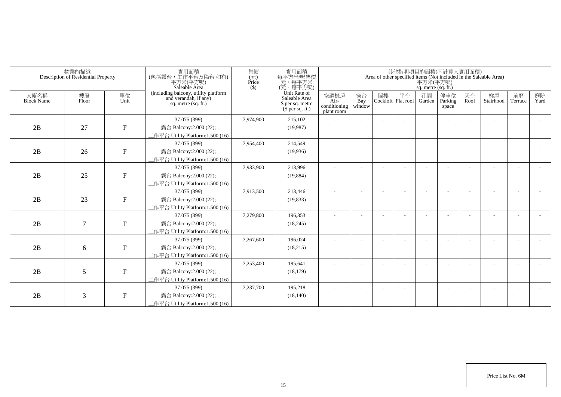|                           | 物業的描述<br>Description of Residential Property |                           | 售價<br>實用面積<br>(包括露台,工作平台及陽台 如有)<br>$\overline{(\overline{\tau}\overline{\tau})}$<br>Price<br>平方米(平方呎)<br>Saleable Area<br>$($ \$ |           | 實用面積<br>其他指明項目的面積(不計算入實用面積)<br>每平方米/呎售價<br>Area of other specified items (Not included in the Saleable Area)<br>元,每平方米<br>平方米(平方呎)<br>(元,每平方呎)<br>sq. metre (sq. ft.) |                                            |                          |    |                                 |    |                         |            |                 |               |            |
|---------------------------|----------------------------------------------|---------------------------|----------------------------------------------------------------------------------------------------------------------------------|-----------|-----------------------------------------------------------------------------------------------------------------------------------------------------------------------|--------------------------------------------|--------------------------|----|---------------------------------|----|-------------------------|------------|-----------------|---------------|------------|
| 大廈名稱<br><b>Block Name</b> | 樓層<br>Floor                                  | 單位<br>Unit                | (including balcony, utility platform<br>and verandah, if any)<br>sq. metre (sq. ft.)                                             |           | Unit Rate of<br>Saleable Area<br>\$ per sq. metre<br>$$$ per sq. ft.)                                                                                                 | 空調機房<br>Air-<br>conditioning<br>plant room | 窗台<br>Bay<br>window      | 閣樓 | 平台<br>Cockloft Flat roof Garden | 花園 | 停車位<br>Parking<br>space | 天台<br>Roof | 梯屋<br>Stairhood | 前庭<br>Terrace | 庭院<br>Yard |
|                           |                                              |                           | 37.075 (399)                                                                                                                     | 7.974.900 | 215,102                                                                                                                                                               |                                            |                          |    |                                 |    |                         |            |                 |               |            |
| 2B                        | 27                                           | ${\bf F}$                 | 露台 Balcony:2.000 (22);                                                                                                           |           | (19,987)                                                                                                                                                              |                                            |                          |    |                                 |    |                         |            |                 |               |            |
|                           |                                              |                           | 工作平台 Utility Platform: 1.500 (16)                                                                                                |           |                                                                                                                                                                       |                                            |                          |    |                                 |    |                         |            |                 |               |            |
|                           |                                              |                           | 37.075 (399)                                                                                                                     | 7,954,400 | 214,549                                                                                                                                                               | ÷                                          | $\sim$                   |    |                                 |    |                         |            |                 | $\sim$        |            |
| 2B                        | 26                                           | ${\bf F}$                 | 露台 Balcony:2.000 (22);                                                                                                           |           | (19,936)                                                                                                                                                              |                                            |                          |    |                                 |    |                         |            |                 |               |            |
|                           |                                              |                           | 工作平台 Utility Platform: 1.500 (16)                                                                                                |           |                                                                                                                                                                       |                                            |                          |    |                                 |    |                         |            |                 |               |            |
|                           |                                              |                           | 37.075 (399)                                                                                                                     | 7.933.900 | 213.996                                                                                                                                                               | ÷                                          | $\overline{\phantom{a}}$ |    |                                 |    |                         |            |                 |               |            |
| 2B                        | 25                                           | ${\bf F}$                 | 露台 Balcony:2.000 (22);                                                                                                           |           | (19,884)                                                                                                                                                              |                                            |                          |    |                                 |    |                         |            |                 |               |            |
|                           |                                              |                           | 工作平台 Utility Platform:1.500 (16)                                                                                                 |           |                                                                                                                                                                       |                                            |                          |    |                                 |    |                         |            |                 |               |            |
|                           |                                              |                           | 37.075 (399)                                                                                                                     | 7,913,500 | 213,446                                                                                                                                                               |                                            |                          |    |                                 |    |                         |            |                 |               |            |
| 2B                        | 23                                           | ${\bf F}$                 | 露台 Balcony: 2.000 (22);                                                                                                          |           | (19, 833)                                                                                                                                                             |                                            |                          |    |                                 |    |                         |            |                 |               |            |
|                           |                                              |                           | 工作平台 Utility Platform:1.500 (16)                                                                                                 |           |                                                                                                                                                                       |                                            |                          |    |                                 |    |                         |            |                 |               |            |
|                           |                                              |                           | 37.075 (399)                                                                                                                     | 7,279,800 | 196,353                                                                                                                                                               |                                            |                          |    |                                 |    |                         |            |                 |               |            |
| 2B                        | 7                                            | $\boldsymbol{\mathrm{F}}$ | 露台 Balcony: 2.000 (22);                                                                                                          |           | (18, 245)                                                                                                                                                             |                                            |                          |    |                                 |    |                         |            |                 |               |            |
|                           |                                              |                           | 工作平台 Utility Platform:1.500 (16)                                                                                                 |           |                                                                                                                                                                       |                                            |                          |    |                                 |    |                         |            |                 |               |            |
|                           |                                              |                           | 37.075 (399)                                                                                                                     | 7,267,600 | 196,024                                                                                                                                                               |                                            |                          |    |                                 |    |                         |            |                 |               |            |
| 2B                        | 6                                            | $\mathbf F$               | 露台 Balcony:2.000 (22);                                                                                                           |           | (18,215)                                                                                                                                                              |                                            |                          |    |                                 |    |                         |            |                 |               |            |
|                           |                                              |                           | 工作平台 Utility Platform: 1.500 (16)                                                                                                |           |                                                                                                                                                                       |                                            |                          |    |                                 |    |                         |            |                 |               |            |
|                           |                                              |                           | 37.075 (399)                                                                                                                     | 7,253,400 | 195.641                                                                                                                                                               |                                            | $\overline{\phantom{a}}$ |    |                                 |    |                         |            |                 | ٠             |            |
| 2B                        | 5                                            | ${\bf F}$                 | 露台 Balcony: 2.000 (22);                                                                                                          |           | (18, 179)                                                                                                                                                             |                                            |                          |    |                                 |    |                         |            |                 |               |            |
|                           |                                              |                           | 工作平台 Utility Platform: 1.500 (16)                                                                                                |           |                                                                                                                                                                       |                                            |                          |    |                                 |    |                         |            |                 |               |            |
|                           |                                              |                           | 37.075 (399)                                                                                                                     | 7,237,700 | 195,218                                                                                                                                                               |                                            |                          |    |                                 |    |                         |            |                 |               |            |
| 2B                        | 3                                            | $\boldsymbol{\mathrm{F}}$ | 露台 Balcony:2.000 (22);                                                                                                           |           | (18, 140)                                                                                                                                                             |                                            |                          |    |                                 |    |                         |            |                 |               |            |
|                           |                                              |                           | 工作平台 Utility Platform: 1.500 (16)                                                                                                |           |                                                                                                                                                                       |                                            |                          |    |                                 |    |                         |            |                 |               |            |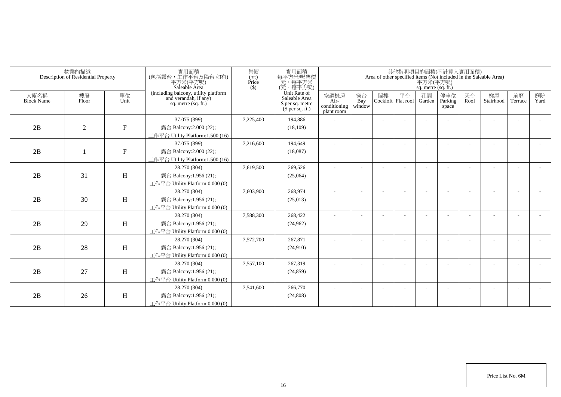| 物業的描述<br>Description of Residential Property |             | 實用面積<br>(包括露台,工作平台及陽台如有)<br>平方米(平方呎)<br>Saleable Area | 售價<br>$\overline{(\overline{\tau}\overline{\tau})}$<br>Price<br>$($ \$                 |           | 實用面積<br>其他指明項目的面積(不計算入實用面積)<br>每平方米/呎售價<br>Area of other specified items (Not included in the Saleable Area)<br>元,每平方米<br>平方米(平方呎)<br>(元,每平方呎)<br>sq. metre (sq. ft.) |                                            |                          |    |                                 |    |                          |            |                 |                          |            |
|----------------------------------------------|-------------|-------------------------------------------------------|----------------------------------------------------------------------------------------|-----------|-----------------------------------------------------------------------------------------------------------------------------------------------------------------------|--------------------------------------------|--------------------------|----|---------------------------------|----|--------------------------|------------|-----------------|--------------------------|------------|
| 大廈名稱<br><b>Block Name</b>                    | 樓層<br>Floor | 單位<br>Unit                                            | (including balcony, utility platform<br>and verandah, if any)<br>sq. metre $(sq, ft.)$ |           | Unit Rate of<br>Saleable Area<br>\$ per sq. metre<br>$$$ per sq. ft.)                                                                                                 | 空調機房<br>Air-<br>conditioning<br>plant room | 窗台<br>Bay<br>window      | 閣樓 | 平台<br>Cockloft Flat roof Garden | 花園 | 停車位<br>Parking<br>space  | 天台<br>Roof | 梯屋<br>Stairhood | 前庭<br>Terrace            | 庭院<br>Yard |
|                                              |             |                                                       | 37.075 (399)                                                                           | 7,225,400 | 194,886                                                                                                                                                               |                                            |                          |    |                                 |    |                          |            |                 |                          |            |
| 2B                                           | 2           | ${\bf F}$                                             | 露台 Balcony:2.000 (22);                                                                 |           | (18, 109)                                                                                                                                                             |                                            |                          |    |                                 |    |                          |            |                 |                          |            |
|                                              |             |                                                       | 工作平台 Utility Platform:1.500 (16)                                                       |           |                                                                                                                                                                       |                                            |                          |    |                                 |    |                          |            |                 |                          |            |
|                                              |             |                                                       | 37.075 (399)                                                                           | 7,216,600 | 194.649                                                                                                                                                               | ٠                                          | $\overline{\phantom{a}}$ |    |                                 |    | $\overline{\phantom{a}}$ |            |                 | $\overline{\phantom{a}}$ |            |
| 2B                                           |             | ${\bf F}$                                             | 露台 Balcony:2.000 (22);                                                                 |           | (18,087)                                                                                                                                                              |                                            |                          |    |                                 |    |                          |            |                 |                          |            |
|                                              |             |                                                       | 工作平台 Utility Platform:1.500 (16)                                                       |           |                                                                                                                                                                       |                                            |                          |    |                                 |    |                          |            |                 |                          |            |
|                                              |             |                                                       | 28.270 (304)                                                                           | 7,619,500 | 269,526                                                                                                                                                               | ٠                                          |                          |    |                                 |    |                          |            |                 |                          |            |
| 2B                                           | 31          | H                                                     | 露台 Balcony:1.956 (21);                                                                 |           | (25,064)                                                                                                                                                              |                                            |                          |    |                                 |    |                          |            |                 |                          |            |
|                                              |             |                                                       | 工作平台 Utility Platform:0.000 (0)                                                        |           |                                                                                                                                                                       |                                            |                          |    |                                 |    |                          |            |                 |                          |            |
|                                              |             |                                                       | 28.270 (304)                                                                           | 7,603,900 | 268,974                                                                                                                                                               |                                            |                          |    |                                 |    |                          |            |                 |                          |            |
| 2B                                           | 30          | H                                                     | 露台 Balcony:1.956 (21);                                                                 |           | (25,013)                                                                                                                                                              |                                            |                          |    |                                 |    |                          |            |                 |                          |            |
|                                              |             |                                                       | 工作平台 Utility Platform:0.000 (0)                                                        |           |                                                                                                                                                                       |                                            |                          |    |                                 |    |                          |            |                 |                          |            |
|                                              |             |                                                       | 28.270 (304)                                                                           | 7,588,300 | 268,422                                                                                                                                                               | ÷                                          |                          |    |                                 |    |                          |            |                 | $\overline{\phantom{a}}$ |            |
| 2B                                           | 29          | H                                                     | 露台 Balcony:1.956 (21);                                                                 |           | (24,962)                                                                                                                                                              |                                            |                          |    |                                 |    |                          |            |                 |                          |            |
|                                              |             |                                                       | 工作平台 Utility Platform:0.000 (0)                                                        |           |                                                                                                                                                                       |                                            |                          |    |                                 |    |                          |            |                 |                          |            |
|                                              |             |                                                       | 28.270 (304)                                                                           | 7,572,700 | 267,871                                                                                                                                                               |                                            |                          |    |                                 |    |                          |            |                 |                          |            |
| 2B                                           | 28          | H                                                     | 露台 Balcony:1.956 (21);                                                                 |           | (24,910)                                                                                                                                                              |                                            |                          |    |                                 |    |                          |            |                 |                          |            |
|                                              |             |                                                       | 工作平台 Utility Platform:0.000 (0)                                                        |           |                                                                                                                                                                       |                                            |                          |    |                                 |    |                          |            |                 |                          |            |
|                                              |             |                                                       | 28.270 (304)                                                                           | 7,557,100 | 267,319                                                                                                                                                               |                                            |                          |    |                                 |    |                          |            |                 |                          |            |
| 2B                                           | 27          | H                                                     | 露台 Balcony:1.956 (21);                                                                 |           | (24, 859)                                                                                                                                                             |                                            |                          |    |                                 |    |                          |            |                 |                          |            |
|                                              |             |                                                       | 工作平台 Utility Platform:0.000 (0)                                                        |           |                                                                                                                                                                       |                                            |                          |    |                                 |    |                          |            |                 |                          |            |
|                                              |             |                                                       | 28.270 (304)                                                                           | 7,541,600 | 266,770                                                                                                                                                               |                                            |                          |    |                                 |    |                          |            |                 |                          |            |
| 2B                                           | 26          | H                                                     | 露台 Balcony:1.956 (21);                                                                 |           | (24, 808)                                                                                                                                                             |                                            |                          |    |                                 |    |                          |            |                 |                          |            |
|                                              |             |                                                       | 工作平台 Utility Platform:0.000 (0)                                                        |           |                                                                                                                                                                       |                                            |                          |    |                                 |    |                          |            |                 |                          |            |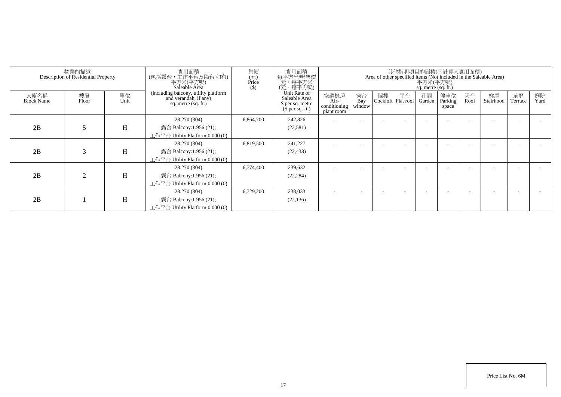| 物業的描述<br>Description of Residential Property |             | 實用面積<br>(包括露台,工作平台及陽台 如有)<br>平方米(平方呎)<br>Saleable Area | 售價<br>實用面積<br>其他指明項目的面積(不計算入實用面積)<br>$\overline{(\overline{\pi})}$<br>Price<br>每平方米/呎售價<br>元,每平方米<br>(元,每平方呎)<br>Area of other specified items (Not included in the Saleable Area)<br>平方米(平方呎)<br>$($)$<br>sq. metre (sq. ft.) |           |                                                                       |                                            |                     |    |                            |              |                         |            |                 |                      |            |
|----------------------------------------------|-------------|--------------------------------------------------------|--------------------------------------------------------------------------------------------------------------------------------------------------------------------------------------------------------------------------------|-----------|-----------------------------------------------------------------------|--------------------------------------------|---------------------|----|----------------------------|--------------|-------------------------|------------|-----------------|----------------------|------------|
| 大廈名稱<br><b>Block Name</b>                    | 樓層<br>Floor | 單位<br>Unit                                             | (including balcony, utility platform<br>and verandah, if any)<br>sq. metre (sq. ft.)                                                                                                                                           |           | Unit Rate of<br>Saleable Area<br>\$ per sq. metre<br>$$$ per sq. ft.) | 空調機房<br>Air-<br>conditioning<br>plant room | 窗台<br>Bay<br>window | 閣樓 | 平台<br>Cockloft   Flat roof | 花園<br>Garden | 停車位<br>Parking<br>space | 天台<br>Roof | 梯屋<br>Stairhood | 前庭<br><b>Terrace</b> | 庭院<br>Yard |
| 2B                                           | 5           | H                                                      | 28.270 (304)<br>露台 Balcony:1.956 (21);<br>工作平台 Utility Platform:0.000 (0)                                                                                                                                                      | 6,864,700 | 242,826<br>(22, 581)                                                  |                                            |                     |    |                            |              |                         |            |                 |                      |            |
| 2B                                           | 3           | H                                                      | 28.270 (304)<br>露台 Balcony:1.956 (21);<br>工作平台 Utility Platform:0.000 (0)                                                                                                                                                      | 6,819,500 | 241,227<br>(22, 433)                                                  |                                            |                     |    |                            |              |                         |            |                 |                      |            |
| 2B                                           | 2           | H                                                      | 28.270 (304)<br>露台 Balcony:1.956 (21);<br>工作平台 Utility Platform:0.000 (0)                                                                                                                                                      | 6,774,400 | 239,632<br>(22, 284)                                                  |                                            |                     |    |                            |              |                         |            |                 |                      |            |
| 2B                                           |             | H                                                      | 28.270 (304)<br>露台 Balcony:1.956 (21);<br>工作平台 Utility Platform:0.000 (0)                                                                                                                                                      | 6,729,200 | 238,033<br>(22, 136)                                                  |                                            |                     |    |                            |              |                         |            |                 |                      |            |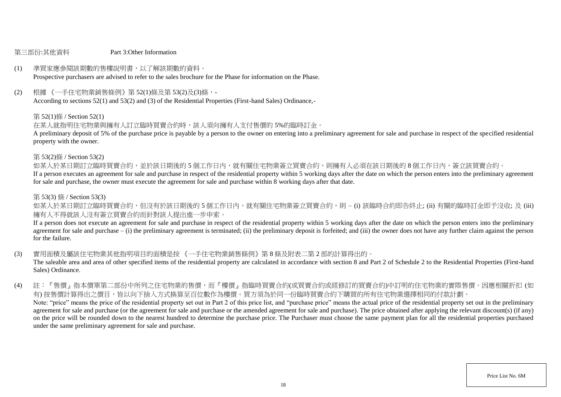#### 第三部份:其他資料 Part 3:Other Information

# (1) 準買家應參閱該期數的售樓說明書,以了解該期數的資料。

Prospective purchasers are advised to refer to the sales brochure for the Phase for information on the Phase.

(2) 根據 《一手住宅物業銷售條例》第 52(1)條及第 53(2)及(3)條,-

According to sections 52(1) and 53(2) and (3) of the Residential Properties (First-hand Sales) Ordinance,-

#### 第 52(1)條 / Section 52(1)

在某人就指明住宅物業與擁有人訂立臨時買賣合約時,該人須向擁有人支付售價的 5%的臨時訂金。

A preliminary deposit of 5% of the purchase price is payable by a person to the owner on entering into a preliminary agreement for sale and purchase in respect of the specified residential property with the owner.

#### 第 53(2)條 / Section 53(2)

如某人於某日期訂立臨時買賣合約,並於該日期後的5個工作日內,就有關住宅物業簽立買賣合約,則擁有人必須在該日期後的8個工作日內,簽立該買賣合約。

If a person executes an agreement for sale and purchase in respect of the residential property within 5 working days after the date on which the person enters into the preliminary agreement for sale and purchase, the owner must execute the agreement for sale and purchase within 8 working days after that date.

#### 第 53(3) 條 / Section 53(3)

如某人於某日期訂立臨時買賣合約,但沒有於該日期後的 5 個工作日内,就有關住宅物業簽立買賣合約,則 – (i) 該臨時合約即告終止; (ii) 有關的臨時訂金即予沒收; 及 (iii) 擁有人不得就該人沒有簽立買賣合約而針對該人提出進一步申索。

If a person does not execute an agreement for sale and purchase in respect of the residential property within 5 working days after the date on which the person enters into the preliminary agreement for sale and purchase – (i) the preliminary agreement is terminated; (ii) the preliminary deposit is forfeited; and (iii) the owner does not have any further claim against the person for the failure.

(3) 實用面積及屬該住宅物業其他指明項目的面積是按 《一手住宅物業銷售條例》第 8 條及附表二第 2 部的計算得出的。

The saleable area and area of other specified items of the residential property are calculated in accordance with section 8 and Part 2 of Schedule 2 to the Residential Properties (First-hand Sales) Ordinance.

(4) 註:『售價』指本價單第二部份中所列之住宅物業的售價,而『樓價』指臨時買賣合約(或買賣合約或經修訂的買賣合約)中訂明的住宅物業的實際售價。因應相關折扣 (如 有) 按售價計算得出之價目,皆以向下捨入方式換算至百位數作為樓價。買方須為於同一份臨時買賣合約下購買的所有住宅物業選擇相同的付款計劃。 Note: "price" means the price of the residential property set out in Part 2 of this price list, and "purchase price" means the actual price of the residential property set out in the preliminary agreement for sale and purchase (or the agreement for sale and purchase or the amended agreement for sale and purchase). The price obtained after applying the relevant discount(s) (if any) on the price will be rounded down to the nearest hundred to determine the purchase price. The Purchaser must choose the same payment plan for all the residential properties purchased under the same preliminary agreement for sale and purchase.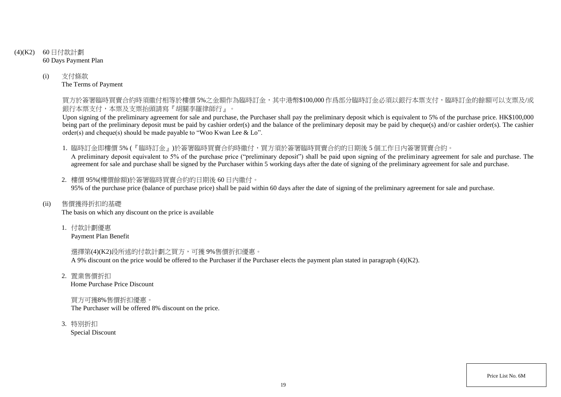# (4)(K2) 60 日付款計劃 60 Days Payment Plan

(i) 支付條款 The Terms of Payment

> 買方於簽署臨時買賣合約時須繳付相等於樓價 5%之金額作為臨時訂金,其中港幣\$100,000 作爲部分臨時訂金必須以銀行本票支付,臨時訂金的餘額可以支票及/或 銀行本票支付,本票及支票抬頭請寫『胡關李羅律師行』。

> Upon signing of the preliminary agreement for sale and purchase, the Purchaser shall pay the preliminary deposit which is equivalent to 5% of the purchase price. HK\$100,000 being part of the preliminary deposit must be paid by cashier order(s) and the balance of the preliminary deposit may be paid by cheque(s) and/or cashier order(s). The cashier order(s) and cheque(s) should be made payable to "Woo Kwan Lee & Lo".

1. 臨時訂金即樓價 5% (『臨時訂金』)於簽署臨時買賣合約時繳付,買方須於簽署臨時買賣合約的日期後 5 個工作日內簽署買賣合約。

A preliminary deposit equivalent to 5% of the purchase price ("preliminary deposit") shall be paid upon signing of the preliminary agreement for sale and purchase. The agreement for sale and purchase shall be signed by the Purchaser within 5 working days after the date of signing of the preliminary agreement for sale and purchase.

2. 樓價 95%(樓價餘額)於簽署臨時買賣合約的日期後 60 日內繳付。 95% of the purchase price (balance of purchase price) shall be paid within 60 days after the date of signing of the preliminary agreement for sale and purchase.

(ii) 售價獲得折扣的基礎

The basis on which any discount on the price is available

1. 付款計劃優惠

Payment Plan Benefit

選擇第(4)(K2)段所述的付款計劃之買方,可獲 9%售價折扣優惠。 A 9% discount on the price would be offered to the Purchaser if the Purchaser elects the payment plan stated in paragraph (4)(K2).

2. 置業售價折扣

Home Purchase Price Discount

買方可獲8%售價折扣優惠。 The Purchaser will be offered 8% discount on the price.

3. 特別折扣

Special Discount

Price List No. 6M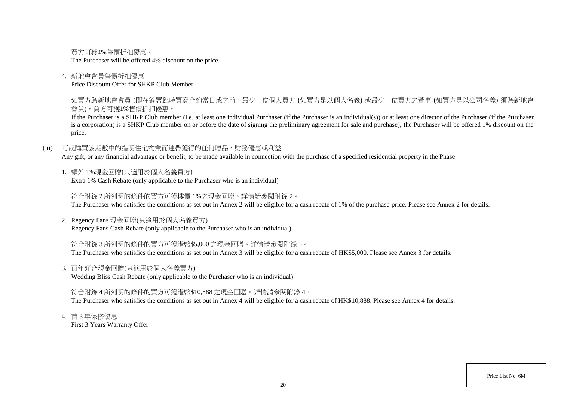買方可獲4%售價折扣優惠。 The Purchaser will be offered 4% discount on the price.

### 4. 新地會會員售價折扣優惠

Price Discount Offer for SHKP Club Member

如買方為新地會會員 (即在簽署臨時買賣合約當日或之前,最少一位個人買方 (如買方是以個人名義) 或最少一位買方之董事 (如買方是以公司名義) 須為新地會 會員),買方可獲1%售價折扣優惠。

If the Purchaser is a SHKP Club member (i.e. at least one individual Purchaser (if the Purchaser is an individual(s)) or at least one director of the Purchaser (if the Purchaser is a corporation) is a SHKP Club member on or before the date of signing the preliminary agreement for sale and purchase), the Purchaser will be offered 1% discount on the price.

(iii) 可就購買該期數中的指明住宅物業而連帶獲得的任何贈品、財務優惠或利益

Any gift, or any financial advantage or benefit, to be made available in connection with the purchase of a specified residential property in the Phase

1. 額外 1%現金回贈(只適用於個人名義買方)

Extra 1% Cash Rebate (only applicable to the Purchaser who is an individual)

符合附錄 2 所列明的條件的買方可獲樓價 1%之現金回贈。詳情請參閱附錄 2。 The Purchaser who satisfies the conditions as set out in Annex 2 will be eligible for a cash rebate of 1% of the purchase price. Please see Annex 2 for details.

2. Regency Fans 現金回贈(只適用於個人名義買方) Regency Fans Cash Rebate (only applicable to the Purchaser who is an individual)

符合附錄 3 所列明的條件的買方可獲港幣\$5,000 之現金回贈。詳情請參閱附錄 3。 The Purchaser who satisfies the conditions as set out in Annex 3 will be eligible for a cash rebate of HK\$5,000. Please see Annex 3 for details.

3. 百年好合現金回贈(只適用於個人名義買方)

Wedding Bliss Cash Rebate (only applicable to the Purchaser who is an individual)

符合附錄 4 所列明的條件的買方可獲港幣\$10,888 之現金回贈。詳情請參閱附錄 4。 The Purchaser who satisfies the conditions as set out in Annex 4 will be eligible for a cash rebate of HK\$10,888. Please see Annex 4 for details.

4. 首 3 年保修優惠

First 3 Years Warranty Offer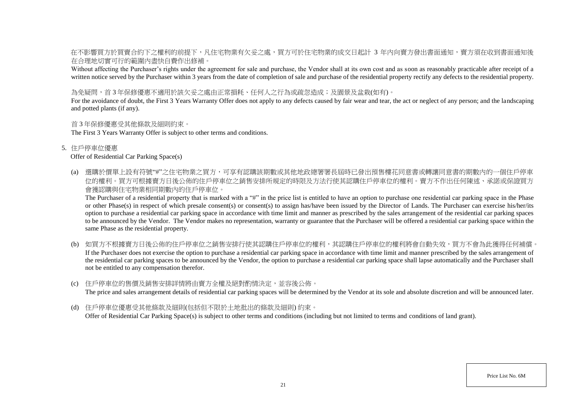在不影響買方於買賣合約下之權利的前提下,凡住宅物業有欠妥之處,買方可於住宅物業的成交日起計 3 年内向賣方發出書面通知,賣方須在收到書面通知後 在合理地切實可行的範圍內盡快自費作出修補。

Without affecting the Purchaser's rights under the agreement for sale and purchase, the Vendor shall at its own cost and as soon as reasonably practicable after receipt of a written notice served by the Purchaser within 3 years from the date of completion of sale and purchase of the residential property rectify any defects to the residential property.

為免疑問,首3年保修優惠不適用於該欠妥之處由正常捐耗、任何人之行為或疏忽造成;及園景及盆栽(如有)。

For the avoidance of doubt, the First 3 Years Warranty Offer does not apply to any defects caused by fair wear and tear, the act or neglect of any person; and the landscaping and potted plants (if any).

### 首 3 年保修優惠受其他條款及細則約束。

The First 3 Years Warranty Offer is subject to other terms and conditions.

5. 住戶停車位優惠

### Offer of Residential Car Parking Space(s)

(a) 選購於價單上設有符號"#"之住宅物業之買方,可享有認購該期數或其他地政總署署長屆時已發出預售樓花同意書或轉讓同意書的期數內的一個住戶停車 位的權利。買方可根據賣方日後公佈的住戶停車位之銷售安排所規定的時限及方法行使其認購住戶停車位的權利。賣方不作出任何陳述、承諾或保證買方 會獲認購與住宅物業相同期數內的住戶停車位。

The Purchaser of a residential property that is marked with a "#" in the price list is entitled to have an option to purchase one residential car parking space in the Phase or other Phase(s) in respect of which presale consent(s) or consent(s) to assign has/have been issued by the Director of Lands. The Purchaser can exercise his/her/its option to purchase a residential car parking space in accordance with time limit and manner as prescribed by the sales arrangement of the residential car parking spaces to be announced by the Vendor. The Vendor makes no representation, warranty or guarantee that the Purchaser will be offered a residential car parking space within the same Phase as the residential property.

- (b) 如買方不根據賣方日後公佈的住戶停車位之銷售安排行使其認購住戶停車位的權利,其認購住戶停車位的權利將會自動失效,買方不會為此獲得任何補償。 If the Purchaser does not exercise the option to purchase a residential car parking space in accordance with time limit and manner prescribed by the sales arrangement of the residential car parking spaces to be announced by the Vendor, the option to purchase a residential car parking space shall lapse automatically and the Purchaser shall not be entitled to any compensation therefor.
- (c) 住戶停車位的售價及銷售安排詳情將由賣方全權及絕對酌情決定,並容後公佈。 The price and sales arrangement details of residential car parking spaces will be determined by the Vendor at its sole and absolute discretion and will be announced later.
- (d) 住戶停車位優惠受其他條款及細則(包括但不限於土地批出的條款及細則) 約束。 Offer of Residential Car Parking Space(s) is subject to other terms and conditions (including but not limited to terms and conditions of land grant).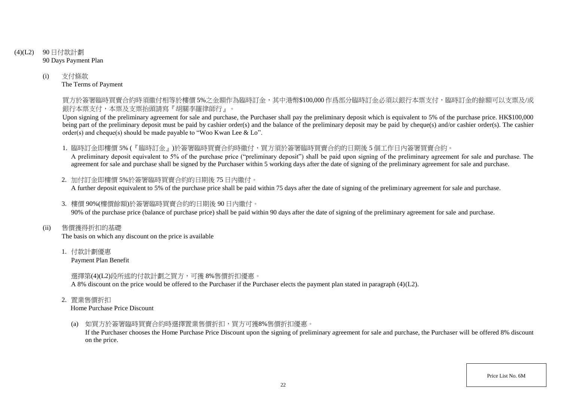- (4)(L2) 90 日付款計劃 90 Days Payment Plan
	- (i) 支付條款 The Terms of Payment

買方於簽署臨時買賣合約時須繳付相等於樓價 5%之金額作為臨時訂金,其中港幣\$100,000 作爲部分臨時訂金必須以銀行本票支付,臨時訂金的餘額可以支票及/或 銀行本票支付,本票及支票抬頭請寫『胡關李羅律師行』。

Upon signing of the preliminary agreement for sale and purchase, the Purchaser shall pay the preliminary deposit which is equivalent to 5% of the purchase price. HK\$100,000 being part of the preliminary deposit must be paid by cashier order(s) and the balance of the preliminary deposit may be paid by cheque(s) and/or cashier order(s). The cashier order(s) and cheque(s) should be made payable to "Woo Kwan Lee & Lo".

1. 臨時訂金即樓價 5% (『臨時訂金』)於簽署臨時買賣合約時繳付,買方須於簽署臨時買賣合約的日期後 5 個工作日內簽署買賣合約。

A preliminary deposit equivalent to 5% of the purchase price ("preliminary deposit") shall be paid upon signing of the preliminary agreement for sale and purchase. The agreement for sale and purchase shall be signed by the Purchaser within 5 working days after the date of signing of the preliminary agreement for sale and purchase.

- 2. 加付訂金即樓價 5%於簽署臨時買賣合約的日期後 75 日內繳付。 A further deposit equivalent to 5% of the purchase price shall be paid within 75 days after the date of signing of the preliminary agreement for sale and purchase.
- 3. 樓價 90%(樓價餘額)於簽署臨時買賣合約的日期後 90 日內繳付。 90% of the purchase price (balance of purchase price) shall be paid within 90 days after the date of signing of the preliminary agreement for sale and purchase.
- (ii) 售價獲得折扣的基礎

The basis on which any discount on the price is available

1. 付款計劃優惠

Payment Plan Benefit

選擇第(4)(L2)段所述的付款計劃之買方,可獲 8%售價折扣優惠。

A 8% discount on the price would be offered to the Purchaser if the Purchaser elects the payment plan stated in paragraph (4)(L2).

2. 置業售價折扣

Home Purchase Price Discount

(a) 如買方於簽署臨時買賣合約時選擇置業售價折扣,買方可獲8%售價折扣優惠。

If the Purchaser chooses the Home Purchase Price Discount upon the signing of preliminary agreement for sale and purchase, the Purchaser will be offered 8% discount on the price.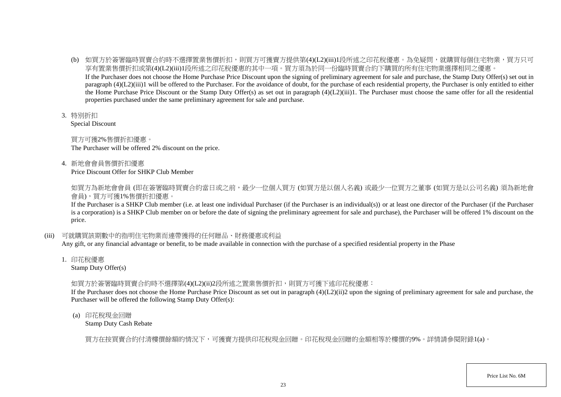- (b) 如買方於簽署臨時買賣合約時不選擇置業售價折扣,則買方可獲賣方提供第(4)(L2)(iii)1段所述之印花稅優惠。為免疑問,就購買每個住宅物業,買方只可 享有置業售價折扣或第(4)(L2)(iii)1段所述之印花稅優惠的其中一項。買方須為於同一份臨時買賣合約下購買的所有住宅物業選擇相同之優惠。 If the Purchaser does not choose the Home Purchase Price Discount upon the signing of preliminary agreement for sale and purchase, the Stamp Duty Offer(s) set out in paragraph (4)(L2)(iii)1 will be offered to the Purchaser. For the avoidance of doubt, for the purchase of each residential property, the Purchaser is only entitled to either the Home Purchase Price Discount or the Stamp Duty Offer(s) as set out in paragraph  $(4)(L2)(iii)1$ . The Purchaser must choose the same offer for all the residential properties purchased under the same preliminary agreement for sale and purchase.
- 3. 特別折扣

Special Discount

買方可獲2%售價折扣優惠。 The Purchaser will be offered 2% discount on the price.

4. 新地會會員售價折扣優惠

Price Discount Offer for SHKP Club Member

如買方為新地會會員 (即在簽署臨時買賣合約當日或之前,最少一位個人買方 (如買方是以個人名義) 或最少一位買方之董事 (如買方是以公司名義) 須為新地會 會員),買方可獲1%售價折扣優惠。

If the Purchaser is a SHKP Club member (i.e. at least one individual Purchaser (if the Purchaser is an individual(s)) or at least one director of the Purchaser (if the Purchaser is a corporation) is a SHKP Club member on or before the date of signing the preliminary agreement for sale and purchase), the Purchaser will be offered 1% discount on the price.

(iii) 可就購買該期數中的指明住宅物業而連帶獲得的任何贈品、財務優惠或利益

Any gift, or any financial advantage or benefit, to be made available in connection with the purchase of a specified residential property in the Phase

1. 印花稅優惠

Stamp Duty Offer(s)

### 如買方於簽署臨時買賣合約時不選擇第(4)(L2)(ii)2段所述之置業售價折扣,則買方可獲下述印花稅優惠:

If the Purchaser does not choose the Home Purchase Price Discount as set out in paragraph (4)(L2)(ii)2 upon the signing of preliminary agreement for sale and purchase, the Purchaser will be offered the following Stamp Duty Offer(s):

(a) 印花稅現金回贈

Stamp Duty Cash Rebate

買方在按買賣合約付清樓價餘額的情況下,可獲賣方提供印花稅現金回贈。印花稅現金回贈的金額相等於樓價的9%。詳情請參閱附錄1(a)。

Price List No. 6M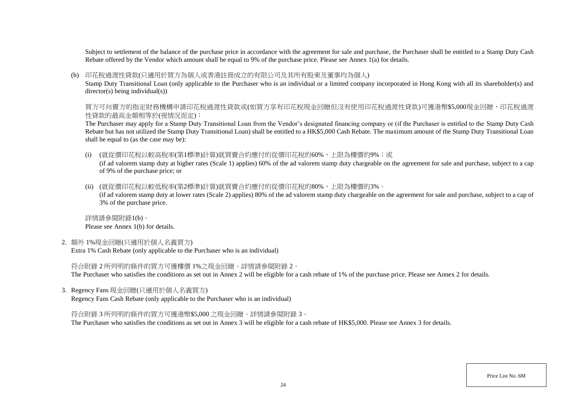Subject to settlement of the balance of the purchase price in accordance with the agreement for sale and purchase, the Purchaser shall be entitled to a Stamp Duty Cash Rebate offered by the Vendor which amount shall be equal to 9% of the purchase price. Please see Annex 1(a) for details.

#### (b) 印花稅過渡性貸款(只適用於買方為個人或香港註冊成立的有限公司及其所有股東及董事均為個人)

Stamp Duty Transitional Loan (only applicable to the Purchaser who is an individual or a limited company incorporated in Hong Kong with all its shareholder(s) and director(s) being individual(s))

買方可向賣方的指定財務機構申請印花稅過渡性貸款或(如買方享有印花稅現金回贈但沒有使用印花稅過渡性貸款)可獲港幣\$5,000現金回贈,印花稅過渡 性貸款的最高金額相等於(視情況而定):

The Purchaser may apply for a Stamp Duty Transitional Loan from the Vendor's designated financing company or (if the Purchaser is entitled to the Stamp Duty Cash Rebate but has not utilized the Stamp Duty Transitional Loan) shall be entitled to a HK\$5,000 Cash Rebate. The maximum amount of the Stamp Duty Transitional Loan shall be equal to (as the case may be):

(i) (就從價印花稅以較高稅率(第1標準)計算)就買賣合約應付的從價印花稅的60%,上限為樓價的9%;或

(if ad valorem stamp duty at higher rates (Scale 1) applies) 60% of the ad valorem stamp duty chargeable on the agreement for sale and purchase, subject to a cap of 9% of the purchase price; or

(ii) (就從價印花稅以較低稅率(第2標準)計算)就買賣合約應付的從價印花稅的80%,上限為樓價的3%。

(if ad valorem stamp duty at lower rates (Scale 2) applies) 80% of the ad valorem stamp duty chargeable on the agreement for sale and purchase, subject to a cap of 3% of the purchase price.

詳情請參閱附錄1(b)。 Please see Annex 1(b) for details.

2. 額外 1%現金回贈(只適用於個人名義買方)

Extra 1% Cash Rebate (only applicable to the Purchaser who is an individual)

符合附錄 2 所列明的條件的買方可獲樓價 1%之現金回贈。詳情請參閱附錄 2。

The Purchaser who satisfies the conditions as set out in Annex 2 will be eligible for a cash rebate of 1% of the purchase price. Please see Annex 2 for details.

3. Regency Fans 現金回贈(只適用於個人名義買方)

Regency Fans Cash Rebate (only applicable to the Purchaser who is an individual)

符合附錄 3 所列明的條件的買方可獲港幣\$5,000 之現金回贈。詳情請參閱附錄 3。

The Purchaser who satisfies the conditions as set out in Annex 3 will be eligible for a cash rebate of HK\$5,000. Please see Annex 3 for details.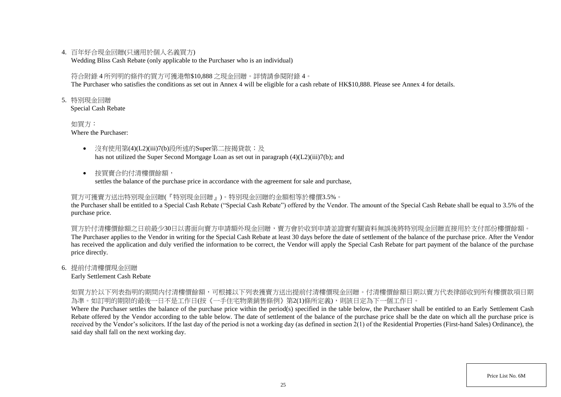### 4. 百年好合現金回贈(只適用於個人名義買方)

Wedding Bliss Cash Rebate (only applicable to the Purchaser who is an individual)

### 符合附錄 4 所列明的條件的買方可獲港幣\$10,888 之現金回贈。詳情請參閱附錄 4。

The Purchaser who satisfies the conditions as set out in Annex 4 will be eligible for a cash rebate of HK\$10,888. Please see Annex 4 for details.

5. 特別現金回贈

Special Cash Rebate

如買方: Where the Purchaser:

- 沒有使用第(4)(L2)(iii)7(b)段所述的Super第二按揭貸款;及 has not utilized the Super Second Mortgage Loan as set out in paragraph (4)(L2)(iii)7(b); and
- 按買賣合約付清樓價餘額,

settles the balance of the purchase price in accordance with the agreement for sale and purchase,

### 買方可獲賣方送出特別現金回贈(『特別現金回贈』)。特別現金回贈的金額相等於樓價3.5%。

the Purchaser shall be entitled to a Special Cash Rebate ("Special Cash Rebate") offered by the Vendor. The amount of the Special Cash Rebate shall be equal to 3.5% of the purchase price.

買方於付清樓價餘額之日前最少30日以書面向賣方申請額外現金回贈,賣方會於收到申請並證實有關資料無誤後將特別現金回贈直接用於支付部份樓價餘額。 The Purchaser applies to the Vendor in writing for the Special Cash Rebate at least 30 days before the date of settlement of the balance of the purchase price. After the Vendor has received the application and duly verified the information to be correct, the Vendor will apply the Special Cash Rebate for part payment of the balance of the purchase price directly.

### 6. 提前付清樓價現金回贈

Early Settlement Cash Rebate

如買方於以下列表指明的期間内付清樓價餘額,可根據以下列表獲賣方送出提前付清樓價現金回贈。付清樓價餘額日期以賣方代表律師收到所有樓價款項日期 為準。如訂明的期限的最後一日不是工作日(按《一手住宅物業銷售條例》第2(1)條所定義),則該日定為下一個工作日。

Where the Purchaser settles the balance of the purchase price within the period(s) specified in the table below, the Purchaser shall be entitled to an Early Settlement Cash Rebate offered by the Vendor according to the table below. The date of settlement of the balance of the purchase price shall be the date on which all the purchase price is received by the Vendor's solicitors. If the last day of the period is not a working day (as defined in section  $2(1)$  of the Residential Properties (First-hand Sales) Ordinance), the said day shall fall on the next working day.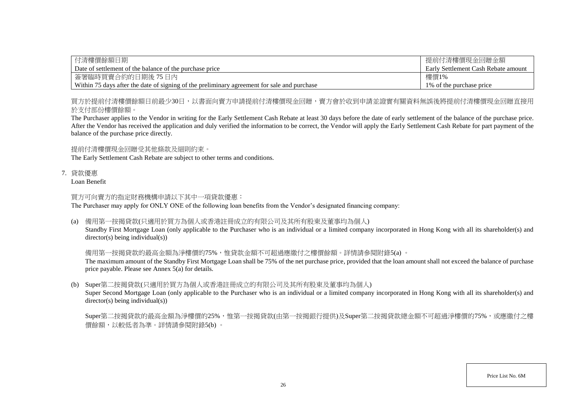| 付清樓價餘額日期                                                                                    | 提前付清樓價現金回贈金額                        |
|---------------------------------------------------------------------------------------------|-------------------------------------|
| Date of settlement of the balance of the purchase price                                     | Early Settlement Cash Rebate amount |
| 簽署臨時買賣合約的日期後 75 日內                                                                          | 樓價1%                                |
| Within 75 days after the date of signing of the preliminary agreement for sale and purchase | 1\% of the purchase price           |

買方於提前付清樓價餘額日前最少30日,以書面向賣方申請提前付清樓價現金回贈,賣方會於收到申請並證實有關資料無誤後將提前付清樓價現金回贈直接用 於支付部份樓價餘額。

The Purchaser applies to the Vendor in writing for the Early Settlement Cash Rebate at least 30 days before the date of early settlement of the balance of the purchase price. After the Vendor has received the application and duly verified the information to be correct, the Vendor will apply the Early Settlement Cash Rebate for part payment of the balance of the purchase price directly.

提前付清樓價現金回贈受其他條款及細則約束。

The Early Settlement Cash Rebate are subject to other terms and conditions.

7. 貸款優惠

Loan Benefit

買方可向賣方的指定財務機構申請以下其中一項貸款優惠:

The Purchaser may apply for ONLY ONE of the following loan benefits from the Vendor's designated financing company:

(a) 備用第一按揭貸款(只適用於買方為個人或香港註冊成立的有限公司及其所有股東及董事均為個人)

Standby First Mortgage Loan (only applicable to the Purchaser who is an individual or a limited company incorporated in Hong Kong with all its shareholder(s) and director(s) being individual(s))

備用第一按揭貸款的最高金額為淨樓價的75%,惟貸款金額不可超過應繳付之樓價餘額。詳情請參閱附錄5(a) 。

The maximum amount of the Standby First Mortgage Loan shall be 75% of the net purchase price, provided that the loan amount shall not exceed the balance of purchase price payable. Please see Annex 5(a) for details.

(b) Super第二按揭貸款(只適用於買方為個人或香港註冊成立的有限公司及其所有股東及董事均為個人)

Super Second Mortgage Loan (only applicable to the Purchaser who is an individual or a limited company incorporated in Hong Kong with all its shareholder(s) and director(s) being individual(s))

Super第二按揭貸款的最高金額為淨樓價的25%,惟第一按揭貸款(由第一按揭銀行提供)及Super第二按揭貸款總金額不可超過淨樓價的75%,或應繳付之樓 價餘額,以較低者為準。詳情請參閱附錄5(b) 。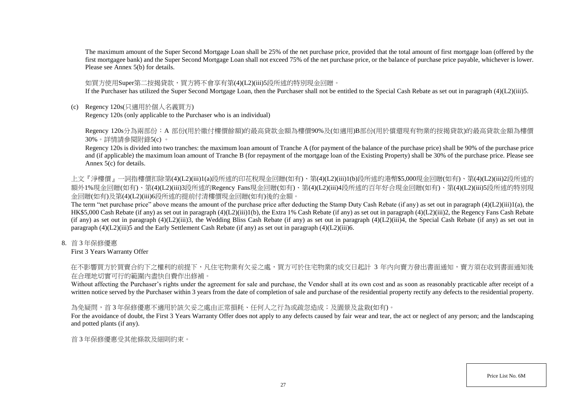The maximum amount of the Super Second Mortgage Loan shall be 25% of the net purchase price, provided that the total amount of first mortgage loan (offered by the first mortgagee bank) and the Super Second Mortgage Loan shall not exceed 75% of the net purchase price, or the balance of purchase price payable, whichever is lower. Please see Annex 5(b) for details.

#### 如買方使用Super第二按揭貸款,買方將不會享有第(4)(L2)(iii)5段所述的特別現金回贈。

If the Purchaser has utilized the Super Second Mortgage Loan, then the Purchaser shall not be entitled to the Special Cash Rebate as set out in paragraph  $(4)(L2)(iii)5$ .

(c) Regency 120s(只適用於個人名義買方)

Regency 120s (only applicable to the Purchaser who is an individual)

Regency 120s分為兩部份: A 部份(用於繳付樓價餘額)的最高貸款金額為樓價90%及(如適用)B部份(用於償還現有物業的按揭貸款)的最高貸款金額為樓價 30%。詳情請參閱附錄5(c) 。

Regency 120s is divided into two tranches: the maximum loan amount of Tranche A (for payment of the balance of the purchase price) shall be 90% of the purchase price and (if applicable) the maximum loan amount of Tranche B (for repayment of the mortgage loan of the Existing Property) shall be 30% of the purchase price. Please see Annex 5(c) for details.

上文『淨樓價』一詞指樓價扣除第(4)(L2)(iii)1(a)段所述的印花稅現金回贈(如有)、第(4)(L2)(iii)1(b)段所述的港幣\$5,000現金回贈(如有)、第(4)(L2)(iii)2段所述的 額外1%現金回贈(如有)、第(4)(L2)(iii)3段所述的Regency Fans現金回贈(如有)、第(4)(L2)(iii)4段所述的百年好合現金回贈(如有)、第(4)(L2)(iii)5段所述的特別現 金回贈(如有)及第(4)(L2)(iii)6段所述的提前付清樓價現金回贈(如有)後的金額。

The term "net purchase price" above means the amount of the purchase price after deducting the Stamp Duty Cash Rebate (if any) as set out in paragraph (4)(L2)(iii)1(a), the HK\$5,000 Cash Rebate (if any) as set out in paragraph (4)(L2)(iii)1(b), the Extra 1% Cash Rebate (if any) as set out in paragraph (4)(L2)(iii)2, the Regency Fans Cash Rebate (if any) as set out in paragraph  $(4)(L2)(iii)3$ , the Wedding Bliss Cash Rebate (if any) as set out in paragraph  $(4)(L2)(iii)4$ , the Special Cash Rebate (if any) as set out in paragraph (4)(L2)(iii)5 and the Early Settlement Cash Rebate (if any) as set out in paragraph (4)(L2)(iii)6.

8. 首 3 年保修優惠

First 3 Years Warranty Offer

在不影響買方於買賣合約下之權利的前提下,凡住宅物業有欠妥之處,買方可於住宅物業的成交日起計 3 年內向賣方發出書面通知,賣方須在收到書面通知後 在合理地切實可行的範圍內盡快自費作出修補。

Without affecting the Purchaser's rights under the agreement for sale and purchase, the Vendor shall at its own cost and as soon as reasonably practicable after receipt of a written notice served by the Purchaser within 3 years from the date of completion of sale and purchase of the residential property rectify any defects to the residential property.

#### 為免疑問,首3年保修優惠不適用於該欠妥之處由正常損耗、任何人之行為或疏忽造成;及園景及盆栽(如有)。

For the avoidance of doubt, the First 3 Years Warranty Offer does not apply to any defects caused by fair wear and tear, the act or neglect of any person; and the landscaping and potted plants (if any).

首 3 年保修優惠受其他條款及細則約束。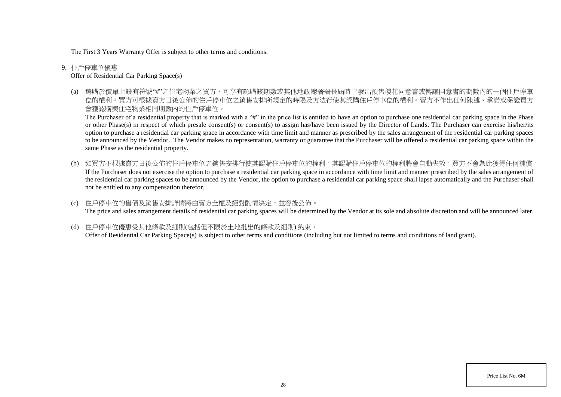The First 3 Years Warranty Offer is subject to other terms and conditions.

9. 住戶停車位優惠

Offer of Residential Car Parking Space(s)

(a) 選購於價單上設有符號"#"之住宅物業之買方,可享有認購該期數或其他地政總署署長屆時已發出預售樓花同意書或轉讓同意書的期數內的一個住戶停車 位的權利。買方可根據賣方日後公佈的住戶停車位之銷售安排所規定的時限及方法行使其認購住戶停車位的權利。賣方不作出任何陳述、承諾或保證買方 會獲認購與住宅物業相同期數內的住戶停車位。

The Purchaser of a residential property that is marked with a "#" in the price list is entitled to have an option to purchase one residential car parking space in the Phase or other Phase(s) in respect of which presale consent(s) or consent(s) to assign has/have been issued by the Director of Lands. The Purchaser can exercise his/her/its option to purchase a residential car parking space in accordance with time limit and manner as prescribed by the sales arrangement of the residential car parking spaces to be announced by the Vendor. The Vendor makes no representation, warranty or guarantee that the Purchaser will be offered a residential car parking space within the same Phase as the residential property.

(b) 如買方不根據賣方日後公佈的住戶停車位之銷售安排行使其認購住戶停車位的權利,其認購住戶停車位的權利將會自動失效,買方不會為此獲得任何補償。 If the Purchaser does not exercise the option to purchase a residential car parking space in accordance with time limit and manner prescribed by the sales arrangement of the residential car parking spaces to be announced by the Vendor, the option to purchase a residential car parking space shall lapse automatically and the Purchaser shall not be entitled to any compensation therefor.

(c) 住戶停車位的售價及銷售安排詳情將由賣方全權及絕對酌情決定,並容後公佈。 The price and sales arrangement details of residential car parking spaces will be determined by the Vendor at its sole and absolute discretion and will be announced later.

(d) 住戶停車位優惠受其他條款及細則(包括但不限於土地批出的條款及細則) 約束。 Offer of Residential Car Parking Space(s) is subject to other terms and conditions (including but not limited to terms and conditions of land grant).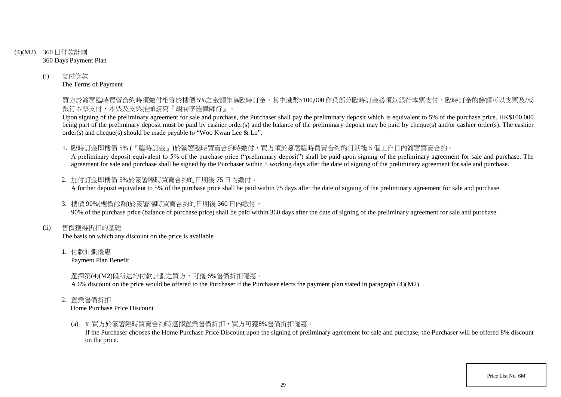- (4)(M2) 360 日付款計劃 360 Days Payment Plan
	- (i) 支付條款 The Terms of Payment

買方於簽署臨時買賣合約時須繳付相等於樓價 5%之金額作為臨時訂金,其中港幣\$100,000 作爲部分臨時訂金必須以銀行本票支付,臨時訂金的餘額可以支票及/或 銀行本票支付,本票及支票抬頭請寫『胡關李羅律師行』。

Upon signing of the preliminary agreement for sale and purchase, the Purchaser shall pay the preliminary deposit which is equivalent to 5% of the purchase price. HK\$100,000 being part of the preliminary deposit must be paid by cashier order(s) and the balance of the preliminary deposit may be paid by cheque(s) and/or cashier order(s). The cashier order(s) and cheque(s) should be made payable to "Woo Kwan Lee & Lo".

1. 臨時訂金即樓價 5% (『臨時訂金』)於簽署臨時買賣合約時繳付,買方須於簽署臨時買賣合約的日期後 5 個工作日內簽署買賣合約。

A preliminary deposit equivalent to 5% of the purchase price ("preliminary deposit") shall be paid upon signing of the preliminary agreement for sale and purchase. The agreement for sale and purchase shall be signed by the Purchaser within 5 working days after the date of signing of the preliminary agreement for sale and purchase.

- 2. 加付訂金即樓價 5%於簽署臨時買賣合約的日期後 75 日內繳付。 A further deposit equivalent to 5% of the purchase price shall be paid within 75 days after the date of signing of the preliminary agreement for sale and purchase.
- 3. 樓價 90%(樓價餘額)於簽署臨時買賣合約的日期後 360 日內繳付。 90% of the purchase price (balance of purchase price) shall be paid within 360 days after the date of signing of the preliminary agreement for sale and purchase.
- (ii) 售價獲得折扣的基礎

The basis on which any discount on the price is available

1. 付款計劃優惠

Payment Plan Benefit

選擇第(4)(M2)段所述的付款計劃之買方,可獲 6%售價折扣優惠。

A 6% discount on the price would be offered to the Purchaser if the Purchaser elects the payment plan stated in paragraph (4)(M2).

2. 置業售價折扣

Home Purchase Price Discount

(a) 如買方於簽署臨時買賣合約時選擇置業售價折扣,買方可獲8%售價折扣優惠。

If the Purchaser chooses the Home Purchase Price Discount upon the signing of preliminary agreement for sale and purchase, the Purchaser will be offered 8% discount on the price.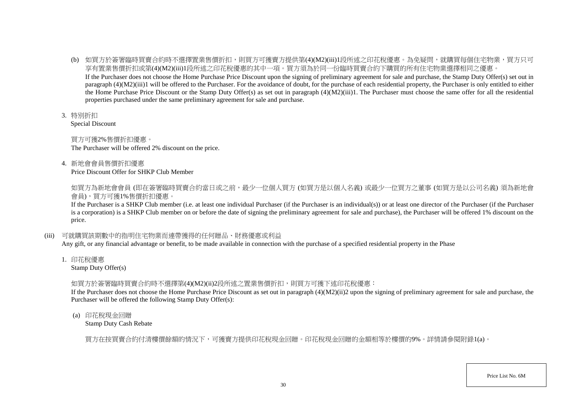- (b) 如買方於簽署臨時買賣合約時不選擇置業售價折扣,則買方可獲賣方提供第(4)(M2)(iii)1段所述之印花稅優惠。為免疑問,就購買每個住宅物業,買方只可 享有置業售價折扣或第(4)(M2)(iii)1段所述之印花稅優惠的其中一項。買方須為於同一份臨時買賣合約下購買的所有住宅物業選擇相同之優惠。 If the Purchaser does not choose the Home Purchase Price Discount upon the signing of preliminary agreement for sale and purchase, the Stamp Duty Offer(s) set out in paragraph (4)(M2)(iii)1 will be offered to the Purchaser. For the avoidance of doubt, for the purchase of each residential property, the Purchaser is only entitled to either the Home Purchase Price Discount or the Stamp Duty Offer(s) as set out in paragraph  $(4)(M2)(iii)1$ . The Purchaser must choose the same offer for all the residential properties purchased under the same preliminary agreement for sale and purchase.
- 3. 特別折扣

Special Discount

買方可獲2%售價折扣優惠。 The Purchaser will be offered 2% discount on the price.

4. 新地會會員售價折扣優惠

Price Discount Offer for SHKP Club Member

如買方為新地會會員 (即在簽署臨時買賣合約當日或之前,最少一位個人買方 (如買方是以個人名義) 或最少一位買方之董事 (如買方是以公司名義) 須為新地會 會員),買方可獲1%售價折扣優惠。

If the Purchaser is a SHKP Club member (i.e. at least one individual Purchaser (if the Purchaser is an individual(s)) or at least one director of the Purchaser (if the Purchaser is a corporation) is a SHKP Club member on or before the date of signing the preliminary agreement for sale and purchase), the Purchaser will be offered 1% discount on the price.

(iii) 可就購買該期數中的指明住宅物業而連帶獲得的任何贈品、財務優惠或利益

Any gift, or any financial advantage or benefit, to be made available in connection with the purchase of a specified residential property in the Phase

1. 印花稅優惠

Stamp Duty Offer(s)

# 如買方於簽署臨時買賣合約時不選擇第(4)(M2)(ii)2段所述之置業售價折扣,則買方可獲下述印花稅優惠:

If the Purchaser does not choose the Home Purchase Price Discount as set out in paragraph (4)(M2)(ii)2 upon the signing of preliminary agreement for sale and purchase, the Purchaser will be offered the following Stamp Duty Offer(s):

(a) 印花稅現金回贈

Stamp Duty Cash Rebate

買方在按買賣合約付清樓價餘額的情況下,可獲賣方提供印花稅現金回贈。印花稅現金回贈的金額相等於樓價的9%。詳情請參閱附錄1(a)。

Price List No. 6M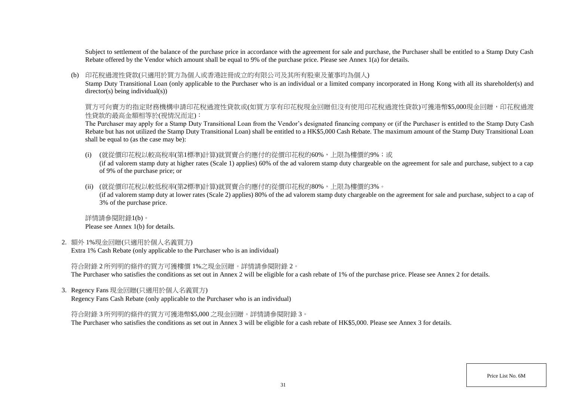Subject to settlement of the balance of the purchase price in accordance with the agreement for sale and purchase, the Purchaser shall be entitled to a Stamp Duty Cash Rebate offered by the Vendor which amount shall be equal to 9% of the purchase price. Please see Annex 1(a) for details.

#### (b) 印花稅過渡性貸款(只適用於買方為個人或香港註冊成立的有限公司及其所有股東及董事均為個人)

Stamp Duty Transitional Loan (only applicable to the Purchaser who is an individual or a limited company incorporated in Hong Kong with all its shareholder(s) and director(s) being individual(s))

買方可向賣方的指定財務機構申請印花稅過渡性貸款或(如買方享有印花稅現金回贈但沒有使用印花稅過渡性貸款)可獲港幣\$5,000現金回贈,印花稅過渡 性貸款的最高金額相等於(視情況而定):

The Purchaser may apply for a Stamp Duty Transitional Loan from the Vendor's designated financing company or (if the Purchaser is entitled to the Stamp Duty Cash Rebate but has not utilized the Stamp Duty Transitional Loan) shall be entitled to a HK\$5,000 Cash Rebate. The maximum amount of the Stamp Duty Transitional Loan shall be equal to (as the case may be):

(i) (就從價印花稅以較高稅率(第1標準)計算)就買賣合約應付的從價印花稅的60%,上限為樓價的9%;或

(if ad valorem stamp duty at higher rates (Scale 1) applies) 60% of the ad valorem stamp duty chargeable on the agreement for sale and purchase, subject to a cap of 9% of the purchase price; or

(ii) (就從價印花稅以較低稅率(第2標準)計算)就買賣合約應付的從價印花稅的80%,上限為樓價的3%。

(if ad valorem stamp duty at lower rates (Scale 2) applies) 80% of the ad valorem stamp duty chargeable on the agreement for sale and purchase, subject to a cap of 3% of the purchase price.

詳情請參閱附錄1(b)。 Please see Annex 1(b) for details.

2. 額外 1%現金回贈(只適用於個人名義買方)

Extra 1% Cash Rebate (only applicable to the Purchaser who is an individual)

符合附錄 2 所列明的條件的買方可獲樓價 1%之現金回贈。詳情請參閱附錄 2。

The Purchaser who satisfies the conditions as set out in Annex 2 will be eligible for a cash rebate of 1% of the purchase price. Please see Annex 2 for details.

3. Regency Fans 現金回贈(只適用於個人名義買方)

Regency Fans Cash Rebate (only applicable to the Purchaser who is an individual)

符合附錄 3 所列明的條件的買方可獲港幣\$5,000 之現金回贈。詳情請參閱附錄 3。

The Purchaser who satisfies the conditions as set out in Annex 3 will be eligible for a cash rebate of HK\$5,000. Please see Annex 3 for details.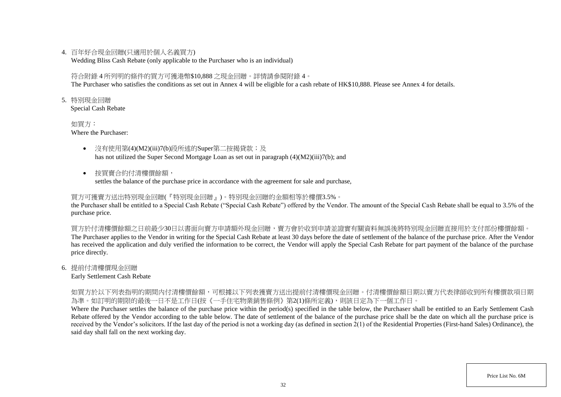### 4. 百年好合現金回贈(只適用於個人名義買方)

Wedding Bliss Cash Rebate (only applicable to the Purchaser who is an individual)

### 符合附錄 4 所列明的條件的買方可獲港幣\$10,888 之現金回贈。詳情請參閱附錄 4。

The Purchaser who satisfies the conditions as set out in Annex 4 will be eligible for a cash rebate of HK\$10,888. Please see Annex 4 for details.

5. 特別現金回贈

Special Cash Rebate

如買方: Where the Purchaser:

- 沒有使用第(4)(M2)(iii)7(b)段所述的Super第二按揭貸款;及 has not utilized the Super Second Mortgage Loan as set out in paragraph (4)(M2)(iii)7(b); and
- 按買賣合約付清樓價餘額,

settles the balance of the purchase price in accordance with the agreement for sale and purchase,

### 買方可獲賣方送出特別現金回贈(『特別現金回贈』)。特別現金回贈的金額相等於樓價3.5%。

the Purchaser shall be entitled to a Special Cash Rebate ("Special Cash Rebate") offered by the Vendor. The amount of the Special Cash Rebate shall be equal to 3.5% of the purchase price.

買方於付清樓價餘額之日前最少30日以書面向賣方申請額外現金回贈,賣方會於收到申請並證實有關資料無誤後將特別現金回贈直接用於支付部份樓價餘額。 The Purchaser applies to the Vendor in writing for the Special Cash Rebate at least 30 days before the date of settlement of the balance of the purchase price. After the Vendor has received the application and duly verified the information to be correct, the Vendor will apply the Special Cash Rebate for part payment of the balance of the purchase price directly.

### 6. 提前付清樓價現金回贈

Early Settlement Cash Rebate

如買方於以下列表指明的期間内付清樓價餘額,可根據以下列表獲賣方送出提前付清樓價現金回贈。付清樓價餘額日期以賣方代表律師收到所有樓價款項日期 為準。如訂明的期限的最後一日不是工作日(按《一手住宅物業銷售條例》第2(1)條所定義),則該日定為下一個工作日。

Where the Purchaser settles the balance of the purchase price within the period(s) specified in the table below, the Purchaser shall be entitled to an Early Settlement Cash Rebate offered by the Vendor according to the table below. The date of settlement of the balance of the purchase price shall be the date on which all the purchase price is received by the Vendor's solicitors. If the last day of the period is not a working day (as defined in section  $2(1)$  of the Residential Properties (First-hand Sales) Ordinance), the said day shall fall on the next working day.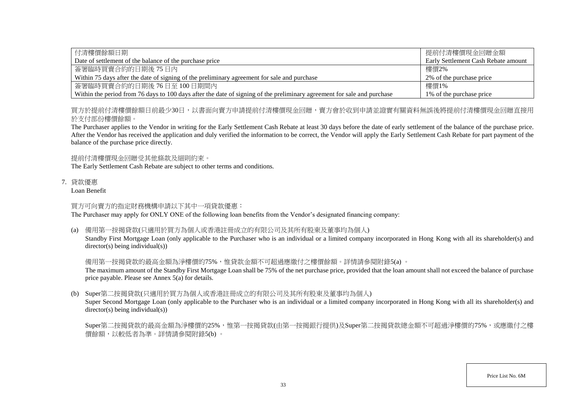| 付清樓價餘額日期                                                                                                                | 提前付清樓價現金回贈金額                        |
|-------------------------------------------------------------------------------------------------------------------------|-------------------------------------|
| Date of settlement of the balance of the purchase price                                                                 | Early Settlement Cash Rebate amount |
| 簽署臨時買賣合約的日期後 75日内                                                                                                       | 樓價2%                                |
| Within 75 days after the date of signing of the preliminary agreement for sale and purchase                             | 2\% of the purchase price           |
| 簽署臨時買賣合約的日期後 76日至 100日期間内                                                                                               | 樓價1%                                |
| Within the period from 76 days to 100 days after the date of signing of the preliminary agreement for sale and purchase | 1\% of the purchase price           |

買方於提前付清樓價餘額日前最少30日,以書面向賣方申請提前付清樓價現金回贈,賣方會於收到申請並證實有關資料無誤後將提前付清樓價現金回贈直接用 於支付部份樓價餘額。

The Purchaser applies to the Vendor in writing for the Early Settlement Cash Rebate at least 30 days before the date of early settlement of the balance of the purchase price. After the Vendor has received the application and duly verified the information to be correct, the Vendor will apply the Early Settlement Cash Rebate for part payment of the balance of the purchase price directly.

提前付清樓價現金回贈受其他條款及細則約束。

The Early Settlement Cash Rebate are subject to other terms and conditions.

7. 貸款優惠

Loan Benefit

### 買方可向賣方的指定財務機構申請以下其中一項貸款優惠:

The Purchaser may apply for ONLY ONE of the following loan benefits from the Vendor's designated financing company:

### (a) 備用第一按揭貸款(只適用於買方為個人或香港註冊成立的有限公司及其所有股東及董事均為個人)

Standby First Mortgage Loan (only applicable to the Purchaser who is an individual or a limited company incorporated in Hong Kong with all its shareholder(s) and director(s) being individual(s))

### 備用第一按揭貸款的最高金額為淨樓價的75%,惟貸款金額不可超過應繳付之樓價餘額。詳情請參閱附錄5(a) 。

The maximum amount of the Standby First Mortgage Loan shall be 75% of the net purchase price, provided that the loan amount shall not exceed the balance of purchase price payable. Please see Annex 5(a) for details.

### (b) Super第二按揭貸款(只適用於買方為個人或香港註冊成立的有限公司及其所有股東及董事均為個人)

Super Second Mortgage Loan (only applicable to the Purchaser who is an individual or a limited company incorporated in Hong Kong with all its shareholder(s) and  $\text{directory}(s)$  being individual $(s)$ )

Super第二按揭貸款的最高金額為淨樓價的25%,惟第一按揭貸款(由第一按揭銀行提供)及Super第二按揭貸款總金額不可超過淨樓價的75%,或應繳付之樓 價餘額,以較低者為準。詳情請參閱附錄5(b) 。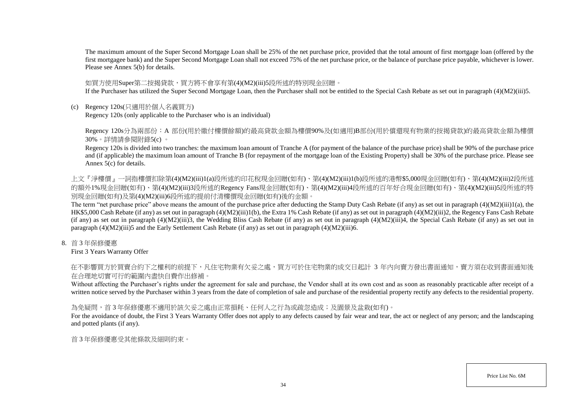The maximum amount of the Super Second Mortgage Loan shall be 25% of the net purchase price, provided that the total amount of first mortgage loan (offered by the first mortgagee bank) and the Super Second Mortgage Loan shall not exceed 75% of the net purchase price, or the balance of purchase price payable, whichever is lower. Please see Annex 5(b) for details.

#### 如買方使用Super第二按揭貸款,買方將不會享有第(4)(M2)(iii)5段所述的特別現金回贈。

If the Purchaser has utilized the Super Second Mortgage Loan, then the Purchaser shall not be entitled to the Special Cash Rebate as set out in paragraph (4)(M2)(iii)5.

(c) Regency 120s(只適用於個人名義買方)

Regency 120s (only applicable to the Purchaser who is an individual)

Regency 120s分為兩部份: A 部份(用於繳付樓價餘額)的最高貸款金額為樓價90%及(如適用)B部份(用於償還現有物業的按揭貸款)的最高貸款金額為樓價 30%。詳情請參閱附錄5(c) 。

Regency 120s is divided into two tranches: the maximum loan amount of Tranche A (for payment of the balance of the purchase price) shall be 90% of the purchase price and (if applicable) the maximum loan amount of Tranche B (for repayment of the mortgage loan of the Existing Property) shall be 30% of the purchase price. Please see Annex 5(c) for details.

上文『淨樓價』一詞指樓價扣除第(4)(M2)(iii)1(a)段所述的印花稅現金回贈(如有)、第(4)(M2)(iii)1(b)段所述的港幣\$5,000現金回贈(如有)、第(4)(M2)(iii)2段所述 的額外1%現金回贈(如有)、第(4)(M2)(iii)3段所述的Regency Fans現金回贈(如有)、第(4)(M2)(iii)4段所述的百年好合現金回贈(如有)、第(4)(M2)(iii)5段所述的特 別現金回贈(如有)及第(4)(M2)(iii)6段所述的提前付清樓價現金回贈(如有)後的金額。

The term "net purchase price" above means the amount of the purchase price after deducting the Stamp Duty Cash Rebate (if any) as set out in paragraph (4)(M2)(iii)1(a), the HK\$5,000 Cash Rebate (if any) as set out in paragraph (4)(M2)(iii)1(b), the Extra 1% Cash Rebate (if any) as set out in paragraph (4)(M2)(iii)2, the Regency Fans Cash Rebate (if any) as set out in paragraph  $(4)(M2)(iii)3$ , the Wedding Bliss Cash Rebate (if any) as set out in paragraph  $(4)(M2)(iii)4$ , the Special Cash Rebate (if any) as set out in paragraph (4)(M2)(iii)5 and the Early Settlement Cash Rebate (if any) as set out in paragraph (4)(M2)(iii)6.

8. 首 3 年保修優惠

First 3 Years Warranty Offer

在不影響買方於買賣合約下之權利的前提下,凡住宅物業有欠妥之處,買方可於住宅物業的成交日起計 3 年內向賣方發出書面通知,賣方須在收到書面通知後 在合理地切實可行的範圍內盡快自費作出修補。

Without affecting the Purchaser's rights under the agreement for sale and purchase, the Vendor shall at its own cost and as soon as reasonably practicable after receipt of a written notice served by the Purchaser within 3 years from the date of completion of sale and purchase of the residential property rectify any defects to the residential property.

### 為免疑問,首3年保修優惠不適用於該欠妥之處由正常損耗、任何人之行為或疏忽造成;及園景及盆栽(如有)。

For the avoidance of doubt, the First 3 Years Warranty Offer does not apply to any defects caused by fair wear and tear, the act or neglect of any person; and the landscaping and potted plants (if any).

首 3 年保修優惠受其他條款及細則約束。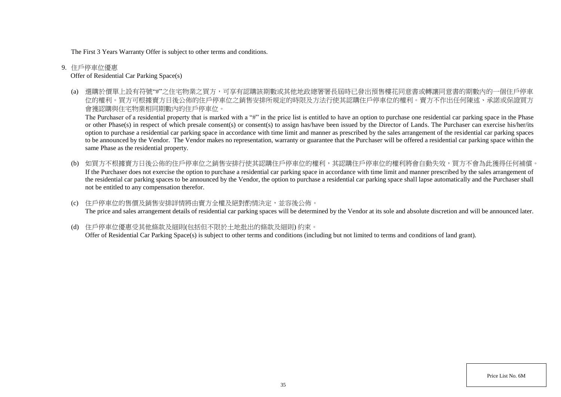The First 3 Years Warranty Offer is subject to other terms and conditions.

9. 住戶停車位優惠

Offer of Residential Car Parking Space(s)

(a) 選購於價單上設有符號"#"之住宅物業之買方,可享有認購該期數或其他地政總署署長屆時已發出預售樓花同意書或轉讓同意書的期數內的一個住戶停車 位的權利。買方可根據賣方日後公佈的住戶停車位之銷售安排所規定的時限及方法行使其認購住戶停車位的權利。賣方不作出任何陳述、承諾或保證買方 會獲認購與住宅物業相同期數內的住戶停車位。

The Purchaser of a residential property that is marked with a "#" in the price list is entitled to have an option to purchase one residential car parking space in the Phase or other Phase(s) in respect of which presale consent(s) or consent(s) to assign has/have been issued by the Director of Lands. The Purchaser can exercise his/her/its option to purchase a residential car parking space in accordance with time limit and manner as prescribed by the sales arrangement of the residential car parking spaces to be announced by the Vendor. The Vendor makes no representation, warranty or guarantee that the Purchaser will be offered a residential car parking space within the same Phase as the residential property.

(b) 如買方不根據賣方日後公佈的住戶停車位之銷售安排行使其認購住戶停車位的權利,其認購住戶停車位的權利將會自動失效,買方不會為此獲得任何補償。 If the Purchaser does not exercise the option to purchase a residential car parking space in accordance with time limit and manner prescribed by the sales arrangement of the residential car parking spaces to be announced by the Vendor, the option to purchase a residential car parking space shall lapse automatically and the Purchaser shall not be entitled to any compensation therefor.

(c) 住戶停車位的售價及銷售安排詳情將由賣方全權及絕對酌情決定,並容後公佈。 The price and sales arrangement details of residential car parking spaces will be determined by the Vendor at its sole and absolute discretion and will be announced later.

(d) 住戶停車位優惠受其他條款及細則(包括但不限於土地批出的條款及細則) 約束。 Offer of Residential Car Parking Space(s) is subject to other terms and conditions (including but not limited to terms and conditions of land grant).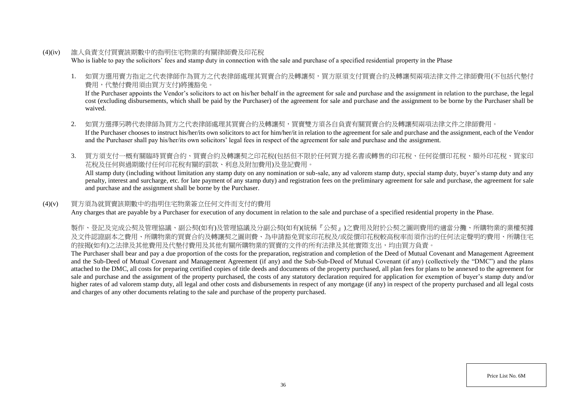(4)(iv) 誰人負責支付買賣該期數中的指明住宅物業的有關律師費及印花稅

Who is liable to pay the solicitors' fees and stamp duty in connection with the sale and purchase of a specified residential property in the Phase

1. 如買方選用賣方指定之代表律師作為買方之代表律師處理其買賣合約及轉讓契,買方原須支付買賣合約及轉讓契兩項法律文件之律師費用(不包括代墊付 費用,代墊付費用須由買方支付)將獲豁免。

If the Purchaser appoints the Vendor's solicitors to act on his/her behalf in the agreement for sale and purchase and the assignment in relation to the purchase, the legal cost (excluding disbursements, which shall be paid by the Purchaser) of the agreement for sale and purchase and the assignment to be borne by the Purchaser shall be waived.

- 2. 如買方選擇另聘代表律師為買方之代表律師處理其買賣合約及轉讓契,買賣雙方須各自負責有關買賣合約及轉讓契兩項法律文件之律師費用。 If the Purchaser chooses to instruct his/her/its own solicitors to act for him/her/it in relation to the agreement for sale and purchase and the assignment, each of the Vendor and the Purchaser shall pay his/her/its own solicitors' legal fees in respect of the agreement for sale and purchase and the assignment.
- 3. 買方須支付一概有關臨時買賣合約、買賣合約及轉讓契之印花稅(包括但不限於任何買方提名書或轉售的印花稅、任何從價印花稅、額外印花稅、買家印 花稅及任何與過期繳付任何印花稅有關的罰款、利息及附加費用)及登記費用。

All stamp duty (including without limitation any stamp duty on any nomination or sub-sale, any ad valorem stamp duty, special stamp duty, buyer's stamp duty and any penalty, interest and surcharge, etc. for late payment of any stamp duty) and registration fees on the preliminary agreement for sale and purchase, the agreement for sale and purchase and the assignment shall be borne by the Purchaser.

### (4)(v) 買方須為就買賣該期數中的指明住宅物業簽立任何文件而支付的費用

Any charges that are payable by a Purchaser for execution of any document in relation to the sale and purchase of a specified residential property in the Phase.

製作、登記及完成公契及管理協議、副公契(如有)及管理協議及分副公契(如有)(統稱『公契』)之費用及附於公契之圖則費用的適當分攤、所購物業的業權契據 及文件認證副本之費用、所購物業的買賣合約及轉讓契之圖則費、為申請豁免買家印花稅及/或從價印花稅較高稅率而須作出的任何法定聲明的費用、所購住宅 的按揭(如有)之法律及其他費用及代墊付費用及其他有關所購物業的買賣的文件的所有法律及其他實際支出,均由買方負責。

The Purchaser shall bear and pay a due proportion of the costs for the preparation, registration and completion of the Deed of Mutual Covenant and Management Agreement and the Sub-Deed of Mutual Covenant and Management Agreement (if any) and the Sub-Sub-Deed of Mutual Covenant (if any) (collectively the "DMC") and the plans attached to the DMC, all costs for preparing certified copies of title deeds and documents of the property purchased, all plan fees for plans to be annexed to the agreement for sale and purchase and the assignment of the property purchased, the costs of any statutory declaration required for application for exemption of buyer's stamp duty and/or higher rates of ad valorem stamp duty, all legal and other costs and disbursements in respect of any mortgage (if any) in respect of the property purchased and all legal costs and charges of any other documents relating to the sale and purchase of the property purchased.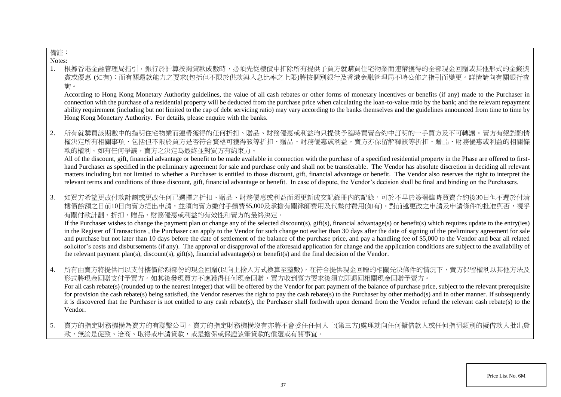### 備註:

Notes:

1. 根據香港金融管理局指引,銀行於計算按揭貸款成數時,必須先從樓價中扣除所有提供予買方就購買住宅物業而連帶獲得的全部現金回贈或其他 賞或優惠 (如有);而有關還款能力之要求(包括但不限於供款與入息比率之上限)將按個別銀行及香港金融管理局不時公佈之指引而變更。詳情請向有關銀行查 詢。

According to Hong Kong Monetary Authority guidelines, the value of all cash rebates or other forms of monetary incentives or benefits (if any) made to the Purchaser in connection with the purchase of a residential property will be deducted from the purchase price when calculating the loan-to-value ratio by the bank; and the relevant repayment ability requirement (including but not limited to the cap of debt servicing ratio) may vary according to the banks themselves and the guidelines announced from time to time by Hong Kong Monetary Authority. For details, please enquire with the banks.

2. 所有就購買該期數中的指明住宅物業而連帶獲得的任何折扣、贈品、財務優惠或利益均只提供予臨時買賣合約中訂明的一手買方及不可轉讓。 權決定所有相關事項,包括但不限於買方是否符合資格可獲得該等折扣、贈品、財務優惠或利益。賣方亦保留解釋該等折扣、贈品、財務優惠或利益的相關條 款的權利。如有任何爭議,賣方之決定為最終並對買方有約束力。

All of the discount, gift, financial advantage or benefit to be made available in connection with the purchase of a specified residential property in the Phase are offered to firsthand Purchaser as specified in the preliminary agreement for sale and purchase only and shall not be transferable. The Vendor has absolute discretion in deciding all relevant matters including but not limited to whether a Purchaser is entitled to those discount, gift, financial advantage or benefit. The Vendor also reserves the right to interpret the relevant terms and conditions of those discount, gift, financial advantage or benefit. In case of dispute, the Vendor's decision shall be final and binding on the Purchasers.

3. 如買方希望更改付款計劃或更改任何已選擇之折扣、贈品、財務優惠或利益而須更新成交記錄冊內的記錄,可於不早於簽署臨時買賣合約後30日但不遲於付清 樓價餘額之日前10日向賣方提出申請,並須向賣方繳付手續費\$5,000及承擔有關律師費用及代墊付費用(如有)。對前述更改之申請及申請條件的批准與否,視乎 有關付款計劃、折扣、贈品、財務優惠或利益的有效性和賣方的最終決定。

If the Purchaser wishes to change the payment plan or change any of the selected discount(s), gift(s), financial advantage(s) or benefit(s) which requires update to the entry(ies) in the Register of Transactions , the Purchaser can apply to the Vendor for such change not earlier than 30 days after the date of signing of the preliminary agreement for sale and purchase but not later than 10 days before the date of settlement of the balance of the purchase price, and pay a handling fee of \$5,000 to the Vendor and bear all related solicitor's costs and disbursements (if any). The approval or disapproval of the aforesaid application for change and the application conditions are subject to the availability of the relevant payment plan(s), discount(s), gift(s), financial advantage(s) or benefit(s) and the final decision of the Vendor.

- 4. 所有由賣方將提供用以支付樓價餘額部份的現金回贈(以向上捨入方式換算至整數),在符合提供現金回贈的相關先決條件的情況下,賣方保留權利以其他方法及 形式將現金回贈支付予買方。如其後發現買方不應獲得任何現金回贈,買方收到賣方要求後須立即退回相關現金回贈予賣方。 For all cash rebate(s) (rounded up to the nearest integer) that will be offered by the Vendor for part payment of the balance of purchase price, subject to the relevant prerequisite for provision the cash rebate(s) being satisfied, the Vendor reserves the right to pay the cash rebate(s) to the Purchaser by other method(s) and in other manner. If subsequently it is discovered that the Purchaser is not entitled to any cash rebate(s), the Purchaser shall forthwith upon demand from the Vendor refund the relevant cash rebate(s) to the Vendor.
- 5. 賣方的指定財務機構為賣方的有聯繫公司。賣方的指定財務機構沒有亦將不會委任任何人士(第三方)處理就向任何擬借款人或任何指明類別的擬借款人批出貸 款,無論是促致、洽商、取得或申請貸款,或是擔保或保證該筆貸款的償還或有關事官。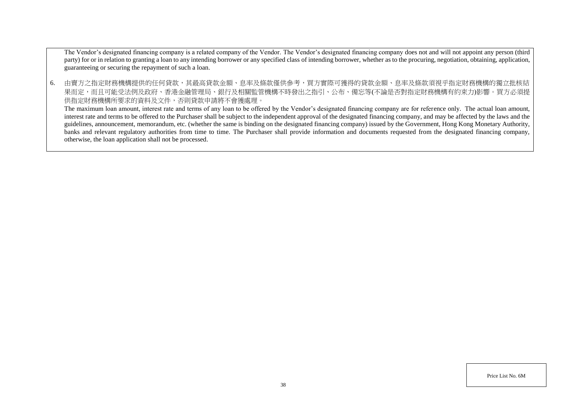The Vendor's designated financing company is a related company of the Vendor. The Vendor's designated financing company does not and will not appoint any person (third party) for or in relation to granting a loan to any intending borrower or any specified class of intending borrower, whether as to the procuring, negotiation, obtaining, application, guaranteeing or securing the repayment of such a loan.

6. 由賣方之指定財務機構提供的任何貸款,其最高貸款金額、息率及條款僅供參考,買方實際可獲得的貸款金額、息率及條款須視乎指定財務機構的獨立批核結 果而定,而且可能受法例及政府、香港金融管理局、銀行及相關監管機構不時發出之指引、公布、備忘等(不論是否對指定財務機構有約束力)影響。買方必須提 供指定財務機構所要求的資料及文件,否則貸款申請將不會獲處理。

The maximum loan amount, interest rate and terms of any loan to be offered by the Vendor's designated financing company are for reference only. The actual loan amount, interest rate and terms to be offered to the Purchaser shall be subject to the independent approval of the designated financing company, and may be affected by the laws and the guidelines, announcement, memorandum, etc. (whether the same is binding on the designated financing company) issued by the Government, Hong Kong Monetary Authority, banks and relevant regulatory authorities from time to time. The Purchaser shall provide information and documents requested from the designated financing company, otherwise, the loan application shall not be processed.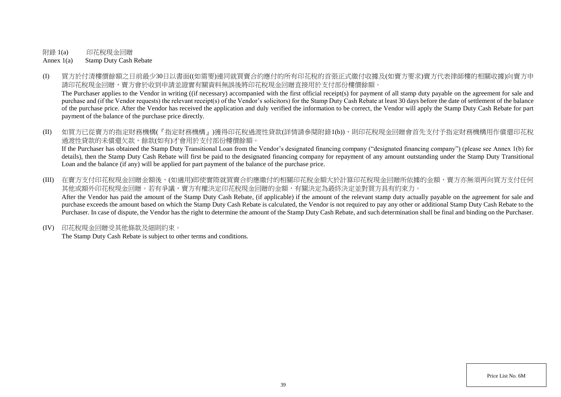附錄 1(a) 印花稅現金回贈

Annex 1(a) Stamp Duty Cash Rebate

(I) 買方於付清樓價餘額之日前最少30日以書面((如需要)連同就買賣合約應付的所有印花稅的首張正式繳付收據及(如賣方要求)賣方代表律師樓的相關收據)向賣方申 請印花稅現金回贈,賣方會於收到申請並證實有關資料無誤後將印花稅現金回贈直接用於支付部份樓價餘額。

The Purchaser applies to the Vendor in writing ((if necessary) accompanied with the first official receipt(s) for payment of all stamp duty payable on the agreement for sale and purchase and (if the Vendor requests) the relevant receipt(s) of the Vendor's solicitors) for the Stamp Duty Cash Rebate at least 30 days before the date of settlement of the balance of the purchase price. After the Vendor has received the application and duly verified the information to be correct, the Vendor will apply the Stamp Duty Cash Rebate for part payment of the balance of the purchase price directly.

(II) 如買方已從賣方的指定財務機構(『指定財務機構』)獲得印花稅過渡性貸款(詳情請參閱附錄1(b)),則印花稅現金回贈會首先支付予指定財務機構用作償還印花稅 過渡性貸款的未償還欠款,餘款(如有)才會用於支付部份樓價餘額。 If the Purchaser has obtained the Stamp Duty Transitional Loan from the Vendor's designated financing company ("designated financing company") (please see Annex 1(b) for

details), then the Stamp Duty Cash Rebate will first be paid to the designated financing company for repayment of any amount outstanding under the Stamp Duty Transitional Loan and the balance (if any) will be applied for part payment of the balance of the purchase price.

- (III) 在賣方支付印花稅現金回贈金額後,(如適用)即使實際就買賣合約應繳付的相關印花稅金額大於計算印花稅現金回贈所依據的金額,賣方亦無須再向買方支付任何 其他或額外印花稅現金回贈。若有爭議,賣方有權決定印花稅現金回贈的金額,有關決定為最終決定並對買方具有約束力。 After the Vendor has paid the amount of the Stamp Duty Cash Rebate, (if applicable) if the amount of the relevant stamp duty actually payable on the agreement for sale and purchase exceeds the amount based on which the Stamp Duty Cash Rebate is calculated, the Vendor is not required to pay any other or additional Stamp Duty Cash Rebate to the Purchaser. In case of dispute, the Vendor has the right to determine the amount of the Stamp Duty Cash Rebate, and such determination shall be final and binding on the Purchaser.
- (IV) 印花稅現金回贈受其他條款及細則約束。

The Stamp Duty Cash Rebate is subject to other terms and conditions.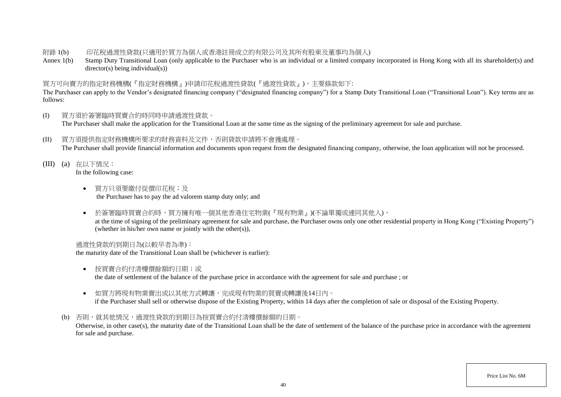### 附錄 1(b) 印花稅過渡性貸款(只適用於買方為個人或香港註冊成立的有限公司及其所有股東及董事均為個人)

Annex 1(b) Stamp Duty Transitional Loan (only applicable to the Purchaser who is an individual or a limited company incorporated in Hong Kong with all its shareholder(s) and director(s) being individual(s))

### 買方可向賣方的指定財務機構(『指定財務機構』)申請印花稅過渡性貸款(『過渡性貸款』),主要條款如下:

The Purchaser can apply to the Vendor's designated financing company ("designated financing company") for a Stamp Duty Transitional Loan ("Transitional Loan"). Key terms are as follows:

- (I) 買方須於簽署臨時買賣合約時同時申請過渡性貸款。 The Purchaser shall make the application for the Transitional Loan at the same time as the signing of the preliminary agreement for sale and purchase.
- (II) 買方須提供指定財務機構所要求的財務資料及文件,否則貸款申請將不會獲處理。 The Purchaser shall provide financial information and documents upon request from the designated financing company, otherwise, the loan application will not be processed.
- (III) (a) 在以下情況: In the following case:
	- 買方只須要繳付從價印花稅;及 the Purchaser has to pay the ad valorem stamp duty only; and
	- 於簽署臨時買賣合約時,買方擁有唯一個其他香港住宅物業(『現有物業』)(不論單獨或連同其他人), at the time of signing of the preliminary agreement for sale and purchase, the Purchaser owns only one other residential property in Hong Kong ("Existing Property") (whether in his/her own name or jointly with the other(s)),

### 過渡性貸款的到期日為(以較早者為準):

the maturity date of the Transitional Loan shall be (whichever is earlier):

- 按買賣合約付清樓價餘額的日期;或 the date of settlement of the balance of the purchase price in accordance with the agreement for sale and purchase ; or
- 如買方將現有物業賣出或以其他方式轉讓,完成現有物業的買賣或轉讓後14日內。 if the Purchaser shall sell or otherwise dispose of the Existing Property, within 14 days after the completion of sale or disposal of the Existing Property.
- (b) 否則,就其他情況,過渡性貸款的到期日為按買賣合約付清樓價餘額的日期。

Otherwise, in other case(s), the maturity date of the Transitional Loan shall be the date of settlement of the balance of the purchase price in accordance with the agreement for sale and purchase.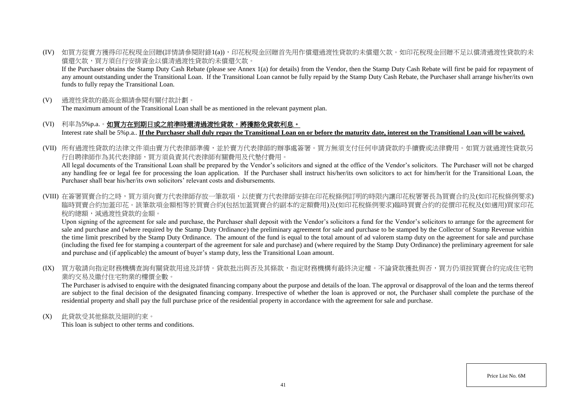(IV) 如買方從賣方獲得印花稅現金回贈(詳情請參閱附錄1(a)),印花稅現金回贈首先用作償還過渡性貸款的未償還欠款。如印花稅現金回贈不足以償清過渡性貸款的未 償還欠款,買方須自行安排資金以償清過渡性貸款的未償還欠款。

If the Purchaser obtains the Stamp Duty Cash Rebate (please see Annex 1(a) for details) from the Vendor, then the Stamp Duty Cash Rebate will first be paid for repayment of any amount outstanding under the Transitional Loan. If the Transitional Loan cannot be fully repaid by the Stamp Duty Cash Rebate, the Purchaser shall arrange his/her/its own funds to fully repay the Transitional Loan.

(V) 過渡性貸款的最高金額請參閱有關付款計劃。

The maximum amount of the Transitional Loan shall be as mentioned in the relevant payment plan.

- (VI) 利率為5%p.a.。如買方在到期日或之前準時還清過渡性貸款,將獲豁免貸款利息。 Interest rate shall be 5%p.a.. **If the Purchaser shall duly repay the Transitional Loan on or before the maturity date, interest on the Transitional Loan will be waived.**
- (VII) 所有過渡性貸款的法律文件須由賣方代表律師準備,並於賣方代表律師的辦事處簽署。買方無須支付任何申請貸款的手續費或法律費用。如買方就過渡性貸款另 行自聘律師作為其代表律師,買方須負責其代表律師有關費用及代墊付費用。

All legal documents of the Transitional Loan shall be prepared by the Vendor's solicitors and signed at the office of the Vendor's solicitors. The Purchaser will not be charged any handling fee or legal fee for processing the loan application. If the Purchaser shall instruct his/her/its own solicitors to act for him/her/it for the Transitional Loan, the Purchaser shall bear his/her/its own solicitors' relevant costs and disbursements.

(VIII) 在簽署買賣合約之時,買方須向賣方代表律師存放一筆款項,以使賣方代表律師安排在印花稅條例訂明的時限內讓印花稅署署長為買賣合約及(如印花稅條例要求) 臨時買賣合約加蓋印花。該筆款項金額相等於買賣合約(包括加蓋買賣合約副本的定額費用)及(如印花稅條例要求)臨時買賣合約的從價印花稅及(如適用)買家印花 稅的總額,減過渡性貸款的金額。

Upon signing of the agreement for sale and purchase, the Purchaser shall deposit with the Vendor's solicitors a fund for the Vendor's solicitors to arrange for the agreement for sale and purchase and (where required by the Stamp Duty Ordinance) the preliminary agreement for sale and purchase to be stamped by the Collector of Stamp Revenue within the time limit prescribed by the Stamp Duty Ordinance. The amount of the fund is equal to the total amount of ad valorem stamp duty on the agreement for sale and purchase (including the fixed fee for stamping a counterpart of the agreement for sale and purchase) and (where required by the Stamp Duty Ordinance) the preliminary agreement for sale and purchase and (if applicable) the amount of buyer's stamp duty, less the Transitional Loan amount.

(IX) 買方敬請向指定財務機構查詢有關貸款用途及詳情。貸款批出與否及其條款,指定財務機構有最終決定權。不論貸款獲批與否,買方仍須按買賣合約完成住宅物 業的交易及繳付住宅物業的樓價全數。

The Purchaser is advised to enquire with the designated financing company about the purpose and details of the loan. The approval or disapproval of the loan and the terms thereof are subject to the final decision of the designated financing company. Irrespective of whether the loan is approved or not, the Purchaser shall complete the purchase of the residential property and shall pay the full purchase price of the residential property in accordance with the agreement for sale and purchase.

(X) 此貸款受其他條款及細則約束。

This loan is subject to other terms and conditions.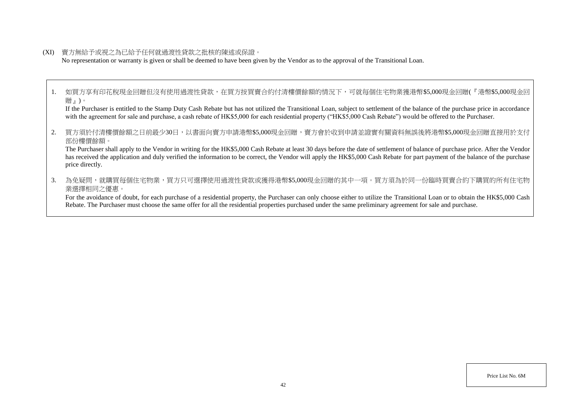(XI) 賣方無給予或視之為已給予任何就過渡性貸款之批核的陳述或保證。

No representation or warranty is given or shall be deemed to have been given by the Vendor as to the approval of the Transitional Loan.

1. 如買方享有印花稅現金回贈但沒有使用過渡性貸款,在買方按買賣合約付清樓價餘額的情況下,可就每個住宅物業獲港幣\$5,000現金回贈(『港幣\$5,000現金回 贈』)。

If the Purchaser is entitled to the Stamp Duty Cash Rebate but has not utilized the Transitional Loan, subject to settlement of the balance of the purchase price in accordance with the agreement for sale and purchase, a cash rebate of HK\$5,000 for each residential property ("HK\$5,000 Cash Rebate") would be offered to the Purchaser.

2. 買方須於付清樓價餘額之日前最少30日,以書面向賣方申請港幣\$5,000現金回贈,賣方會於收到申請並證實有關資料無誤後將港幣\$5,000現金回贈直接用於支付 部份樓價餘額。

The Purchaser shall apply to the Vendor in writing for the HK\$5,000 Cash Rebate at least 30 days before the date of settlement of balance of purchase price. After the Vendor has received the application and duly verified the information to be correct, the Vendor will apply the HK\$5,000 Cash Rebate for part payment of the balance of the purchase price directly.

3. 為免疑問,就購買每個住宅物業,買方只可選擇使用過渡性貸款或獲得港幣\$5,000現金回贈的其中一項。買方須為於同一份臨時買賣合約下購買的所有住宅物 業選擇相同之優惠。

For the avoidance of doubt, for each purchase of a residential property, the Purchaser can only choose either to utilize the Transitional Loan or to obtain the HK\$5,000 Cash Rebate. The Purchaser must choose the same offer for all the residential properties purchased under the same preliminary agreement for sale and purchase.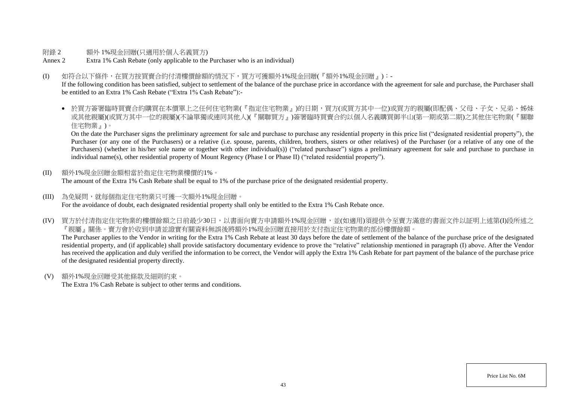### 附錄 2 額外 1%現金回贈(只滴用於個人名義買方)

Annex 2 Extra 1% Cash Rebate (only applicable to the Purchaser who is an individual)

### (I) 如符合以下條件,在買方按買賣合約付清樓價餘額的情況下,買方可獲額外1%現金回贈(『額外1%現金回贈』):-

If the following condition has been satisfied, subject to settlement of the balance of the purchase price in accordance with the agreement for sale and purchase, the Purchaser shall be entitled to an Extra 1% Cash Rebate ("Extra 1% Cash Rebate"):-

● 於買方簽署臨時買賣合約購買在本價單上之任何住宅物業(『指定住宅物業』)的日期,買方(或買方其中一位)或買方的親屬(即配偶、父母、子女、兄弟、姊妹 或其他親屬)(或買方其中一位的親屬)(不論單獨或連同其他人)(『關聯買方』)簽署臨時買賣合約以個人名義購買御半山(第一期或第二期)之其他住宅物業(『關聯 住宅物業』)。

On the date the Purchaser signs the preliminary agreement for sale and purchase to purchase any residential property in this price list ("designated residential property"), the Purchaser (or any one of the Purchasers) or a relative (i.e. spouse, parents, children, brothers, sisters or other relatives) of the Purchaser (or a relative of any one of the Purchasers) (whether in his/her sole name or together with other individual(s)) ("related purchaser") signs a preliminary agreement for sale and purchase to purchase in individual name(s), other residential property of Mount Regency (Phase I or Phase II) ("related residential property").

- (II) 額外1%現金回贈金額相當於指定住宅物業樓價的1%。 The amount of the Extra 1% Cash Rebate shall be equal to 1% of the purchase price of the designated residential property.
- (III) 為免疑問,就每個指定住宅物業只可獲一次額外1%現金回贈。 For the avoidance of doubt, each designated residential property shall only be entitled to the Extra 1% Cash Rebate once.
- (IV) 買方於付清指定住宅物業的樓價餘額之日前最少30日,以書面向賣方申請額外1%現金回贈,並(如適用)須提供令至賣方滿意的書面文件以証明上述第(I)段所述之 『親屬』關係。賣方會於收到申請並證實有關資料無誤後將額外1%現金回贈直接用於支付指定住宅物業的部份樓價餘額。 The Purchaser applies to the Vendor in writing for the Extra 1% Cash Rebate at least 30 days before the date of settlement of the balance of the purchase price of the designated

residential property, and (if applicable) shall provide satisfactory documentary evidence to prove the "relative" relationship mentioned in paragraph (I) above. After the Vendor has received the application and duly verified the information to be correct, the Vendor will apply the Extra 1% Cash Rebate for part payment of the balance of the purchase price of the designated residential property directly.

(V) 額外1%現金回贈受其他條款及細則約束。

The Extra 1% Cash Rebate is subject to other terms and conditions.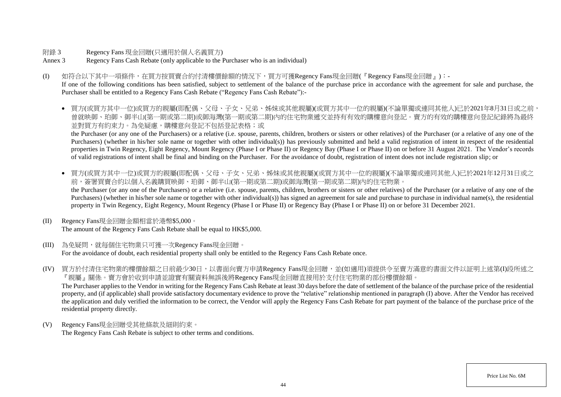- 附錄 3 Regency Fans 現金回贈(只適用於個人名義買方)
- Annex 3 Regency Fans Cash Rebate (only applicable to the Purchaser who is an individual)
- (I) 如符合以下其中一項條件,在買方按買賣合約付清樓價餘額的情況下,買方可獲Regency Fans現金回贈(『Regency Fans現金回贈』):-

If one of the following conditions has been satisfied, subject to settlement of the balance of the purchase price in accordance with the agreement for sale and purchase, the Purchaser shall be entitled to a Regency Fans Cash Rebate ("Regency Fans Cash Rebate"):-

● 買方(或買方其中一位)或買方的親屬(即配偶、父母、子女、兄弟、姊妹或其他親屬)(或買方其中一位的親屬)(不論單獨或連同其他人)已於2021年8月31日或之前, 曾就映御、珀御、御半山(第一期或第二期)或御海灣(第一期或第二期)內的住宅物業遞交並持有有效的購樓意向登記。賣方的有效的購樓意向登記紀錄將為最終 並對買方有約束力。為免疑慮,購樓意向登記不包括登記表格;或

the Purchaser (or any one of the Purchasers) or a relative (i.e. spouse, parents, children, brothers or sisters or other relatives) of the Purchaser (or a relative of any one of the Purchasers) (whether in his/her sole name or together with other individual(s)) has previously submitted and held a valid registration of intent in respect of the residential properties in Twin Regency, Eight Regency, Mount Regency (Phase I or Phase II) or Regency Bay (Phase I or Phase II) on or before 31 August 2021. The Vendor's records of valid registrations of intent shall be final and binding on the Purchaser. For the avoidance of doubt, registration of intent does not include registration slip; or

- 買方(或買方其中一位)或買方的親屬(即配偶、父母、子女、兄弟、姊妹或其他親屬)(或買方其中一位的親屬)(不論單獨或連同其他人)已於2021年12月31日或之 前,簽署買賣合約以個人名義購買映御、珀御、御半山(第一期或第二期)或御海灣(第一期或第二期)内的住宅物業。 the Purchaser (or any one of the Purchasers) or a relative (i.e. spouse, parents, children, brothers or sisters or other relatives) of the Purchaser (or a relative of any one of the Purchasers) (whether in his/her sole name or together with other individual(s)) has signed an agreement for sale and purchase to purchase in individual name(s), the residential property in Twin Regency, Eight Regency, Mount Regency (Phase I or Phase II) or Regency Bay (Phase I or Phase II) on or before 31 December 2021.
- (II) Regency Fans現金回贈金額相當於港幣\$5,000。 The amount of the Regency Fans Cash Rebate shall be equal to HK\$5,000.
- (III) 為免疑問,就每個住宅物業只可獲一次Regency Fans現金回贈。

For the avoidance of doubt, each residential property shall only be entitled to the Regency Fans Cash Rebate once.

(IV) 買方於付清住宅物業的樓價餘額之日前最少30日,以書面向賣方申請Regency Fans現金回贈,並(如適用)須提供令至賣方滿意的書面文件以証明上述第(I)段所述之 『親屬』關係。賣方會於收到申請並證實有關資料無誤後將Regency Fans現金回贈直接用於支付住宅物業的部份樓價餘額。

The Purchaser applies to the Vendor in writing for the Regency Fans Cash Rebate at least 30 days before the date of settlement of the balance of the purchase price of the residential property, and (if applicable) shall provide satisfactory documentary evidence to prove the "relative" relationship mentioned in paragraph (I) above. After the Vendor has received the application and duly verified the information to be correct, the Vendor will apply the Regency Fans Cash Rebate for part payment of the balance of the purchase price of the residential property directly.

(V) Regency Fans現金回贈受其他條款及細則約束。 The Regency Fans Cash Rebate is subject to other terms and conditions.

Price List No. 6M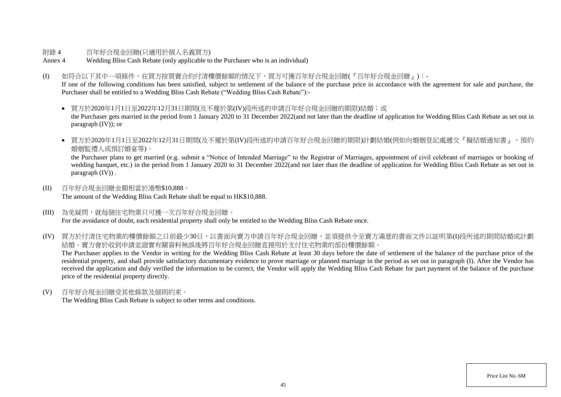### 附錄 4 百年好合現金回贈(只適用於個人名義買方)

Annex 4 Wedding Bliss Cash Rebate (only applicable to the Purchaser who is an individual)

#### (I) 如符合以下其中一項條件,在買方按買賣合約付清樓價餘額的情況下,買方可獲百年好合現金回贈(『百年好合現金回贈』):-

If one of the following conditions has been satisfied, subject to settlement of the balance of the purchase price in accordance with the agreement for sale and purchase, the Purchaser shall be entitled to a Wedding Bliss Cash Rebate ("Wedding Bliss Cash Rebate"):-

● 買方於2020年1月1日至2022年12月31日期間(及不遲於第(IV)段所述的申請百年好合現金回贈的期限)結婚;或 the Purchaser gets married in the period from 1 January 2020 to 31 December 2022(and not later than the deadline of application for Wedding Bliss Cash Rebate as set out in paragraph (IV)); or

● 買方於2020年1月1日至2022年12月31日期間(及不遲於第(IV)段所述的申請百年好合現金回贈的期限)計劃結婚(例如向婚姻登記處遞交『擬結婚通知書』、預約 婚姻監禮人或預訂婚宴等)。

the Purchaser plans to get married (e.g. submit a "Notice of Intended Marriage" to the Registrar of Marriages, appointment of civil celebrant of marriages or booking of wedding banquet, etc.) in the period from 1 January 2020 to 31 December 2022(and not later than the deadline of application for Wedding Bliss Cash Rebate as set out in paragraph (IV)) .

- (II) 百年好合現金回贈金額相當於港幣\$10,888。 The amount of the Wedding Bliss Cash Rebate shall be equal to HK\$10,888.
- (III) 為免疑問,就每個住宅物業只可獲一次百年好合現金回贈。 For the avoidance of doubt, each residential property shall only be entitled to the Wedding Bliss Cash Rebate once.
- (IV) 買方於付清住宅物業的樓價餘額之日前最少30日,以書面向賣方申請百年好合現金回贈,並須提供令至賣方滿意的書面文件以証明第(I)段所述的期間結婚或計劃 結婚。賣方會於收到申請並證實有關資料無誤後將百年好合現金回贈直接用於支付住宅物業的部份樓價餘額。

The Purchaser applies to the Vendor in writing for the Wedding Bliss Cash Rebate at least 30 days before the date of settlement of the balance of the purchase price of the residential property, and shall provide satisfactory documentary evidence to prove marriage or planned marriage in the period as set out in paragraph (I). After the Vendor has received the application and duly verified the information to be correct, the Vendor will apply the Wedding Bliss Cash Rebate for part payment of the balance of the purchase price of the residential property directly.

(V) 百年好合現金回贈受其他條款及細則約束。

The Wedding Bliss Cash Rebate is subject to other terms and conditions.

Price List No. 6M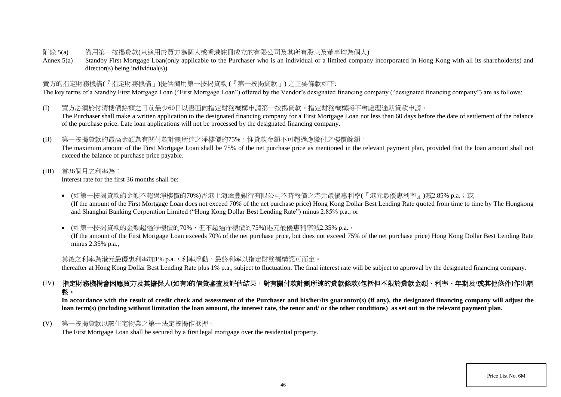### 附錄 5(a) 備用第一按揭貸款(只適用於買方為個人或香港註冊成立的有限公司及其所有股東及董事均為個人)

Annex 5(a) Standby First Mortgage Loan(only applicable to the Purchaser who is an individual or a limited company incorporated in Hong Kong with all its shareholder(s) and director(s) being individual(s))

### 賣方的指定財務機構(『指定財務機構』)提供備用第一按揭貸款 (『第一按揭貸款』) 之主要條款如下:

The key terms of a Standby First Mortgage Loan ("First Mortgage Loan") offered by the Vendor's designated financing company ("designated financing company") are as follows:

- (I) 買方必須於付清樓價餘額之日前最少60日以書面向指定財務機構申請第一按揭貸款。指定財務機構將不會處理逾期貸款申請。 The Purchaser shall make a written application to the designated financing company for a First Mortgage Loan not less than 60 days before the date of settlement of the balance of the purchase price. Late loan applications will not be processed by the designated financing company.
- (II) 第一按揭貸款的最高金額為有關付款計劃所述之淨樓價的75%,惟貸款金額不可超過應繳付之樓價餘額。 The maximum amount of the First Mortgage Loan shall be 75% of the net purchase price as mentioned in the relevant payment plan, provided that the loan amount shall not exceed the balance of purchase price payable.
- (III) 首36個月之利率為:

Interest rate for the first 36 months shall be:

- (如第一按揭貸款的金額不超過淨樓價的70%)香港上海滙豐銀行有限公司不時報價之港元最優惠利率(『港元最優惠利率』)減2.85% p.a.;或 (If the amount of the First Mortgage Loan does not exceed 70% of the net purchase price) Hong Kong Dollar Best Lending Rate quoted from time to time by The Hongkong and Shanghai Banking Corporation Limited ("Hong Kong Dollar Best Lending Rate") minus 2.85% p.a.; or
- (如第一按揭貸款的金額超過淨樓價的70%,但不超過淨樓價的75%)港元最優惠利率減2.35% p.a.,

(If the amount of the First Mortgage Loan exceeds 70% of the net purchase price, but does not exceed 75% of the net purchase price) Hong Kong Dollar Best Lending Rate minus 2.35% p.a.,

其後之利率為港元最優惠利率加1% p.a.,利率浮動。最終利率以指定財務機構認可而定。

thereafter at Hong Kong Dollar Best Lending Rate plus 1% p.a., subject to fluctuation. The final interest rate will be subject to approval by the designated financing company.

# (IV) 指定財務機構會因應買方及其擔保人**(**如有**)**的信貸審查及評估結果,對有關付款計劃所述的貸款條款**(**包括但不限於貸款金額、利率、年期及**/**或其他條件**)**作出調 整。

In accordance with the result of credit check and assessment of the Purchaser and his/her/its guarantor(s) (if any), the designated financing company will adjust the **loan term(s) (including without limitation the loan amount, the interest rate, the tenor and/ or the other conditions) as set out in the relevant payment plan.**

(V) 第一按揭貸款以該住宅物業之第一法定按揭作抵押。

The First Mortgage Loan shall be secured by a first legal mortgage over the residential property.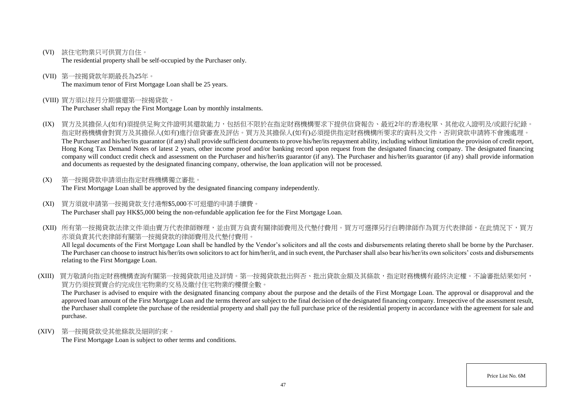(VI) 該住宅物業只可供買方自住。

The residential property shall be self-occupied by the Purchaser only.

- (VII) 第一按揭貸款年期最長為25年。 The maximum tenor of First Mortgage Loan shall be 25 years.
- (VIII) 買方須以按月分期償還第一按揭貸款。

The Purchaser shall repay the First Mortgage Loan by monthly instalments.

- (IX) 買方及其擔保人(如有)須提供足夠文件證明其還款能力,包括但不限於在指定財務機構要求下提供信貸報告、最近2年的香港稅單、其他收入證明及/或銀行紀錄。 指定財務機構會對買方及其擔保人(如有)進行信貸審查及評估。買方及其擔保人(如有)必須提供指定財務機構所要求的資料及文件,否則貸款申請將不會獲處理。 The Purchaser and his/her/its guarantor (if any) shall provide sufficient documents to prove his/her/its repayment ability, including without limitation the provision of credit report, Hong Kong Tax Demand Notes of latest 2 years, other income proof and/or banking record upon request from the designated financing company. The designated financing company will conduct credit check and assessment on the Purchaser and his/her/its guarantor (if any). The Purchaser and his/her/its guarantor (if any) shall provide information and documents as requested by the designated financing company, otherwise, the loan application will not be processed.
- (X) 第一按揭貸款申請須由指定財務機構獨立審批。 The First Mortgage Loan shall be approved by the designated financing company independently.
- (XI) 買方須就申請第一按揭貸款支付港幣\$5,000不可退還的申請手續費。 The Purchaser shall pay HK\$5,000 being the non-refundable application fee for the First Mortgage Loan.
- (XII) 所有第一按揭貸款法律文件須由賣方代表律師辦理,並由買方負責有關律師費用及代墊付費用。買方可選擇另行自聘律師作為買方代表律師,在此情況下,買方 亦須負責其代表律師有關第一按揭貸款的律師費用及代墊付費用。 All legal documents of the First Mortgage Loan shall be handled by the Vendor's solicitors and all the costs and disbursements relating thereto shall be borne by the Purchaser.

The Purchaser can choose to instruct his/her/its own solicitors to act for him/her/it, and in such event, the Purchaser shall also bear his/her/its own solicitors' costs and disbursements relating to the First Mortgage Loan.

(XIII) 買方敬請向指定財務機構查詢有關第一按揭貸款用途及詳情。第一按揭貸款批出與否、批出貸款金額及其條款,指定財務機構有最終決定權。不論審批結果如何, 買方仍須按買賣合約完成住宅物業的交易及繳付住宅物業的樓價全數。

The Purchaser is advised to enquire with the designated financing company about the purpose and the details of the First Mortgage Loan. The approval or disapproval and the approved loan amount of the First Mortgage Loan and the terms thereof are subject to the final decision of the designated financing company. Irrespective of the assessment result, the Purchaser shall complete the purchase of the residential property and shall pay the full purchase price of the residential property in accordance with the agreement for sale and purchase.

(XIV) 第一按揭貸款受其他條款及細則約束。

The First Mortgage Loan is subject to other terms and conditions.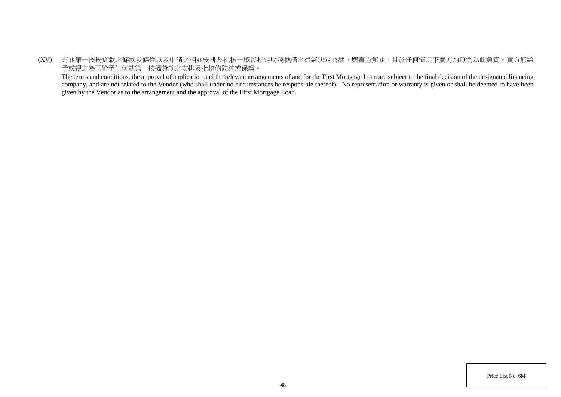(XV) 有關第一按揭貸款之條款及條件以及申請之相關安排及批核一概以指定財務機構之最終決定為準,與賣方無關,且於任何情況下賣方均無需為此負責。賣方無給 予或視之為已給予任何就第一按揭貸款之安排及批核的陳述或保證。

The terms and conditions, the approval of application and the relevant arrangements of and for the First Mortgage Loan are subject to the final decision of the designated financing company, and are not related to the Vendor (who shall under no circumstances be responsible thereof). No representation or warranty is given or shall be deemed to have been given by the Vendor as to the arrangement and the approval of the First Mortgage Loan.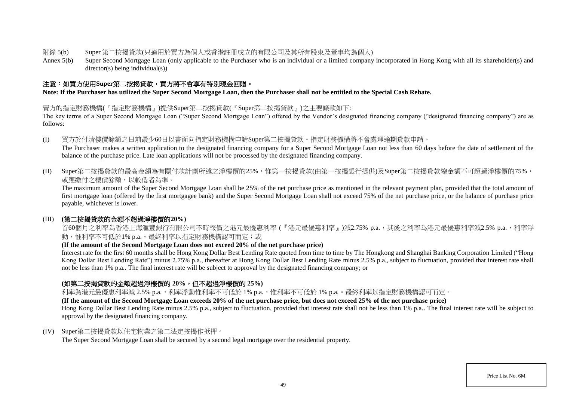- 附錄 5(b) Super 第二按揭貸款(只適用於買方為個人或香港註冊成立的有限公司及其所有股東及董事均為個人)
- Annex 5(b) Super Second Mortgage Loan (only applicable to the Purchaser who is an individual or a limited company incorporated in Hong Kong with all its shareholder(s) and director(s) being individual(s))

# 注意:如買方使用**Super**第二按揭貸款,買方將不會享有特別現金回贈。

**Note: If the Purchaser has utilized the Super Second Mortgage Loan, then the Purchaser shall not be entitled to the Special Cash Rebate.** 

### 賣方的指定財務機構(『指定財務機構』)提供Super第二按揭貸款(『Super第二按揭貸款』)之主要條款如下:

The key terms of a Super Second Mortgage Loan ("Super Second Mortgage Loan") offered by the Vendor's designated financing company ("designated financing company") are as follows:

(I) 買方於付清樓價餘額之日前最少60日以書面向指定財務機構申請Super第二按揭貸款。指定財務機構將不會處理逾期貸款申請。

The Purchaser makes a written application to the designated financing company for a Super Second Mortgage Loan not less than 60 days before the date of settlement of the balance of the purchase price. Late loan applications will not be processed by the designated financing company.

(II) Super第二按揭貸款的最高金額為有關付款計劃所述之淨樓價的25%,惟第一按揭貸款(由第一按揭銀行提供)及Super第二按揭貸款總金額不可超過淨樓價的75%, 或應繳付之樓價餘額,以較低者為準。

The maximum amount of the Super Second Mortgage Loan shall be 25% of the net purchase price as mentioned in the relevant payment plan, provided that the total amount of first mortgage loan (offered by the first mortgagee bank) and the Super Second Mortgage Loan shall not exceed 75% of the net purchase price, or the balance of purchase price payable, whichever is lower.

### (III) **(**第二按揭貸款的金額不超過淨樓價的**20%)**

首60個月之利率為香港上海滙豐銀行有限公司不時報價之港元最優惠利率 (『港元最優惠利率』)減2.75% p.a.,其後之利率為港元最優惠利率減2.5% p.a.,利率浮 動,惟利率不可低於1% p.a.。最終利率以指定財務機構認可而定;或

### **(If the amount of the Second Mortgage Loan does not exceed 20% of the net purchase price)**

Interest rate for the first 60 months shall be Hong Kong Dollar Best Lending Rate quoted from time to time by The Hongkong and Shanghai Banking Corporation Limited ("Hong Kong Dollar Best Lending Rate") minus 2.75% p.a., thereafter at Hong Kong Dollar Best Lending Rate minus 2.5% p.a., subject to fluctuation, provided that interest rate shall not be less than 1% p.a.. The final interest rate will be subject to approval by the designated financing company; or

# **(**如第二按揭貸款的金額超過淨樓價的 **20%**,但不超過淨樓價的 **25%)**

利率為港元最優惠利率減 2.5% p.a., 利率浮動惟利率不可低於 1% p.a., 惟利率不可低於 1% p.a.。最終利率以指定財務機構認可而定。

**(If the amount of the Second Mortgage Loan exceeds 20% of the net purchase price, but does not exceed 25% of the net purchase price)** 

Hong Kong Dollar Best Lending Rate minus 2.5% p.a., subject to fluctuation, provided that interest rate shall not be less than 1% p.a.. The final interest rate will be subject to approval by the designated financing company.

### (IV) Super第二按揭貸款以住宅物業之第二法定按揭作抵押。

The Super Second Mortgage Loan shall be secured by a second legal mortgage over the residential property.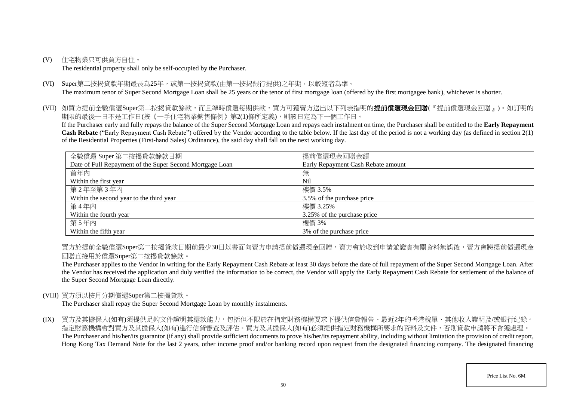(V) 住宅物業只可供買方自住。

The residential property shall only be self-occupied by the Purchaser.

(VI) Super第二按揭貸款年期最長為25年,或第一按揭貸款(由第一按揭銀行提供)之年期,以較短者為準。 The maximum tenor of Super Second Mortgage Loan shall be 25 years or the tenor of first mortgage loan (offered by the first mortgagee bank), whichever is shorter.

(VII) 如買方提前全數償還Super第二按揭貸款餘款,而且準時償還每期供款,買方可獲賣方送出以下列表指明的**提前償還現金回贈**(『提前償還現金回贈』)。如訂明的 期限的最後一日不是工作日(按《一手住宅物業銷售條例》第2(1)條所定義),則該日定為下一個工作日。

If the Purchaser early and fully repays the balance of the Super Second Mortgage Loan and repays each instalment on time, the Purchaser shall be entitled to the **Early Repayment Cash Rebate** ("Early Repayment Cash Rebate") offered by the Vendor according to the table below. If the last day of the period is not a working day (as defined in section 2(1) of the Residential Properties (First-hand Sales) Ordinance), the said day shall fall on the next working day.

| 全數償還 Super 第二按揭貸款餘款日期                                    | 提前償還現金回贈金額                         |
|----------------------------------------------------------|------------------------------------|
| Date of Full Repayment of the Super Second Mortgage Loan | Early Repayment Cash Rebate amount |
| 首年内                                                      | 無                                  |
| Within the first year                                    | <b>Nil</b>                         |
| 第2年至第3年内                                                 | 樓價 3.5%                            |
| Within the second year to the third year                 | 3.5% of the purchase price         |
| 第4年內                                                     | 樓價 3.25%                           |
| Within the fourth year                                   | 3.25% of the purchase price        |
| 第5年内                                                     | 樓價 3%                              |
| Within the fifth year                                    | 3% of the purchase price           |

買方於提前全數償還Super第二按揭貸款日期前最少30日以書面向賣方申請提前償還現金回贈,賣方會於收到申請並證實有關資料無誤後,賣方會將提前償還現金 回贈直接用於償還Super第二按揭貸款餘款。

The Purchaser applies to the Vendor in writing for the Early Repayment Cash Rebate at least 30 days before the date of full repayment of the Super Second Mortgage Loan. After the Vendor has received the application and duly verified the information to be correct, the Vendor will apply the Early Repayment Cash Rebate for settlement of the balance of the Super Second Mortgage Loan directly.

### (VIII) 買方須以按月分期償還Super第二按揭貸款。

The Purchaser shall repay the Super Second Mortgage Loan by monthly instalments.

(IX) 買方及其擔保人(如有)須提供足夠文件證明其還款能力,包括但不限於在指定財務機構要求下提供信貸報告、最近2年的香港稅單、其他收入證明及/或銀行紀錄。 指定財務機構會對買方及其擔保人(如有)進行信貸審查及評估。買方及其擔保人(如有)必須提供指定財務機構所要求的資料及文件,否則貸款申請將不會獲處理。 The Purchaser and his/her/its guarantor (if any) shall provide sufficient documents to prove his/her/its repayment ability, including without limitation the provision of credit report, Hong Kong Tax Demand Note for the last 2 years, other income proof and/or banking record upon request from the designated financing company. The designated financing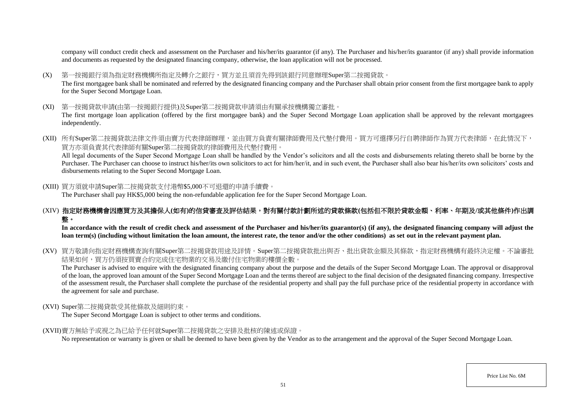company will conduct credit check and assessment on the Purchaser and his/her/its guarantor (if any). The Purchaser and his/her/its guarantor (if any) shall provide information and documents as requested by the designated financing company, otherwise, the loan application will not be processed.

- (X) 第一按揭銀行須為指定財務機構所指定及轉介之銀行,買方並且須首先得到該銀行同意辦理Super第二按揭貸款。 The first mortgagee bank shall be nominated and referred by the designated financing company and the Purchaser shall obtain prior consent from the first mortgagee bank to apply for the Super Second Mortgage Loan.
- (XI) 第一按揭貸款申請(由第一按揭銀行提供)及Super第二按揭貸款申請須由有關承按機構獨立審批。 The first mortgage loan application (offered by the first mortgagee bank) and the Super Second Mortgage Loan application shall be approved by the relevant mortgagees independently.
- (XII) 所有Super第二按揭貸款法律文件須由賣方代表律師辦理,並由買方負責有關律師費用及代墊付費用。買方可選擇另行自聘律師作為買方代表律師,在此情況下, 買方亦須負責其代表律師有關Super第二按揭貸款的律師費用及代墊付費用。

All legal documents of the Super Second Mortgage Loan shall be handled by the Vendor's solicitors and all the costs and disbursements relating thereto shall be borne by the Purchaser. The Purchaser can choose to instruct his/her/its own solicitors to act for him/her/it, and in such event, the Purchaser shall also bear his/her/its own solicitors' costs and disbursements relating to the Super Second Mortgage Loan.

(XIII) 買方須就申請Super第二按揭貸款支付港幣\$5,000不可退還的申請手續費。

The Purchaser shall pay HK\$5,000 being the non-refundable application fee for the Super Second Mortgage Loan.

# (XIV) 指定財務機構會因應買方及其擔保人**(**如有**)**的信貸審查及評估結果,對有關付款計劃所述的貸款條款**(**包括但不限於貸款金額、利率、年期及**/**或其他條件**)**作出調 整。

In accordance with the result of credit check and assessment of the Purchaser and his/her/its guarantor(s) (if any), the designated financing company will adjust the **loan term(s) (including without limitation the loan amount, the interest rate, the tenor and/or the other conditions) as set out in the relevant payment plan.**

(XV) 買方敬請向指定財務機構查詢有關Super第二按揭貸款用途及詳情。Super第二按揭貸款批出與否、批出貸款金額及其條款,指定財務機構有最終決定權。不論審批 結果如何,買方仍須按買賣合約完成住宅物業的交易及繳付住宅物業的樓價全數。

The Purchaser is advised to enquire with the designated financing company about the purpose and the details of the Super Second Mortgage Loan. The approval or disapproval of the loan, the approved loan amount of the Super Second Mortgage Loan and the terms thereof are subject to the final decision of the designated financing company. Irrespective of the assessment result, the Purchaser shall complete the purchase of the residential property and shall pay the full purchase price of the residential property in accordance with the agreement for sale and purchase.

#### (XVI) Super第二按揭貸款受其他條款及細則約束。

The Super Second Mortgage Loan is subject to other terms and conditions.

(XVII)賣方無給予或視之為已給予任何就Super第二按揭貸款之安排及批核的陳述或保證。

No representation or warranty is given or shall be deemed to have been given by the Vendor as to the arrangement and the approval of the Super Second Mortgage Loan.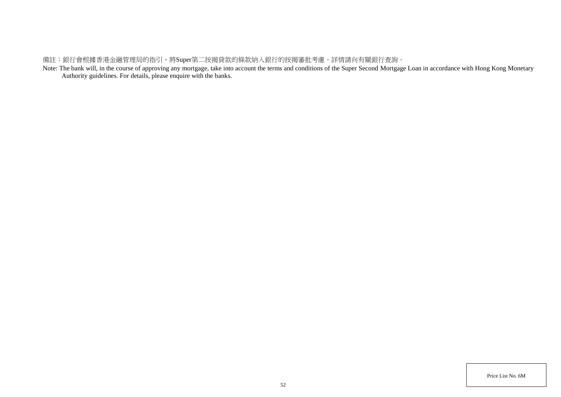# 備註:銀行會根據香港金融管理局的指引,將Super第二按揭貸款的條款納入銀行的按揭審批考慮。詳情請向有關銀行查詢。

Note: The bank will, in the course of approving any mortgage, take into account the terms and conditions of the Super Second Mortgage Loan in accordance with Hong Kong Monetary Authority guidelines. For details, please enquire with the banks.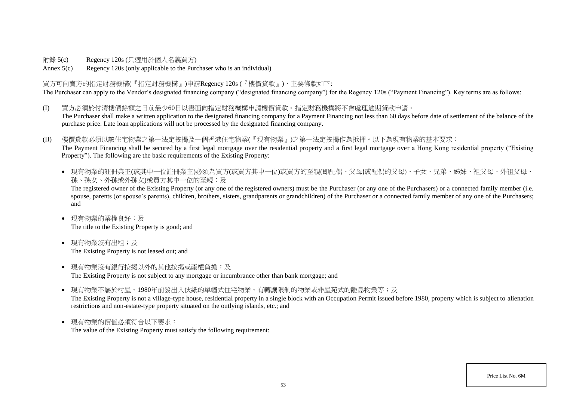附錄 5(c) Regency 120s (只適用於個人名義買方)

Annex 5(c) Regency 120s (only applicable to the Purchaser who is an individual)

### 買方可向賣方的指定財務機構(『指定財務機構』)申請Regency 120s (『樓價貸款』),主要條款如下:

The Purchaser can apply to the Vendor's designated financing company ("designated financing company") for the Regency 120s ("Payment Financing"). Key terms are as follows:

- (I) 買方必須於付清樓價餘額之日前最少60日以書面向指定財務機構申請樓價貸款。指定財務機構將不會處理逾期貸款申請。 The Purchaser shall make a written application to the designated financing company for a Payment Financing not less than 60 days before date of settlement of the balance of the purchase price. Late loan applications will not be processed by the designated financing company.
- (II) 樓價貸款必須以該住宅物業之第一法定按揭及一個香港住宅物業(『現有物業』)之第一法定按揭作為抵押。以下為現有物業的基本要求: The Payment Financing shall be secured by a first legal mortgage over the residential property and a first legal mortgage over a Hong Kong residential property ("Existing Property"). The following are the basic requirements of the Existing Property:
	- 現有物業的註冊業主(或其中一位註冊業主)必須為買方(或買方其中一位)或買方的至親(即配偶、父母(或配偶的父母)、子女、兄弟、姊妹、祖父母、外祖父母、 孫、孫女、外孫或外孫女)或買方其中一位的至親;及

The registered owner of the Existing Property (or any one of the registered owners) must be the Purchaser (or any one of the Purchasers) or a connected family member (i.e. spouse, parents (or spouse's parents), children, brothers, sisters, grandparents or grandchildren) of the Purchaser or a connected family member of any one of the Purchasers; and

- 現有物業的業權良好;及 The title to the Existing Property is good; and
- 現有物業沒有出租;及 The Existing Property is not leased out; and
- 現有物業沒有銀行按揭以外的其他按揭或產權負擔;及 The Existing Property is not subject to any mortgage or incumbrance other than bank mortgage; and
- 現有物業不屬於村屋、1980年前發出入伙紙的單幢式住宅物業、有轉讓限制的物業或非屋苑式的離島物業等;及 The Existing Property is not a village-type house, residential property in a single block with an Occupation Permit issued before 1980, property which is subject to alienation restrictions and non-estate-type property situated on the outlying islands, etc.; and
- 現有物業的價值必須符合以下要求: The value of the Existing Property must satisfy the following requirement: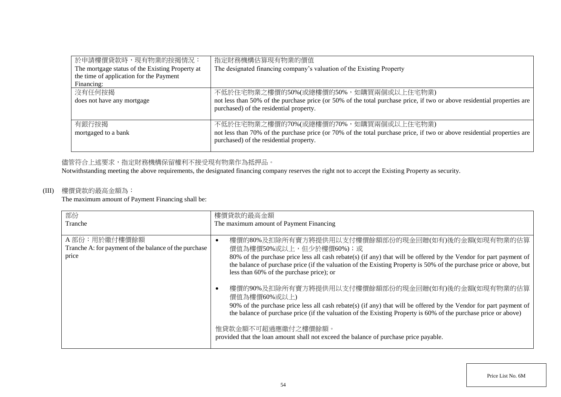| 於申請樓價貸款時,現有物業的按揭情況:                             | 指定財務機構估算現有物業的價值                                                                                                                                                    |
|-------------------------------------------------|--------------------------------------------------------------------------------------------------------------------------------------------------------------------|
| The mortgage status of the Existing Property at | The designated financing company's valuation of the Existing Property                                                                                              |
| the time of application for the Payment         |                                                                                                                                                                    |
| Financing:                                      |                                                                                                                                                                    |
| 沒有任何按揭                                          | 不低於住宅物業之樓價的50%(或總樓價的50%,如購買兩個或以上住宅物業)                                                                                                                              |
| does not have any mortgage                      | not less than 50% of the purchase price (or 50% of the total purchase price, if two or above residential properties are<br>purchased) of the residential property. |
| 有銀行按揭                                           | 不低於住宅物業之樓價的70%(或總樓價的70%,如購買兩個或以上住宅物業)                                                                                                                              |
| mortgaged to a bank                             | not less than 70% of the purchase price (or 70% of the total purchase price, if two or above residential properties are<br>purchased) of the residential property. |

# 儘管符合上述要求,指定財務機構保留權利不接受現有物業作為抵押品。

Notwithstanding meeting the above requirements, the designated financing company reserves the right not to accept the Existing Property as security.

# (III) 樓價貸款的最高金額為:

The maximum amount of Payment Financing shall be:

| 部份                                                    | 樓價貸款的最高金額                                                                                                                                                                                                                                                                            |
|-------------------------------------------------------|--------------------------------------------------------------------------------------------------------------------------------------------------------------------------------------------------------------------------------------------------------------------------------------|
| Tranche                                               | The maximum amount of Payment Financing                                                                                                                                                                                                                                              |
| A部份:用於繳付樓價餘額                                          | 樓價的80%及扣除所有賣方將提供用以支付樓價餘額部份的現金回贈(如有)後的金額(如現有物業的估算                                                                                                                                                                                                                                     |
| Tranche A: for payment of the balance of the purchase | 價值為樓價50%或以上,但少於樓價60%);或                                                                                                                                                                                                                                                              |
| price                                                 | 80% of the purchase price less all cash rebate(s) (if any) that will be offered by the Vendor for part payment of<br>the balance of purchase price (if the valuation of the Existing Property is 50% of the purchase price or above, but<br>less than 60% of the purchase price); or |
|                                                       | 樓價的90%及扣除所有賣方將提供用以支付樓價餘額部份的現金回贈(如有)後的金額(如現有物業的估算<br>價值為樓價60%或以上)                                                                                                                                                                                                                     |
|                                                       | 90% of the purchase price less all cash rebate(s) (if any) that will be offered by the Vendor for part payment of<br>the balance of purchase price (if the valuation of the Existing Property is 60% of the purchase price or above)                                                 |
|                                                       | 惟貸款金額不可超過應繳付之樓價餘額。<br>provided that the loan amount shall not exceed the balance of purchase price payable.                                                                                                                                                                          |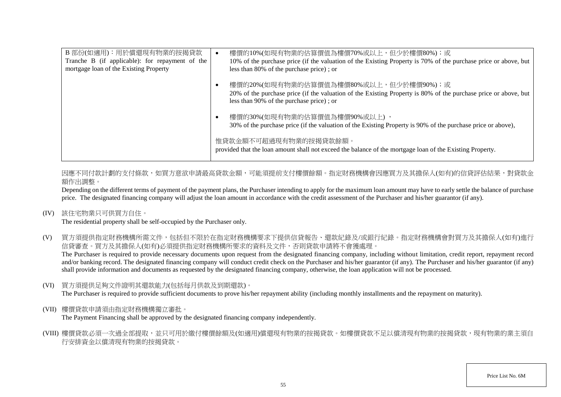| B 部份(如適用):用於償還現有物業的按揭貸款<br>Tranche B (if applicable): for repayment of the<br>mortgage loan of the Existing Property | $\bullet$  | 樓價的10%(如現有物業的估算價值為樓價70%或以上,但少於樓價80%);或<br>10% of the purchase price (if the valuation of the Existing Property is 70% of the purchase price or above, but<br>less than 80% of the purchase price); or |
|----------------------------------------------------------------------------------------------------------------------|------------|-------------------------------------------------------------------------------------------------------------------------------------------------------------------------------------------------------|
|                                                                                                                      |            | 樓價的20%(如現有物業的估算價值為樓價80%或以上,但少於樓價90%);或<br>20% of the purchase price (if the valuation of the Existing Property is 80% of the purchase price or above, but<br>less than 90% of the purchase price); or |
|                                                                                                                      | $\epsilon$ | 樓價的30%(如現有物業的估算價值為樓價90%或以上),<br>30% of the purchase price (if the valuation of the Existing Property is 90% of the purchase price or above),                                                          |
|                                                                                                                      |            | 惟貸款金額不可超過現有物業的按揭貸款餘額。<br>provided that the loan amount shall not exceed the balance of the mortgage loan of the Existing Property.                                                                    |

因應不同付款計劃的支付條款,如買方意欲申請最高貸款金額,可能須提前支付樓價餘額。指定財務機構會因應買方及其擔保人(如有)的信貸評估結果,對貸款金 額作出調整。

Depending on the different terms of payment of the payment plans, the Purchaser intending to apply for the maximum loan amount may have to early settle the balance of purchase price. The designated financing company will adjust the loan amount in accordance with the credit assessment of the Purchaser and his/her guarantor (if any).

(IV) 該住宅物業只可供買方自住。

The residential property shall be self-occupied by the Purchaser only.

(V) 買方須提供指定財務機構所需文件,包括但不限於在指定財務機構要求下提供信貸報告、還款紀錄及/或銀行紀錄。指定財務機構會對買方及其擔保人(如有)進行 信貸審查。買方及其擔保人(如有)必須提供指定財務機構所要求的資料及文件,否則貸款申請將不會獲處理。 The Purchaser is required to provide necessary documents upon request from the designated financing company, including without limitation, credit report, repayment record and/or banking record. The designated financing company will conduct credit check on the Purchaser and his/her guarantor (if any). The Purchaser and his/her guarantor (if any)

shall provide information and documents as requested by the designated financing company, otherwise, the loan application will not be processed.

(VI) 買方須提供足夠文件證明其還款能力(包括每月供款及到期還款)。

The Purchaser is required to provide sufficient documents to prove his/her repayment ability (including monthly installments and the repayment on maturity).

(VII) 樓價貸款申請須由指定財務機構獨立審批。

The Payment Financing shall be approved by the designated financing company independently.

(VIII) 樓價貸款必須一次過全部提取,並只可用於繳付樓價餘額及(如適用)償還現有物業的按揭貸款。如樓價貸款不足以償清現有物業的按揭貸款,現有物業的業主須自 行安排資金以償清現有物業的按揭貸款。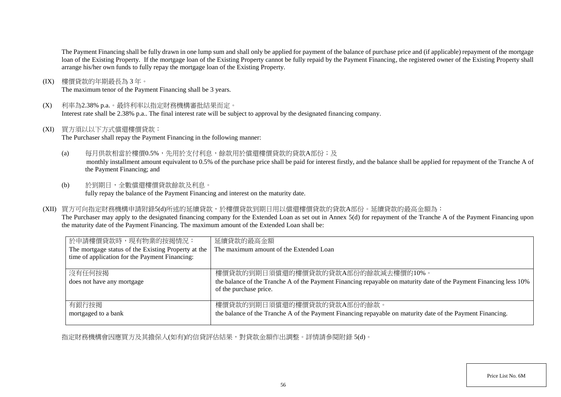The Payment Financing shall be fully drawn in one lump sum and shall only be applied for payment of the balance of purchase price and (if applicable) repayment of the mortgage loan of the Existing Property. If the mortgage loan of the Existing Property cannot be fully repaid by the Payment Financing, the registered owner of the Existing Property shall arrange his/her own funds to fully repay the mortgage loan of the Existing Property.

(IX) 樓價貸款的年期最長為 3 年。

The maximum tenor of the Payment Financing shall be 3 years.

(X) 利率為2.38% p.a.。最終利率以指定財務機構審批結果而定。

Interest rate shall be 2.38% p.a.. The final interest rate will be subject to approval by the designated financing company.

(XI) 買方須以以下方式償還樓價貸款:

The Purchaser shall repay the Payment Financing in the following manner:

(a) 每月供款相當於樓價0.5%,先用於支付利息,餘款用於償還樓價貸款的貸款A部份;及

monthly installment amount equivalent to 0.5% of the purchase price shall be paid for interest firstly, and the balance shall be applied for repayment of the Tranche A of the Payment Financing; and

- (b) 於到期日,全數償還樓價貸款餘款及利息。 fully repay the balance of the Payment Financing and interest on the maturity date.
- (XII) 買方可向指定財務機構申請附錄5(d)所述的延續貸款,於樓價貸款到期日用以償還樓價貸款的貸款A部份。延續貸款的最高金額為:

The Purchaser may apply to the designated financing company for the Extended Loan as set out in Annex 5(d) for repayment of the Tranche A of the Payment Financing upon the maturity date of the Payment Financing. The maximum amount of the Extended Loan shall be:

| 於申請樓價貸款時,現有物業的按揭情況:                                 | 延續貸款的最高金額                                                                                                                                    |
|-----------------------------------------------------|----------------------------------------------------------------------------------------------------------------------------------------------|
| The mortgage status of the Existing Property at the | The maximum amount of the Extended Loan                                                                                                      |
| time of application for the Payment Financing:      |                                                                                                                                              |
|                                                     |                                                                                                                                              |
| 沒有任何按揭                                              | 樓價貸款的到期日須償還的樓價貸款的貸款A部份的餘款減去樓價的10%。                                                                                                           |
| does not have any mortgage                          | the balance of the Tranche A of the Payment Financing repayable on maturity date of the Payment Financing less 10%<br>of the purchase price. |
| 有銀行按揭                                               | 樓價貸款的到期日須償還的樓價貸款的貸款A部份的餘款。                                                                                                                   |
| mortgaged to a bank                                 | the balance of the Tranche A of the Payment Financing repayable on maturity date of the Payment Financing.                                   |

指定財務機構會因應買方及其擔保人(如有)的信貸評估結果,對貸款金額作出調整。詳情請參閱附錄 5(d)。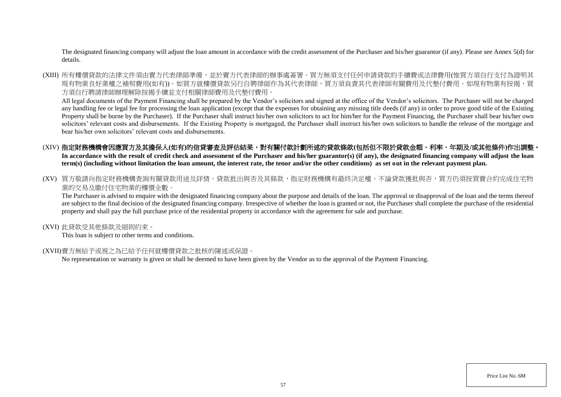The designated financing company will adjust the loan amount in accordance with the credit assessment of the Purchaser and his/her guarantor (if any). Please see Annex 5(d) for details.

(XIII) 所有樓價貸款的法律文件須由賣方代表律師準備,並於賣方代表律師的辦事處簽署。買方無須支付任何申請貸款的手續費或法律費用(惟買方須自行支付為證明其 現有物業良好業權之補契費用(如有))。如買方就樓價貸款另行自聘律師作為其代表律師,買方須負責其代表律師有關費用及代墊付費用。如現有物業有按揭,買 方須自行聘請律師辦理解除按揭手續並支付相關律師費用及代墊付費用。

All legal documents of the Payment Financing shall be prepared by the Vendor's solicitors and signed at the office of the Vendor's solicitors. The Purchaser will not be charged any handling fee or legal fee for processing the loan application (except that the expenses for obtaining any missing title deeds (if any) in order to prove good title of the Existing Property shall be borne by the Purchaser). If the Purchaser shall instruct his/her own solicitors to act for him/her for the Payment Financing, the Purchaser shall bear his/her own solicitors' relevant costs and disbursements. If the Existing Property is mortgaged, the Purchaser shall instruct his/her own solicitors to handle the release of the mortgage and bear his/her own solicitors' relevant costs and disbursements.

# (XIV) 指定財務機構會因應買方及其擔保人(如有)的信貸審查及評估結果,對有關付款計劃所述的貸款條款(包括但不限於貸款金額、利率、年期及/或其他條件)作出調整。

In accordance with the result of credit check and assessment of the Purchaser and his/her guarantor(s) (if any), the designated financing company will adjust the loan **term(s) (including without limitation the loan amount, the interest rate, the tenor and/or the other conditions) as set out in the relevant payment plan.**

(XV) 買方敬請向指定財務機構杳詢有關貸款用途及詳情。貸款批出與否及其條款,指定財務機構有最終決定權。不論貸款獲批與否,買方仍須按買賣合約完成住宅物 業的交易及繳付住宅物業的樓價全數。

The Purchaser is advised to enquire with the designated financing company about the purpose and details of the loan. The approval or disapproval of the loan and the terms thereof are subject to the final decision of the designated financing company. Irrespective of whether the loan is granted or not, the Purchaser shall complete the purchase of the residential property and shall pay the full purchase price of the residential property in accordance with the agreement for sale and purchase.

#### (XVI) 此貸款受其他條款及細則約束。

This loan is subject to other terms and conditions.

### (XVII)賣方無給予或視之為已給予任何就樓價貸款之批核的陳述或保證。

No representation or warranty is given or shall be deemed to have been given by the Vendor as to the approval of the Payment Financing.

Price List No. 6M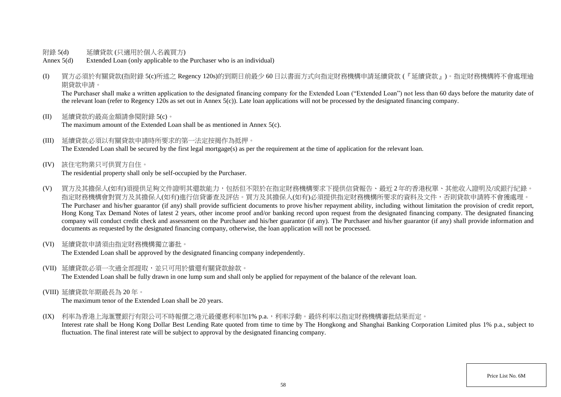- 附錄 5(d) 延續貸款 (只適用於個人名義買方)
- Annex 5(d) Extended Loan (only applicable to the Purchaser who is an individual)
- (I) 買方必須於有關貸款(指附錄 5(c)所述之 Regency 120s)的到期日前最少 60 日以書面方式向指定財務機構申請延續貸款 (『延續貸款』)。指定財務機構將不會處理逾 期貸款申請。

The Purchaser shall make a written application to the designated financing company for the Extended Loan "Extended Loan") not less than 60 days before the maturity date of the relevant loan (refer to Regency 120s as set out in Annex 5(c)). Late loan applications will not be processed by the designated financing company.

- (II) 延續貸款的最高金額請參閱附錄 5(c)。 The maximum amount of the Extended Loan shall be as mentioned in Annex 5(c).
- (III) 延續貸款必須以有關貸款申請時所要求的第一法定按揭作為抵押。 The Extended Loan shall be secured by the first legal mortgage(s) as per the requirement at the time of application for the relevant loan.
- (IV) 該住宅物業只可供買方自住。 The residential property shall only be self-occupied by the Purchaser.
- (V) 買方及其擔保人(如有)須提供足夠文件證明其還款能力,包括但不限於在指定財務機構要求下提供信貸報告、最近 2 年的香港稅單、其他收入證明及/或銀行紀錄。 指定財務機構會對買方及其擔保人(如有)進行信貸審查及評估。買方及其擔保人(如有)必須提供指定財務機構所要求的資料及文件,否則貸款申請將不會獲處理。 The Purchaser and his/her guarantor (if any) shall provide sufficient documents to prove his/her repayment ability, including without limitation the provision of credit report, Hong Kong Tax Demand Notes of latest 2 years, other income proof and/or banking record upon request from the designated financing company. The designated financing company will conduct credit check and assessment on the Purchaser and his/her guarantor (if any). The Purchaser and his/her guarantor (if any) shall provide information and documents as requested by the designated financing company, otherwise, the loan application will not be processed.
- (VI) 延續貸款申請須由指定財務機構獨立審批。

The Extended Loan shall be approved by the designated financing company independently.

(VII) 延續貸款必須一次過全部提取,並只可用於償還有關貸款餘款。

The Extended Loan shall be fully drawn in one lump sum and shall only be applied for repayment of the balance of the relevant loan.

(VIII) 延續貸款年期最長為 20 年。

The maximum tenor of the Extended Loan shall be 20 years.

(IX) 利率為香港上海滙豐銀行有限公司不時報價之港元最優惠利率加1% p.a., 利率浮動。最終利率以指定財務機構審批結果而定。

Interest rate shall be Hong Kong Dollar Best Lending Rate quoted from time to time by The Hongkong and Shanghai Banking Corporation Limited plus 1% p.a., subject to fluctuation. The final interest rate will be subject to approval by the designated financing company.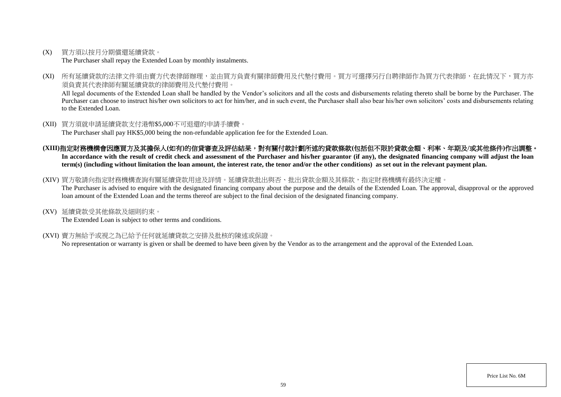(X) 買方須以按月分期償還延續貸款。

The Purchaser shall repay the Extended Loan by monthly instalments.

(XI) 所有延續貸款的法律文件須由賣方代表律師辦理,並由買方負責有關律師費用及代墊付費用。買方可選擇另行自聘律師作為買方代表律師,在此情況下,買方亦 須負責其代表律師有關延續貸款的律師費用及代墊付費用。

All legal documents of the Extended Loan shall be handled by the Vendor's solicitors and all the costs and disbursements relating thereto shall be borne by the Purchaser. The Purchaser can choose to instruct his/her own solicitors to act for him/her, and in such event, the Purchaser shall also bear his/her own solicitors' costs and disbursements relating to the Extended Loan.

- (XII) 買方須就申請延續貸款支付港幣\$5,000不可退還的申請手續費。 The Purchaser shall pay HK\$5,000 being the non-refundable application fee for the Extended Loan.
- (XIII)指定財務機構會因應買方及其擔保人(如有)的信貸審查及評估結果,對有關付款計劃所述的貸款條款(包括但不限於貸款金額、利率、年期及/或其他條件)作出調整。

In accordance with the result of credit check and assessment of the Purchaser and his/her guarantor (if any), the designated financing company will adjust the loan **term(s) (including without limitation the loan amount, the interest rate, the tenor and/or the other conditions) as set out in the relevant payment plan.** 

#### (XIV) 買方敬請向指定財務機構查詢有關延續貸款用途及詳情。延續貸款批出與否、批出貸款金額及其條款,指定財務機構有最終決定權。

The Purchaser is advised to enquire with the designated financing company about the purpose and the details of the Extended Loan. The approval, disapproval or the approved loan amount of the Extended Loan and the terms thereof are subject to the final decision of the designated financing company.

(XV) 延續貸款受其他條款及細則約束。

The Extended Loan is subject to other terms and conditions.

(XVI) 賣方無給予或視之為已給予任何就延續貸款之安排及批核的陳述或保證。

No representation or warranty is given or shall be deemed to have been given by the Vendor as to the arrangement and the approval of the Extended Loan.